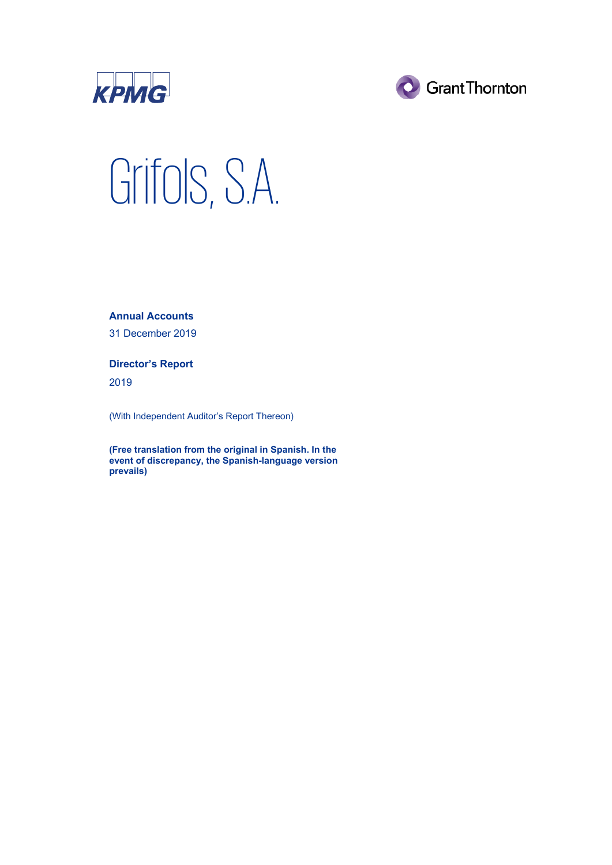



# Grifols, S.A.

**Annual Accounts** 

31 December 2019

**Director's Report** 

2019

(With Independent Auditor's Report Thereon)

**(Free translation from the original in Spanish. In the event of discrepancy, the Spanish-language version prevails)**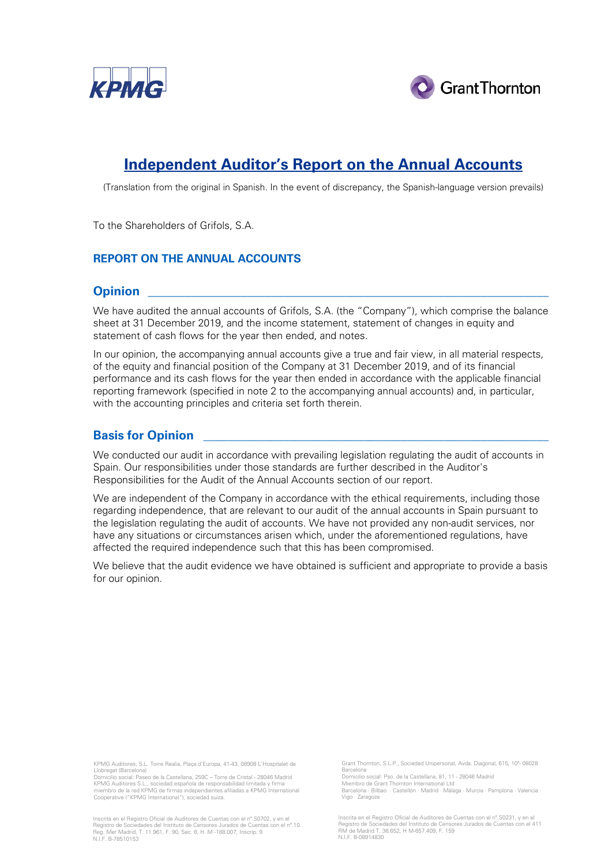



# **Independent Auditor's Report on the Annual Accounts**

(Translation from the original in Spanish. In the event of discrepancy, the Spanish-language version prevails)

To the Shareholders of Grifols, S.A.

# **REPORT ON THE ANNUAL ACCOUNTS**

# **Opinion \_\_\_\_\_\_\_\_\_\_\_\_\_\_\_\_\_\_\_\_\_\_\_\_\_\_\_\_\_\_\_\_\_\_\_\_\_\_\_\_\_\_\_\_\_\_\_\_\_\_\_\_\_\_\_\_\_\_\_\_\_\_\_\_\_**

We have audited the annual accounts of Grifols, S.A. (the "Company"), which comprise the balance sheet at 31 December 2019, and the income statement, statement of changes in equity and statement of cash flows for the year then ended, and notes.

In our opinion, the accompanying annual accounts give a true and fair view, in all material respects, of the equity and financial position of the Company at 31 December 2019, and of its financial performance and its cash flows for the year then ended in accordance with the applicable financial reporting framework (specified in note 2 to the accompanying annual accounts) and, in particular, with the accounting principles and criteria set forth therein.

# **Basis for Opinion**

We conducted our audit in accordance with prevailing legislation regulating the audit of accounts in Spain. Our responsibilities under those standards are further described in the Auditor's Responsibilities for the Audit of the Annual Accounts section of our report.

We are independent of the Company in accordance with the ethical requirements, including those regarding independence, that are relevant to our audit of the annual accounts in Spain pursuant to the legislation regulating the audit of accounts. We have not provided any non-audit services, nor have any situations or circumstances arisen which, under the aforementioned regulations, have affected the required independence such that this has been compromised.

We believe that the audit evidence we have obtained is sufficient and appropriate to provide a basis for our opinion.

KPMG Auditores, S.L. Torre Realia, Plaça d'Europa, 41-43, 08908 L'Hospitalet de Llobregat (Barcelona)

Domicilio social: Paseo de la Castellana, 259C – Torre de Cristal - 28046 Madrid<br>KPMG Auditores S.L., sociedad española de responsabilidad limitada y firma<br>miembro de la red KPMG de firmas independientes afiliadas a KPMG I Cooperative ("KPMG International"), sociedad suiza.

Inscrita en el Registro Oficial de Auditores de Cuentas con el nº.S0702, y en el Registro de Sociedades del Instituto de Censores Jurados de Cuentas con el nº.10. Reg. Mer Madrid, T. 11.961, F. 90, Sec. 8, H. M -188.007, Inscrip. 9 N.I.F. B-78510153

Grant Thornton, S.L.P., Sociedad Unipersonal, Avda. Diagonal, 615, 10ª- 08028

Barcelona Domicilio social: Pso. de la Castellana, 81, 11 - 28046 Madrid Miembro de Grant Thornton International Ltd

Barcelona · Bilbao · Castellón · Madrid · Málaga · Murcia · Pamplona · Valencia · Vigo Zaragoza

Inscrita en el Registro Oficial de Auditores de Cuentas con el nº.S0231, y en el Registro de Sociedades del Instituto de Censores Jurados de Cuentas con el 411 RM de Madrid T. 36.652, H M-657.409, F. 159 N.I.F. B-08914830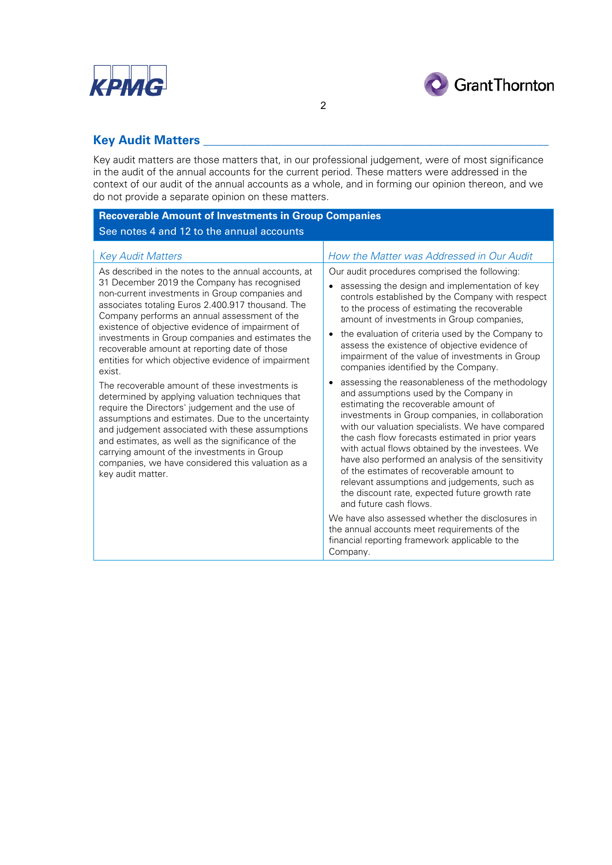



# **Key Audit Matters**

Key audit matters are those matters that, in our professional judgement, were of most significance in the audit of the annual accounts for the current period. These matters were addressed in the context of our audit of the annual accounts as a whole, and in forming our opinion thereon, and we do not provide a separate opinion on these matters.

2

| <b>Recoverable Amount of Investments in Group Companies</b><br>See notes 4 and 12 to the annual accounts                                                                                                                                                                                                                                                                                                                                                                                                                                                                                                                                                                                                                                                                                                                                                                                                                                                        |                                                                                                                                                                                                                                                                                                                                                                                                                                                                                                                                                                                                                                                                                                                                                                                                                                                                                                                                                                                                                                                                                                                                                                                                                                                                        |
|-----------------------------------------------------------------------------------------------------------------------------------------------------------------------------------------------------------------------------------------------------------------------------------------------------------------------------------------------------------------------------------------------------------------------------------------------------------------------------------------------------------------------------------------------------------------------------------------------------------------------------------------------------------------------------------------------------------------------------------------------------------------------------------------------------------------------------------------------------------------------------------------------------------------------------------------------------------------|------------------------------------------------------------------------------------------------------------------------------------------------------------------------------------------------------------------------------------------------------------------------------------------------------------------------------------------------------------------------------------------------------------------------------------------------------------------------------------------------------------------------------------------------------------------------------------------------------------------------------------------------------------------------------------------------------------------------------------------------------------------------------------------------------------------------------------------------------------------------------------------------------------------------------------------------------------------------------------------------------------------------------------------------------------------------------------------------------------------------------------------------------------------------------------------------------------------------------------------------------------------------|
| <b>Key Audit Matters</b><br>As described in the notes to the annual accounts, at<br>31 December 2019 the Company has recognised<br>non-current investments in Group companies and<br>associates totaling Euros 2.400.917 thousand. The<br>Company performs an annual assessment of the<br>existence of objective evidence of impairment of<br>investments in Group companies and estimates the<br>recoverable amount at reporting date of those<br>entities for which objective evidence of impairment<br>exist.<br>The recoverable amount of these investments is<br>determined by applying valuation techniques that<br>require the Directors' judgement and the use of<br>assumptions and estimates. Due to the uncertainty<br>and judgement associated with these assumptions<br>and estimates, as well as the significance of the<br>carrying amount of the investments in Group<br>companies, we have considered this valuation as a<br>key audit matter. | How the Matter was Addressed in Our Audit<br>Our audit procedures comprised the following:<br>assessing the design and implementation of key<br>controls established by the Company with respect<br>to the process of estimating the recoverable<br>amount of investments in Group companies,<br>the evaluation of criteria used by the Company to<br>$\bullet$<br>assess the existence of objective evidence of<br>impairment of the value of investments in Group<br>companies identified by the Company.<br>assessing the reasonableness of the methodology<br>٠<br>and assumptions used by the Company in<br>estimating the recoverable amount of<br>investments in Group companies, in collaboration<br>with our valuation specialists. We have compared<br>the cash flow forecasts estimated in prior years<br>with actual flows obtained by the investees. We<br>have also performed an analysis of the sensitivity<br>of the estimates of recoverable amount to<br>relevant assumptions and judgements, such as<br>the discount rate, expected future growth rate<br>and future cash flows.<br>We have also assessed whether the disclosures in<br>the annual accounts meet requirements of the<br>financial reporting framework applicable to the<br>Company. |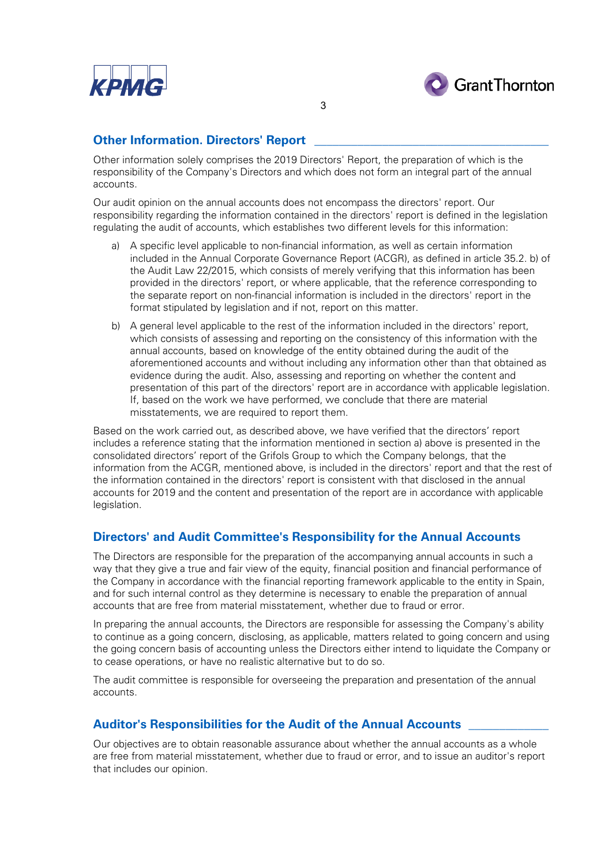



# **Other Information. Directors' Report**

Other information solely comprises the 2019 Directors' Report, the preparation of which is the responsibility of the Company's Directors and which does not form an integral part of the annual accounts.

3

Our audit opinion on the annual accounts does not encompass the directors' report. Our responsibility regarding the information contained in the directors' report is defined in the legislation regulating the audit of accounts, which establishes two different levels for this information:

- a) A specific level applicable to non-financial information, as well as certain information included in the Annual Corporate Governance Report (ACGR), as defined in article 35.2. b) of the Audit Law 22/2015, which consists of merely verifying that this information has been provided in the directors' report, or where applicable, that the reference corresponding to the separate report on non-financial information is included in the directors' report in the format stipulated by legislation and if not, report on this matter.
- b) A general level applicable to the rest of the information included in the directors' report, which consists of assessing and reporting on the consistency of this information with the annual accounts, based on knowledge of the entity obtained during the audit of the aforementioned accounts and without including any information other than that obtained as evidence during the audit. Also, assessing and reporting on whether the content and presentation of this part of the directors' report are in accordance with applicable legislation. If, based on the work we have performed, we conclude that there are material misstatements, we are required to report them.

Based on the work carried out, as described above, we have verified that the directors' report includes a reference stating that the information mentioned in section a) above is presented in the consolidated directors' report of the Grifols Group to which the Company belongs, that the information from the ACGR, mentioned above, is included in the directors' report and that the rest of the information contained in the directors' report is consistent with that disclosed in the annual accounts for 2019 and the content and presentation of the report are in accordance with applicable legislation.

# **Directors' and Audit Committee's Responsibility for the Annual Accounts**

The Directors are responsible for the preparation of the accompanying annual accounts in such a way that they give a true and fair view of the equity, financial position and financial performance of the Company in accordance with the financial reporting framework applicable to the entity in Spain, and for such internal control as they determine is necessary to enable the preparation of annual accounts that are free from material misstatement, whether due to fraud or error.

In preparing the annual accounts, the Directors are responsible for assessing the Company's ability to continue as a going concern, disclosing, as applicable, matters related to going concern and using the going concern basis of accounting unless the Directors either intend to liquidate the Company or to cease operations, or have no realistic alternative but to do so.

The audit committee is responsible for overseeing the preparation and presentation of the annual accounts.

# **Auditor's Responsibilities for the Audit of the Annual Accounts \_\_\_\_\_\_\_\_\_\_\_\_\_**

Our objectives are to obtain reasonable assurance about whether the annual accounts as a whole are free from material misstatement, whether due to fraud or error, and to issue an auditor's report that includes our opinion.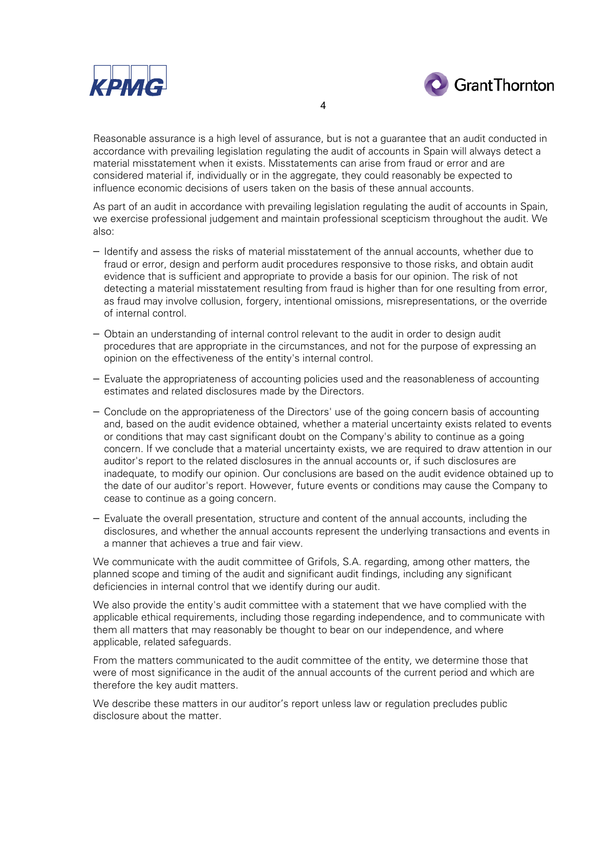



4

Reasonable assurance is a high level of assurance, but is not a guarantee that an audit conducted in accordance with prevailing legislation regulating the audit of accounts in Spain will always detect a material misstatement when it exists. Misstatements can arise from fraud or error and are considered material if, individually or in the aggregate, they could reasonably be expected to influence economic decisions of users taken on the basis of these annual accounts.

As part of an audit in accordance with prevailing legislation regulating the audit of accounts in Spain, we exercise professional judgement and maintain professional scepticism throughout the audit. We also:

- Identify and assess the risks of material misstatement of the annual accounts, whether due to fraud or error, design and perform audit procedures responsive to those risks, and obtain audit evidence that is sufficient and appropriate to provide a basis for our opinion. The risk of not detecting a material misstatement resulting from fraud is higher than for one resulting from error, as fraud may involve collusion, forgery, intentional omissions, misrepresentations, or the override of internal control.
- Obtain an understanding of internal control relevant to the audit in order to design audit procedures that are appropriate in the circumstances, and not for the purpose of expressing an opinion on the effectiveness of the entity's internal control.
- Evaluate the appropriateness of accounting policies used and the reasonableness of accounting estimates and related disclosures made by the Directors.
- Conclude on the appropriateness of the Directors' use of the going concern basis of accounting and, based on the audit evidence obtained, whether a material uncertainty exists related to events or conditions that may cast significant doubt on the Company's ability to continue as a going concern. If we conclude that a material uncertainty exists, we are required to draw attention in our auditor's report to the related disclosures in the annual accounts or, if such disclosures are inadequate, to modify our opinion. Our conclusions are based on the audit evidence obtained up to the date of our auditor's report. However, future events or conditions may cause the Company to cease to continue as a going concern.
- Evaluate the overall presentation, structure and content of the annual accounts, including the disclosures, and whether the annual accounts represent the underlying transactions and events in a manner that achieves a true and fair view.

We communicate with the audit committee of Grifols, S.A. regarding, among other matters, the planned scope and timing of the audit and significant audit findings, including any significant deficiencies in internal control that we identify during our audit.

We also provide the entity's audit committee with a statement that we have complied with the applicable ethical requirements, including those regarding independence, and to communicate with them all matters that may reasonably be thought to bear on our independence, and where applicable, related safeguards.

From the matters communicated to the audit committee of the entity, we determine those that were of most significance in the audit of the annual accounts of the current period and which are therefore the key audit matters.

We describe these matters in our auditor's report unless law or regulation precludes public disclosure about the matter.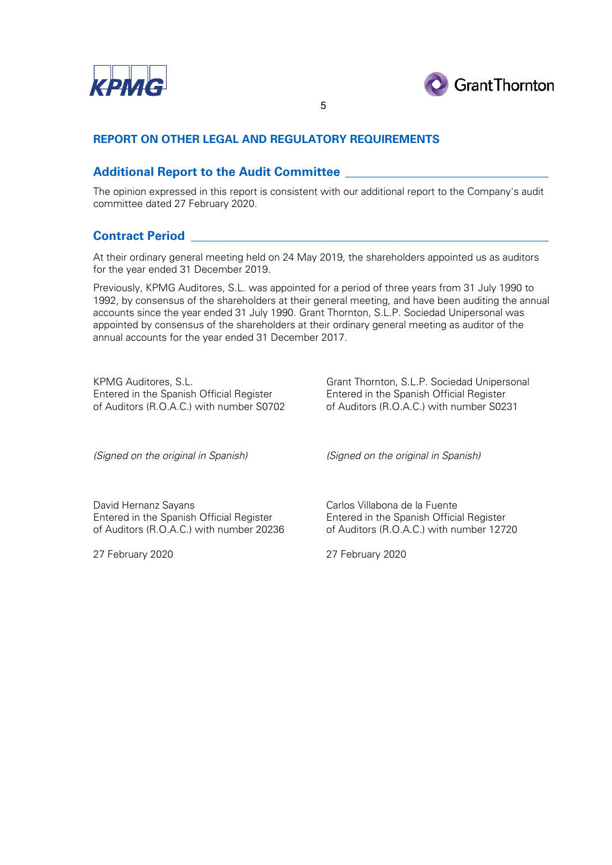



# **REPORT ON OTHER LEGAL AND REGULATORY REQUIREMENTS**

# **Additional Report to the Audit Committee \_\_\_\_\_\_\_\_\_\_\_\_\_\_\_\_\_\_\_\_\_\_\_\_\_\_\_\_\_\_\_\_\_**

The opinion expressed in this report is consistent with our additional report to the Company's audit committee dated 27 February 2020.

5

# **Contract Period**

At their ordinary general meeting held on 24 May 2019, the shareholders appointed us as auditors for the year ended 31 December 2019.

Previously, KPMG Auditores, S.L. was appointed for a period of three years from 31 July 1990 to 1992, by consensus of the shareholders at their general meeting, and have been auditing the annual accounts since the year ended 31 July 1990. Grant Thornton, S.L.P. Sociedad Unipersonal was appointed by consensus of the shareholders at their ordinary general meeting as auditor of the annual accounts for the year ended 31 December 2017.

Entered in the Spanish Official Register<br>
of Auditors (R.O.A.C.) with number S0702<br>
of Auditors (R.O.A.C.) with number S0231 of Auditors (R.O.A.C.) with number S0702

KPMG Auditores, S.L. Grant Thornton, S.L.P. Sociedad Unipersonal

*(Signed on the original in Spanish) (Signed on the original in Spanish)* 

David Hernanz Sayans<br>
Entered in the Spanish Official Register<br>
Entered in the Spanish Official Register<br>
Entered in the Spanish Official Entered in the Spanish Official Register<br>
of Auditors (R.O.A.C.) with number 20236<br>
of Auditors (R.O.A.C.) with number 127

of Auditors (R.O.A.C.) with number 12720

27 February 2020 27 February 2020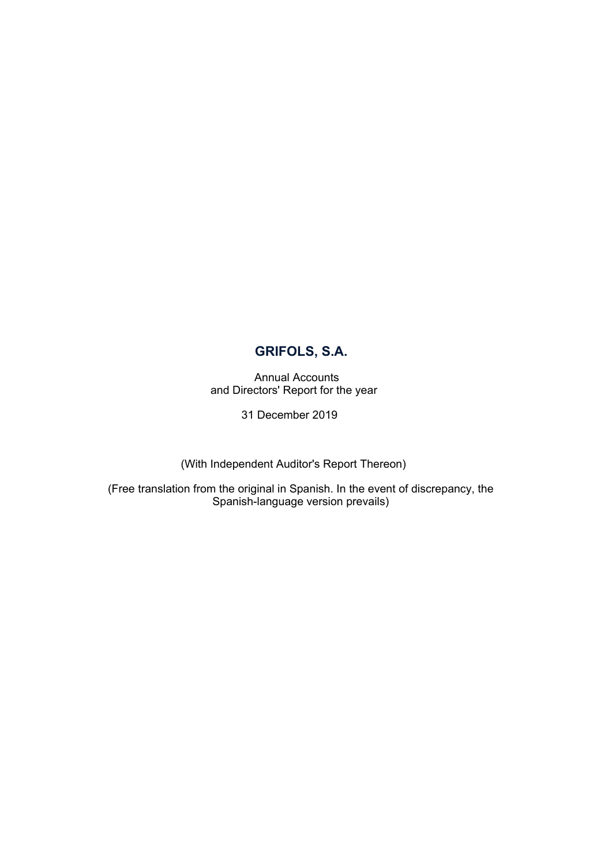Annual Accounts and Directors' Report for the year

31 December 2019

(With Independent Auditor's Report Thereon)

(Free translation from the original in Spanish. In the event of discrepancy, the Spanish-language version prevails)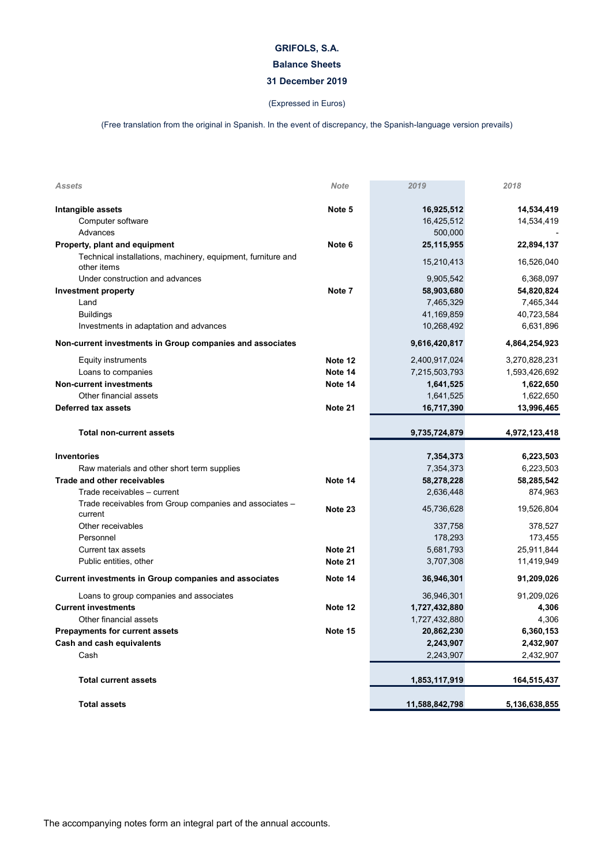# **Balance Sheets**

## **31 December 2019**

#### (Expressed in Euros)

(Free translation from the original in Spanish. In the event of discrepancy, the Spanish-language version prevails)

| <b>Assets</b>                                                               | <b>Note</b>       | 2019           | 2018          |
|-----------------------------------------------------------------------------|-------------------|----------------|---------------|
| Intangible assets                                                           | Note <sub>5</sub> | 16,925,512     | 14,534,419    |
| Computer software                                                           |                   | 16,425,512     | 14,534,419    |
| Advances                                                                    |                   | 500,000        |               |
| Property, plant and equipment                                               | Note 6            | 25,115,955     | 22,894,137    |
| Technical installations, machinery, equipment, furniture and<br>other items |                   | 15,210,413     | 16,526,040    |
| Under construction and advances                                             |                   | 9,905,542      | 6,368,097     |
| <b>Investment property</b>                                                  | Note 7            | 58,903,680     | 54,820,824    |
| Land                                                                        |                   | 7,465,329      | 7,465,344     |
| <b>Buildings</b>                                                            |                   | 41,169,859     | 40,723,584    |
| Investments in adaptation and advances                                      |                   | 10,268,492     | 6,631,896     |
| Non-current investments in Group companies and associates                   |                   | 9,616,420,817  | 4,864,254,923 |
| Equity instruments                                                          | Note 12           | 2,400,917,024  | 3,270,828,231 |
| Loans to companies                                                          | Note 14           | 7,215,503,793  | 1,593,426,692 |
| <b>Non-current investments</b>                                              | Note 14           | 1,641,525      | 1,622,650     |
| Other financial assets                                                      |                   | 1,641,525      | 1,622,650     |
| Deferred tax assets                                                         | Note 21           | 16,717,390     | 13,996,465    |
| <b>Total non-current assets</b>                                             |                   | 9,735,724,879  | 4,972,123,418 |
| <b>Inventories</b>                                                          |                   | 7,354,373      | 6,223,503     |
| Raw materials and other short term supplies                                 |                   | 7,354,373      | 6,223,503     |
| <b>Trade and other receivables</b>                                          | Note 14           | 58,278,228     | 58,285,542    |
| Trade receivables - current                                                 |                   | 2,636,448      | 874,963       |
| Trade receivables from Group companies and associates -<br>current          | Note 23           | 45,736,628     | 19,526,804    |
| Other receivables                                                           |                   | 337,758        | 378,527       |
| Personnel                                                                   |                   | 178,293        | 173,455       |
| <b>Current tax assets</b>                                                   | Note 21           | 5,681,793      | 25,911,844    |
| Public entities, other                                                      | Note 21           | 3,707,308      | 11,419,949    |
| <b>Current investments in Group companies and associates</b>                | Note 14           | 36,946,301     | 91,209,026    |
| Loans to group companies and associates                                     |                   | 36,946,301     | 91,209,026    |
| <b>Current investments</b>                                                  | Note 12           | 1,727,432,880  | 4,306         |
| Other financial assets                                                      |                   | 1,727,432,880  | 4,306         |
| <b>Prepayments for current assets</b>                                       | Note 15           | 20,862,230     | 6,360,153     |
| Cash and cash equivalents                                                   |                   | 2,243,907      | 2,432,907     |
| Cash                                                                        |                   | 2,243,907      | 2,432,907     |
| <b>Total current assets</b>                                                 |                   | 1,853,117,919  | 164,515,437   |
| <b>Total assets</b>                                                         |                   | 11,588,842,798 | 5,136,638,855 |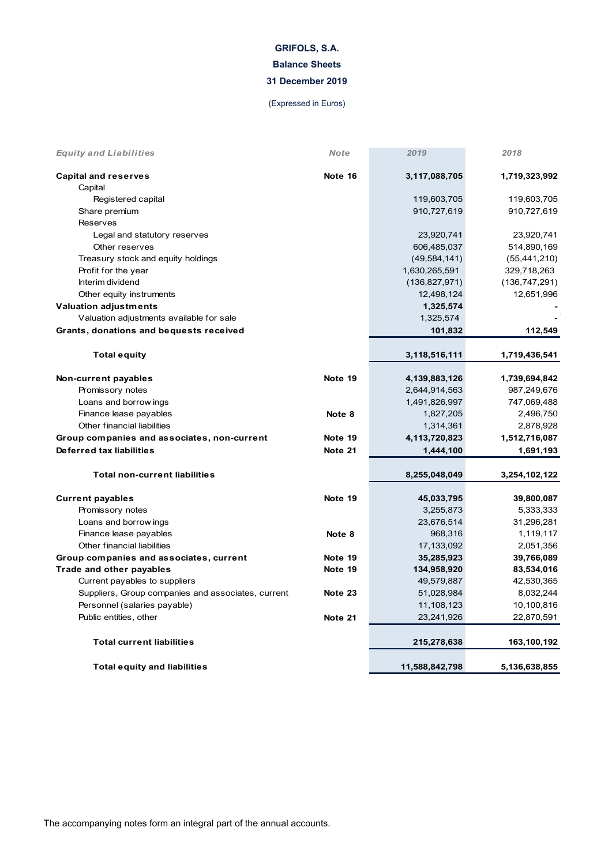# **Balance Sheets**

# **31 December 2019**

(Expressed in Euros)

| <b>Note</b><br><b>Equity and Liabilities</b>       |         | 2019            | 2018            |
|----------------------------------------------------|---------|-----------------|-----------------|
| <b>Capital and reserves</b>                        | Note 16 | 3,117,088,705   | 1,719,323,992   |
| Capital                                            |         |                 |                 |
| Registered capital                                 |         | 119,603,705     | 119,603,705     |
| Share premium                                      |         | 910,727,619     | 910,727,619     |
| <b>Reserves</b>                                    |         |                 |                 |
| Legal and statutory reserves                       |         | 23,920,741      | 23,920,741      |
| Other reserves                                     |         | 606,485,037     | 514,890,169     |
| Treasury stock and equity holdings                 |         | (49, 584, 141)  | (55, 441, 210)  |
| Profit for the year                                |         | 1,630,265,591   | 329,718,263     |
| Interim dividend                                   |         | (136, 827, 971) | (136, 747, 291) |
| Other equity instruments                           |         | 12,498,124      | 12,651,996      |
| <b>Valuation adjustments</b>                       |         | 1,325,574       |                 |
| Valuation adjustments available for sale           |         | 1,325,574       |                 |
| Grants, donations and bequests received            |         | 101,832         | 112,549         |
|                                                    |         |                 |                 |
| <b>Total equity</b>                                |         | 3,118,516,111   | 1,719,436,541   |
| Non-current payables                               | Note 19 | 4,139,883,126   | 1,739,694,842   |
| Promissory notes                                   |         | 2,644,914,563   | 987,249,676     |
| Loans and borrow ings                              |         | 1,491,826,997   | 747,069,488     |
| Finance lease payables                             | Note 8  | 1,827,205       | 2,496,750       |
| Other financial liabilities                        |         | 1,314,361       | 2,878,928       |
| Group companies and associates, non-current        | Note 19 | 4,113,720,823   | 1,512,716,087   |
| Deferred tax liabilities                           | Note 21 | 1,444,100       | 1,691,193       |
| <b>Total non-current liabilities</b>               |         | 8,255,048,049   | 3,254,102,122   |
| <b>Current payables</b>                            | Note 19 | 45,033,795      | 39,800,087      |
| Promissory notes                                   |         | 3,255,873       | 5,333,333       |
| Loans and borrow ings                              |         | 23,676,514      | 31,296,281      |
| Finance lease payables                             | Note 8  | 968,316         | 1,119,117       |
| Other financial liabilities                        |         | 17,133,092      | 2,051,356       |
| Group companies and associates, current            | Note 19 | 35,285,923      | 39,766,089      |
| Trade and other payables                           | Note 19 | 134,958,920     | 83,534,016      |
| Current payables to suppliers                      |         | 49,579,887      | 42,530,365      |
| Suppliers, Group companies and associates, current | Note 23 | 51,028,984      | 8,032,244       |
| Personnel (salaries payable)                       |         | 11,108,123      | 10,100,816      |
| Public entities, other                             | Note 21 | 23,241,926      | 22,870,591      |
| <b>Total current liabilities</b>                   |         | 215,278,638     | 163,100,192     |
| <b>Total equity and liabilities</b>                |         | 11,588,842,798  | 5,136,638,855   |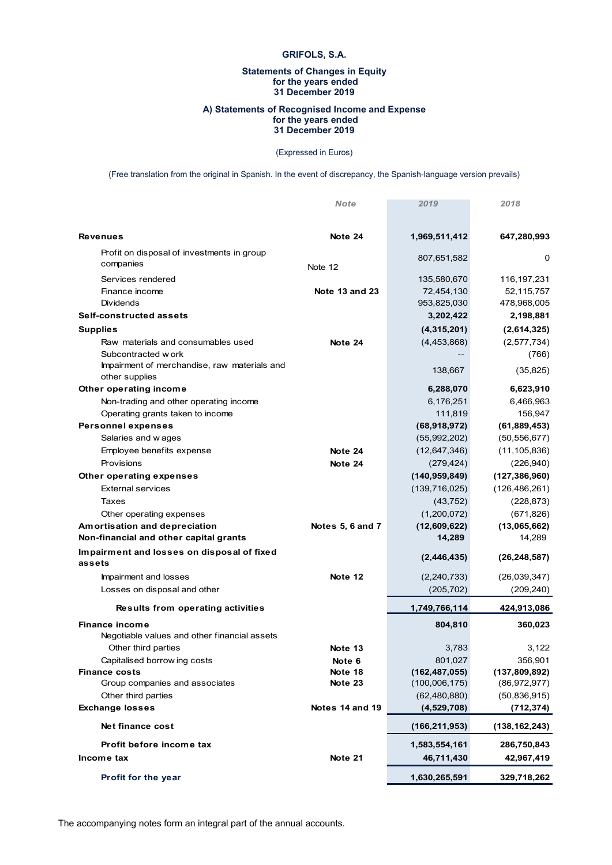#### **Statements of Changes in Equity for the years ended 31 December 2019**

#### **A) Statements of Recognised Income and Expense for the years ended 31 December 2019**

#### (Expressed in Euros)

(Free translation from the original in Spanish. In the event of discrepancy, the Spanish-language version prevails)

|                                                      | <b>Note</b>           | 2019            | 2018            |
|------------------------------------------------------|-----------------------|-----------------|-----------------|
| <b>Revenues</b>                                      | Note 24               | 1,969,511,412   | 647,280,993     |
| Profit on disposal of investments in group           |                       |                 | 0               |
| companies                                            | Note 12               | 807,651,582     |                 |
| Services rendered                                    |                       | 135,580,670     | 116,197,231     |
| Finance income                                       | <b>Note 13 and 23</b> | 72,454,130      | 52,115,757      |
| Dividends                                            |                       | 953,825,030     | 478,968,005     |
| Self-constructed assets                              |                       | 3,202,422       | 2,198,881       |
| <b>Supplies</b>                                      |                       | (4,315,201)     | (2,614,325)     |
| Raw materials and consumables used                   | Note 24               | (4,453,868)     | (2,577,734)     |
| Subcontracted w ork                                  |                       |                 | (766)           |
| Impairment of merchandise, raw materials and         |                       | 138,667         | (35, 825)       |
| other supplies                                       |                       |                 |                 |
| Other operating income                               |                       | 6,288,070       | 6,623,910       |
| Non-trading and other operating income               |                       | 6,176,251       | 6,466,963       |
| Operating grants taken to income                     |                       | 111,819         | 156,947         |
| <b>Personnel expenses</b>                            |                       | (68,918,972)    | (61, 889, 453)  |
| Salaries and wages                                   |                       | (55,992,202)    | (50, 556, 677)  |
| Employee benefits expense                            | Note 24               | (12, 647, 346)  | (11, 105, 836)  |
| Provisions                                           | Note 24               | (279, 424)      | (226, 940)      |
| Other operating expenses                             |                       | (140, 959, 849) | (127, 386, 960) |
| <b>External services</b>                             |                       | (139, 716, 025) | (126, 486, 261) |
| <b>Taxes</b>                                         |                       | (43, 752)       | (228, 873)      |
| Other operating expenses                             |                       | (1,200,072)     | (671, 826)      |
| Amortisation and depreciation                        | Notes 5, 6 and 7      | (12,609,622)    | (13,065,662)    |
| Non-financial and other capital grants               |                       | 14,289          | 14,289          |
| Impairment and losses on disposal of fixed<br>assets |                       | (2, 446, 435)   | (26, 248, 587)  |
| Impairment and losses                                | Note 12               | (2, 240, 733)   | (26,039,347)    |
| Losses on disposal and other                         |                       | (205, 702)      | (209, 240)      |
| Results from operating activities                    |                       | 1,749,766,114   | 424,913,086     |
| Finance income                                       |                       | 804,810         | 360,023         |
| Negotiable values and other financial assets         |                       |                 |                 |
| Other third parties                                  | Note 13               | 3,783           | 3,122           |
| Capitalised borrow ing costs                         | Note 6                | 801,027         | 356,901         |
| <b>Finance costs</b>                                 | Note 18               | (162, 487, 055) | (137, 809, 892) |
| Group companies and associates                       | Note 23               | (100,006,175)   | (86, 972, 977)  |
| Other third parties                                  |                       | (62, 480, 880)  | (50, 836, 915)  |
| <b>Exchange losses</b>                               | Notes 14 and 19       | (4, 529, 708)   | (712, 374)      |
| Net finance cost                                     |                       | (166, 211, 953) | (138, 162, 243) |
| Profit before income tax                             |                       | 1,583,554,161   | 286,750,843     |
| Income tax                                           | Note 21               | 46,711,430      | 42,967,419      |
| Profit for the year                                  |                       | 1,630,265,591   | 329,718,262     |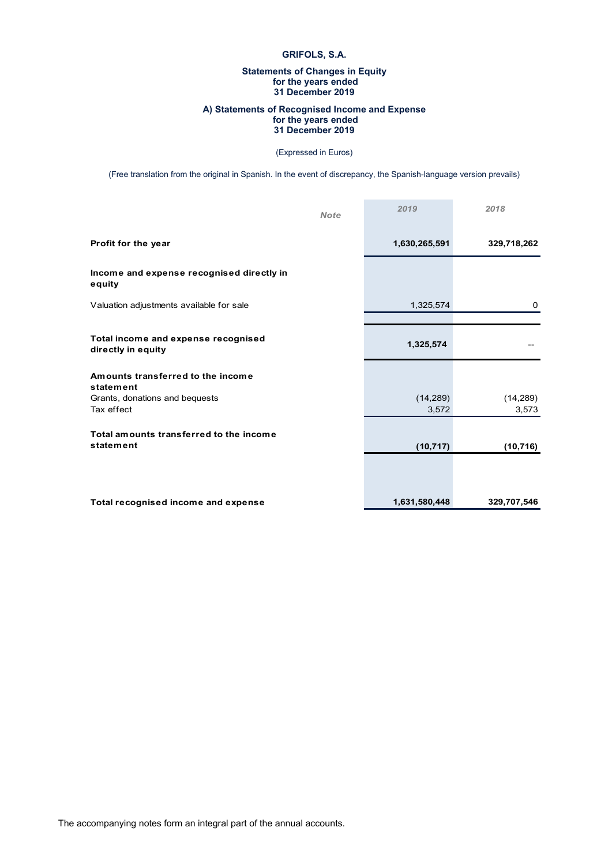#### **Statements of Changes in Equity for the years ended 31 December 2019**

#### **A) Statements of Recognised Income and Expense for the years ended 31 December 2019**

#### (Expressed in Euros)

(Free translation from the original in Spanish. In the event of discrepancy, the Spanish-language version prevails)

| <b>Note</b>                                               | 2019          | 2018        |
|-----------------------------------------------------------|---------------|-------------|
| Profit for the year                                       | 1,630,265,591 | 329,718,262 |
| Income and expense recognised directly in<br>equity       |               |             |
| Valuation adjustments available for sale                  | 1,325,574     | 0           |
|                                                           |               |             |
| Total income and expense recognised<br>directly in equity | 1,325,574     |             |
| Amounts transferred to the income<br>statement            |               |             |
| Grants, donations and bequests                            | (14, 289)     | (14, 289)   |
| Tax effect                                                | 3,572         | 3,573       |
| Total amounts transferred to the income<br>statement      | (10, 717)     | (10, 716)   |
|                                                           |               |             |
| Total recognised income and expense                       | 1,631,580,448 | 329,707,546 |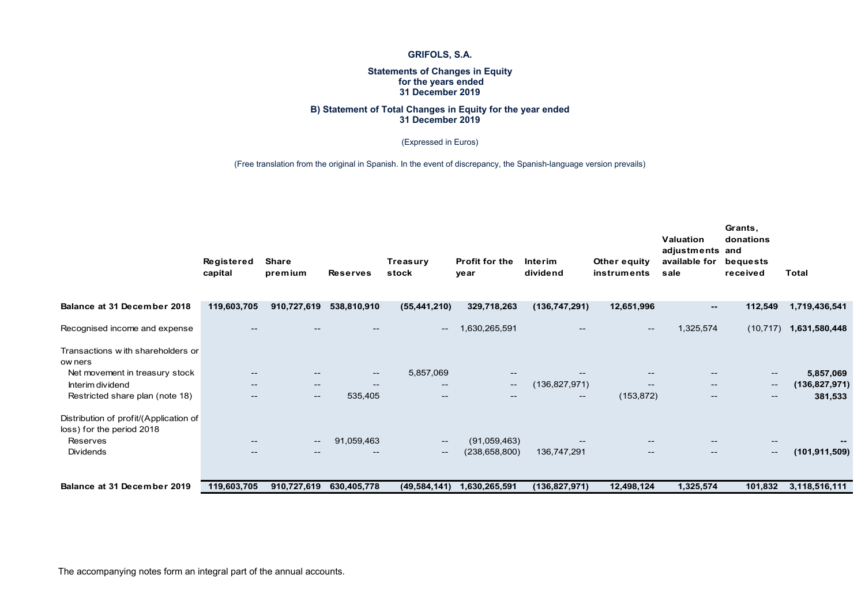#### **Statements of Changes in Equity for the years ended 31 December 2019**

#### **B) Statement of Total Changes in Equity for the year ended 31 December 2019**

(Expressed in Euros)

(Free translation from the original in Spanish. In the event of discrepancy, the Spanish-language version prevails)

|                                                                     | Registered<br>capital    | <b>Share</b><br>premium | <b>Reserves</b>   | Treasury<br>stock | <b>Profit for the</b><br>year | Interim<br>dividend                            | Other equity<br>instruments | <b>Valuation</b><br>adjustments and<br>available for<br>sale | Grants,<br>donations<br>bequests<br>received | <b>Total</b>    |
|---------------------------------------------------------------------|--------------------------|-------------------------|-------------------|-------------------|-------------------------------|------------------------------------------------|-----------------------------|--------------------------------------------------------------|----------------------------------------------|-----------------|
| Balance at 31 December 2018                                         | 119,603,705              | 910,727,619             | 538,810,910       | (55, 441, 210)    | 329,718,263                   | (136, 747, 291)                                | 12,651,996                  | $\sim$ $\sim$                                                | 112,549                                      | 1,719,436,541   |
| Recognised income and expense                                       | $\qquad \qquad -$        | $- -$                   |                   | $- -$             | 1,630,265,591                 | $\overline{\phantom{m}}$                       | $\overline{\phantom{m}}$    | 1,325,574                                                    | (10, 717)                                    | 1,631,580,448   |
| Transactions w ith shareholders or                                  |                          |                         |                   |                   |                               |                                                |                             |                                                              |                                              |                 |
| ow ners                                                             |                          |                         |                   |                   |                               |                                                |                             |                                                              |                                              |                 |
| Net movement in treasury stock                                      | $\overline{\phantom{m}}$ | $- -$                   | $\qquad \qquad -$ | 5,857,069         | $\qquad \qquad -$             |                                                |                             | $ -$                                                         | $\overline{\phantom{a}}$                     | 5,857,069       |
| Interim dividend                                                    | $\qquad \qquad -$        | $- -$                   |                   | $- -$             | $- -$                         | (136, 827, 971)                                | $- -$                       | $--$                                                         | $- -$                                        | (136, 827, 971) |
| Restricted share plan (note 18)                                     | $\qquad \qquad -$        | $- -$                   | 535,405           | $--$              | $-$                           | $\hspace{0.1mm}-\hspace{0.1mm}-\hspace{0.1mm}$ | (153, 872)                  | $- -$                                                        | $--$                                         | 381,533         |
| Distribution of profit/(Application of<br>loss) for the period 2018 |                          |                         |                   |                   |                               |                                                |                             |                                                              |                                              |                 |
| <b>Reserves</b>                                                     | $\overline{\phantom{m}}$ | $--$                    | 91,059,463        | $\qquad \qquad -$ | (91,059,463)                  | $\overline{\phantom{m}}$                       |                             | $ -$                                                         | $--$                                         |                 |
| Dividends                                                           | $- -$                    | $- -$                   | $- -$             | $- -$             | (238,658,800)                 | 136,747,291                                    | $- -$                       | $- -$                                                        | $--$                                         | (101, 911, 509) |
|                                                                     |                          |                         |                   |                   |                               |                                                |                             |                                                              |                                              |                 |
| Balance at 31 December 2019                                         | 119,603,705              | 910,727,619             | 630,405,778       | (49, 584, 141)    | 1,630,265,591                 | (136, 827, 971)                                | 12,498,124                  | 1,325,574                                                    | 101,832                                      | 3,118,516,111   |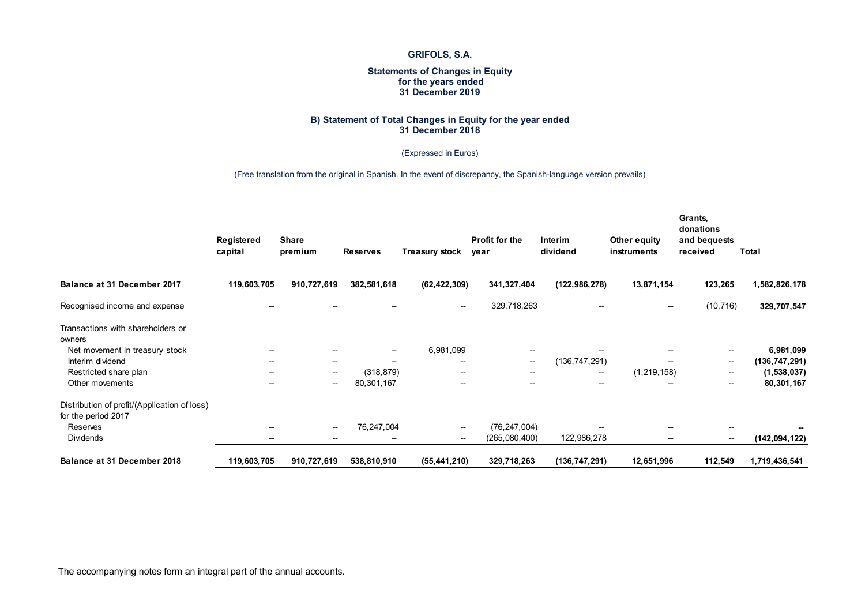#### **Statements of Changes in Equity for the years ended 31 December 2019**

#### **B) Statement of Total Changes in Equity for the year ended 31 December 2018**

#### (Expressed in Euros)

(Free translation from the original in Spanish. In the event of discrepancy, the Spanish-language version prevails)

|                                                                     | Registered<br>capital | <b>Share</b><br>premium  | <b>Reserves</b>          | <b>Treasury stock</b>    | <b>Profit for the</b><br>year | Interim<br>dividend      | Other equity<br>instruments | Grants,<br>donations<br>and bequests<br>received | Total           |
|---------------------------------------------------------------------|-----------------------|--------------------------|--------------------------|--------------------------|-------------------------------|--------------------------|-----------------------------|--------------------------------------------------|-----------------|
| Balance at 31 December 2017                                         | 119,603,705           | 910,727,619              | 382,581,618              | (62, 422, 309)           | 341,327,404                   | (122, 986, 278)          | 13,871,154                  | 123,265                                          | 1,582,826,178   |
| Recognised income and expense                                       |                       |                          |                          | $\overline{\phantom{a}}$ | 329,718,263                   |                          |                             | (10, 716)                                        | 329,707,547     |
| Transactions with shareholders or<br>owners                         |                       |                          |                          |                          |                               |                          |                             |                                                  |                 |
| Net movement in treasury stock                                      | --                    |                          | $\overline{\phantom{a}}$ | 6,981,099                | --                            |                          |                             |                                                  | 6,981,099       |
| Interim dividend                                                    |                       |                          | --                       | --                       | --                            | (136, 747, 291)          |                             | $\overline{\phantom{a}}$                         | (136,747,291)   |
| Restricted share plan                                               | --                    | $\overline{\phantom{a}}$ | (318, 879)               | $\hspace{0.05cm}$        | --                            | $\overline{\phantom{a}}$ | (1, 219, 158)               | $\hspace{0.05cm}$                                | (1,538,037)     |
| Other movements                                                     | --                    | $\overline{\phantom{a}}$ | 80,301,167               | $\overline{\phantom{a}}$ | --                            | $\overline{\phantom{a}}$ |                             | $\hspace{0.05cm}$                                | 80,301,167      |
| Distribution of profit/(Application of loss)<br>for the period 2017 |                       |                          |                          |                          |                               |                          |                             |                                                  |                 |
| <b>Reserves</b>                                                     | --                    | $\overline{\phantom{a}}$ | 76,247,004               | $\overline{\phantom{a}}$ | (76, 247, 004)                |                          |                             |                                                  |                 |
| <b>Dividends</b>                                                    |                       |                          | --                       | $\overline{\phantom{a}}$ | (265,080,400)                 | 122,986,278              |                             | $\overline{\phantom{a}}$                         | (142, 094, 122) |
| Balance at 31 December 2018                                         | 119,603,705           | 910,727,619              | 538,810,910              | (55, 441, 210)           | 329,718,263                   | (136, 747, 291)          | 12,651,996                  | 112,549                                          | 1,719,436,541   |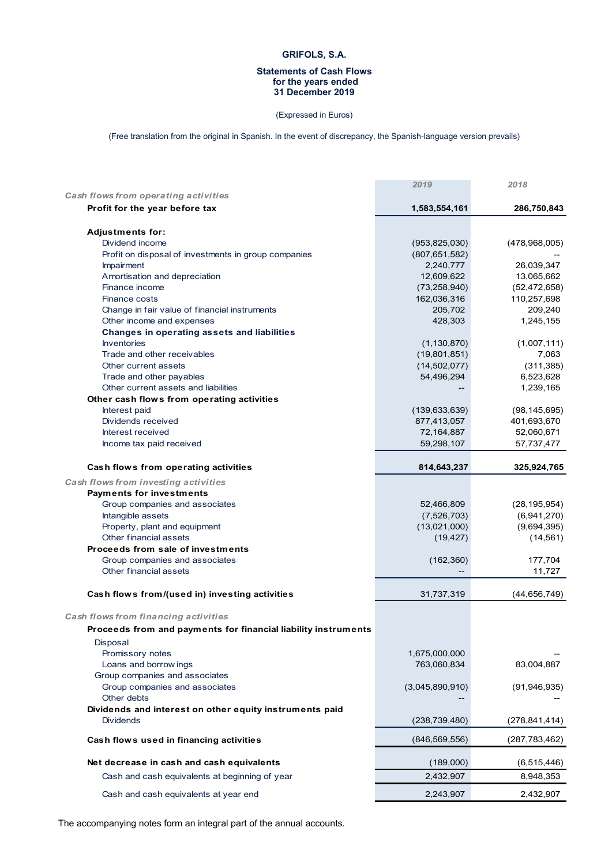#### **Statements of Cash Flows for the years ended 31 December 2019**

(Expressed in Euros)

(Free translation from the original in Spanish. In the event of discrepancy, the Spanish-language version prevails)

|                                                                | 2019                         | 2018            |
|----------------------------------------------------------------|------------------------------|-----------------|
| Cash flows from operating activities                           |                              |                 |
| Profit for the year before tax                                 | 1,583,554,161                | 286,750,843     |
|                                                                |                              |                 |
| <b>Adjustments for:</b><br>Dividend income                     | (953, 825, 030)              | (478,968,005)   |
|                                                                |                              |                 |
| Profit on disposal of investments in group companies           | (807, 651, 582)<br>2,240,777 | 26,039,347      |
| Impairment                                                     | 12,609,622                   | 13,065,662      |
| Amortisation and depreciation<br>Finance income                | (73, 258, 940)               | (52, 472, 658)  |
| <b>Finance costs</b>                                           | 162,036,316                  | 110,257,698     |
| Change in fair value of financial instruments                  | 205,702                      | 209,240         |
| Other income and expenses                                      | 428,303                      | 1,245,155       |
| Changes in operating assets and liabilities                    |                              |                 |
| <b>Inventories</b>                                             | (1, 130, 870)                | (1,007,111)     |
| Trade and other receivables                                    | (19,801,851)                 | 7,063           |
| Other current assets                                           | (14, 502, 077)               | (311, 385)      |
| Trade and other payables                                       | 54,496,294                   | 6,523,628       |
| Other current assets and liabilities                           |                              | 1,239,165       |
| Other cash flows from operating activities                     |                              |                 |
| Interest paid                                                  | (139, 633, 639)              | (98, 145, 695)  |
| Dividends received                                             | 877,413,057                  | 401,693,670     |
| Interest received                                              | 72,164,887                   | 52,060,671      |
| Income tax paid received                                       | 59,298,107                   | 57,737,477      |
|                                                                |                              |                 |
| Cash flows from operating activities                           | 814,643,237                  | 325,924,765     |
| Cash flows from investing activities                           |                              |                 |
| <b>Payments for investments</b>                                |                              |                 |
| Group companies and associates                                 | 52,466,809                   | (28, 195, 954)  |
| Intangible assets                                              | (7,526,703)                  | (6,941,270)     |
| Property, plant and equipment                                  | (13,021,000)                 | (9,694,395)     |
| Other financial assets                                         | (19, 427)                    | (14, 561)       |
| Proceeds from sale of investments                              |                              |                 |
| Group companies and associates                                 | (162, 360)                   | 177,704         |
| Other financial assets                                         |                              | 11,727          |
|                                                                |                              |                 |
| Cash flows from/(used in) investing activities                 | 31,737,319                   | (44, 656, 749)  |
|                                                                |                              |                 |
| Cash flows from financing activities                           |                              |                 |
| Proceeds from and payments for financial liability instruments |                              |                 |
| Disposal                                                       |                              |                 |
| Promissory notes                                               | 1,675,000,000                |                 |
| Loans and borrow ings                                          | 763,060,834                  | 83,004,887      |
| Group companies and associates                                 |                              |                 |
| Group companies and associates                                 | (3,045,890,910)              | (91, 946, 935)  |
| Other debts                                                    |                              |                 |
| Dividends and interest on other equity instruments paid        |                              |                 |
| <b>Dividends</b>                                               | (238, 739, 480)              | (278, 841, 414) |
| Cash flows used in financing activities                        | (846, 569, 556)              | (287,783,462)   |
|                                                                |                              |                 |
| Net decrease in cash and cash equivalents                      | (189,000)                    | (6, 515, 446)   |
| Cash and cash equivalents at beginning of year                 | 2,432,907                    | 8,948,353       |
|                                                                |                              |                 |
| Cash and cash equivalents at year end                          | 2,243,907                    | 2,432,907       |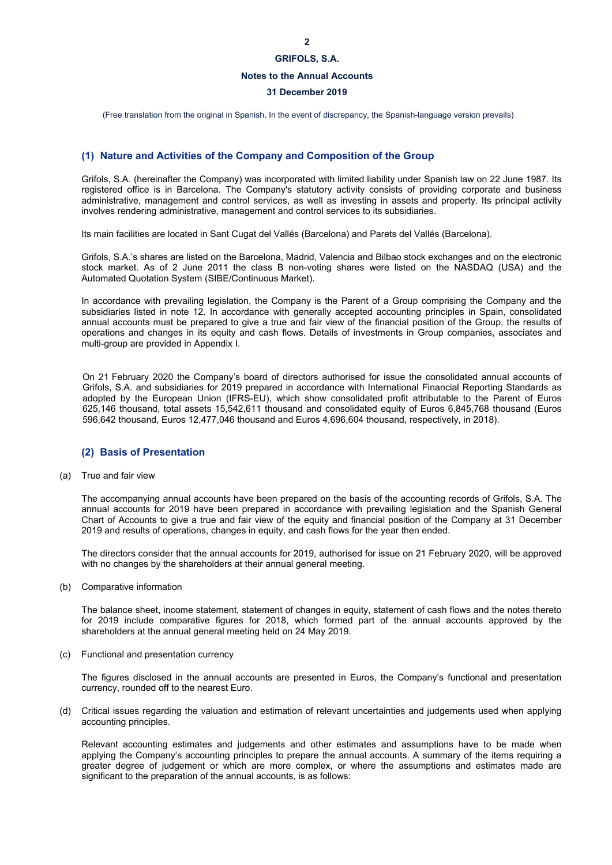#### **Notes to the Annual Accounts**

### **31 December 2019**

(Free translation from the original in Spanish. In the event of discrepancy, the Spanish-language version prevails)

#### **(1) Nature and Activities of the Company and Composition of the Group**

Grifols, S.A. (hereinafter the Company) was incorporated with limited liability under Spanish law on 22 June 1987. Its registered office is in Barcelona. The Company's statutory activity consists of providing corporate and business administrative, management and control services, as well as investing in assets and property. Its principal activity involves rendering administrative, management and control services to its subsidiaries.

Its main facilities are located in Sant Cugat del Vallés (Barcelona) and Parets del Vallés (Barcelona).

Grifols, S.A.'s shares are listed on the Barcelona, Madrid, Valencia and Bilbao stock exchanges and on the electronic stock market. As of 2 June 2011 the class B non-voting shares were listed on the NASDAQ (USA) and the Automated Quotation System (SIBE/Continuous Market).

In accordance with prevailing legislation, the Company is the Parent of a Group comprising the Company and the subsidiaries listed in note 12. In accordance with generally accepted accounting principles in Spain, consolidated annual accounts must be prepared to give a true and fair view of the financial position of the Group, the results of operations and changes in its equity and cash flows. Details of investments in Group companies, associates and multi-group are provided in Appendix I.

On 21 February 2020 the Company's board of directors authorised for issue the consolidated annual accounts of Grifols, S.A. and subsidiaries for 2019 prepared in accordance with International Financial Reporting Standards as adopted by the European Union (IFRS-EU), which show consolidated profit attributable to the Parent of Euros 625,146 thousand, total assets 15,542,611 thousand and consolidated equity of Euros 6,845,768 thousand (Euros 596,642 thousand, Euros 12,477,046 thousand and Euros 4,696,604 thousand, respectively, in 2018).

#### **(2) Basis of Presentation**

(a) True and fair view

The accompanying annual accounts have been prepared on the basis of the accounting records of Grifols, S.A. The annual accounts for 2019 have been prepared in accordance with prevailing legislation and the Spanish General Chart of Accounts to give a true and fair view of the equity and financial position of the Company at 31 December 2019 and results of operations, changes in equity, and cash flows for the year then ended.

The directors consider that the annual accounts for 2019, authorised for issue on 21 February 2020, will be approved with no changes by the shareholders at their annual general meeting.

(b) Comparative information

The balance sheet, income statement, statement of changes in equity, statement of cash flows and the notes thereto for 2019 include comparative figures for 2018, which formed part of the annual accounts approved by the shareholders at the annual general meeting held on 24 May 2019.

(c) Functional and presentation currency

The figures disclosed in the annual accounts are presented in Euros, the Company's functional and presentation currency, rounded off to the nearest Euro.

(d) Critical issues regarding the valuation and estimation of relevant uncertainties and judgements used when applying accounting principles.

Relevant accounting estimates and judgements and other estimates and assumptions have to be made when applying the Company's accounting principles to prepare the annual accounts. A summary of the items requiring a greater degree of judgement or which are more complex, or where the assumptions and estimates made are significant to the preparation of the annual accounts, is as follows: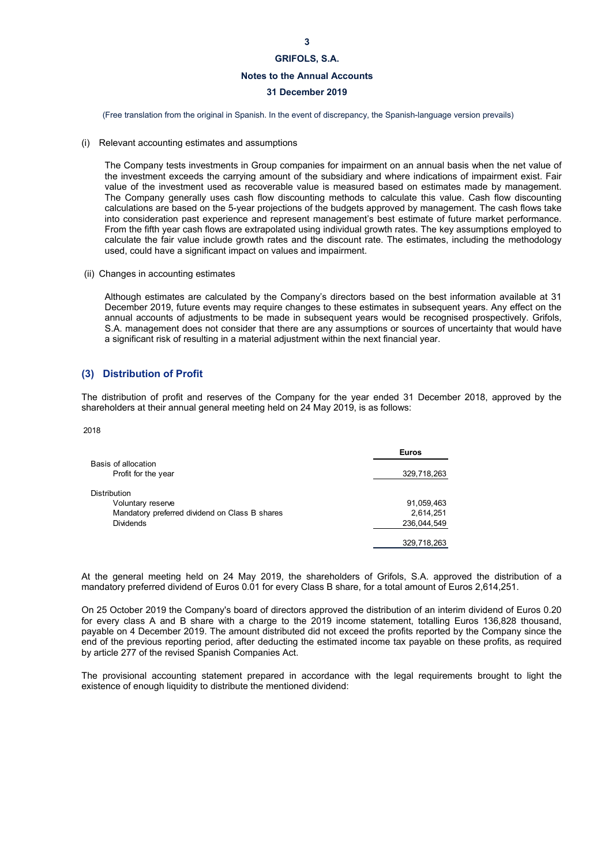# **GRIFOLS, S.A. Notes to the Annual Accounts**

### **31 December 2019**

(Free translation from the original in Spanish. In the event of discrepancy, the Spanish-language version prevails)

(i) Relevant accounting estimates and assumptions

The Company tests investments in Group companies for impairment on an annual basis when the net value of the investment exceeds the carrying amount of the subsidiary and where indications of impairment exist. Fair value of the investment used as recoverable value is measured based on estimates made by management. The Company generally uses cash flow discounting methods to calculate this value. Cash flow discounting calculations are based on the 5-year projections of the budgets approved by management. The cash flows take into consideration past experience and represent management's best estimate of future market performance. From the fifth year cash flows are extrapolated using individual growth rates. The key assumptions employed to calculate the fair value include growth rates and the discount rate. The estimates, including the methodology used, could have a significant impact on values and impairment.

(ii) Changes in accounting estimates

Although estimates are calculated by the Company's directors based on the best information available at 31 December 2019, future events may require changes to these estimates in subsequent years. Any effect on the annual accounts of adjustments to be made in subsequent years would be recognised prospectively. Grifols, S.A. management does not consider that there are any assumptions or sources of uncertainty that would have a significant risk of resulting in a material adjustment within the next financial year.

## **(3) Distribution of Profit**

The distribution of profit and reserves of the Company for the year ended 31 December 2018, approved by the shareholders at their annual general meeting held on 24 May 2019, is as follows:

2018

|                                                | <b>Euros</b> |
|------------------------------------------------|--------------|
| Basis of allocation                            |              |
| Profit for the year                            | 329,718,263  |
| <b>Distribution</b>                            |              |
| Voluntary reserve                              | 91,059,463   |
| Mandatory preferred dividend on Class B shares | 2,614,251    |
| <b>Dividends</b>                               | 236,044,549  |
|                                                | 329,718,263  |

At the general meeting held on 24 May 2019, the shareholders of Grifols, S.A. approved the distribution of a mandatory preferred dividend of Euros 0.01 for every Class B share, for a total amount of Euros 2,614,251.

On 25 October 2019 the Company's board of directors approved the distribution of an interim dividend of Euros 0.20 for every class A and B share with a charge to the 2019 income statement, totalling Euros 136,828 thousand, payable on 4 December 2019. The amount distributed did not exceed the profits reported by the Company since the end of the previous reporting period, after deducting the estimated income tax payable on these profits, as required by article 277 of the revised Spanish Companies Act.

The provisional accounting statement prepared in accordance with the legal requirements brought to light the existence of enough liquidity to distribute the mentioned dividend: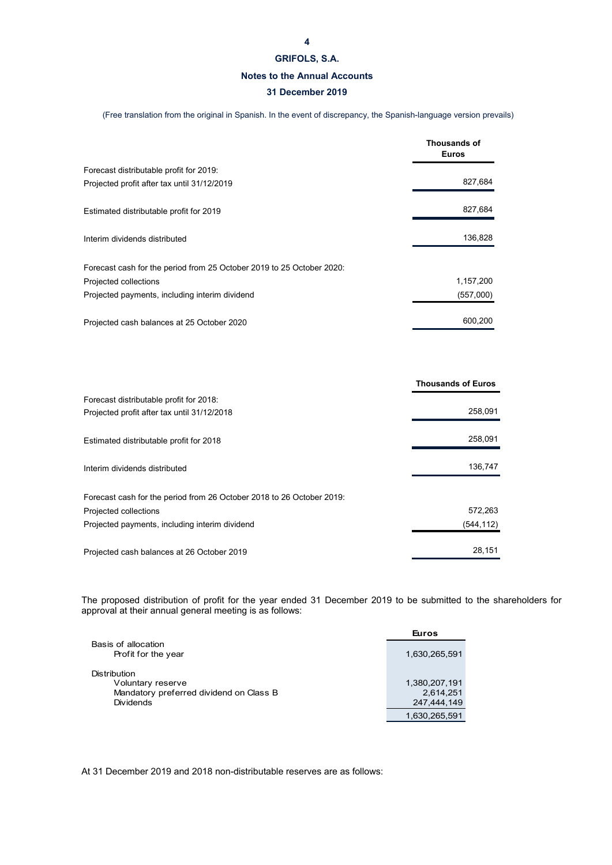# **Notes to the Annual Accounts**

# **31 December 2019**

(Free translation from the original in Spanish. In the event of discrepancy, the Spanish-language version prevails)

|                                                                       | <b>Thousands of</b><br><b>Euros</b> |
|-----------------------------------------------------------------------|-------------------------------------|
| Forecast distributable profit for 2019:                               |                                     |
| Projected profit after tax until 31/12/2019                           | 827,684                             |
| Estimated distributable profit for 2019                               | 827,684                             |
| Interim dividends distributed                                         | 136,828                             |
| Forecast cash for the period from 25 October 2019 to 25 October 2020: |                                     |
| Projected collections                                                 | 1,157,200                           |
| Projected payments, including interim dividend                        | (557,000)                           |
| Projected cash balances at 25 October 2020                            | 600,200                             |

|                                                                       | <b>Thousands of Euros</b> |
|-----------------------------------------------------------------------|---------------------------|
| Forecast distributable profit for 2018:                               |                           |
| Projected profit after tax until 31/12/2018                           | 258,091                   |
| Estimated distributable profit for 2018                               | 258,091                   |
| Interim dividends distributed                                         | 136,747                   |
| Forecast cash for the period from 26 October 2018 to 26 October 2019: |                           |
| Projected collections                                                 | 572,263                   |
| Projected payments, including interim dividend                        | (544,112)                 |
| Projected cash balances at 26 October 2019                            | 28.151                    |

The proposed distribution of profit for the year ended 31 December 2019 to be submitted to the shareholders for approval at their annual general meeting is as follows:

|                                            | <b>Euros</b>  |
|--------------------------------------------|---------------|
| Basis of allocation<br>Profit for the year | 1,630,265,591 |
| <b>Distribution</b>                        |               |
| Voluntary reserve                          | 1,380,207,191 |
| Mandatory preferred dividend on Class B    | 2,614,251     |
| Dividends                                  | 247,444,149   |
|                                            | 1,630,265,591 |

At 31 December 2019 and 2018 non-distributable reserves are as follows: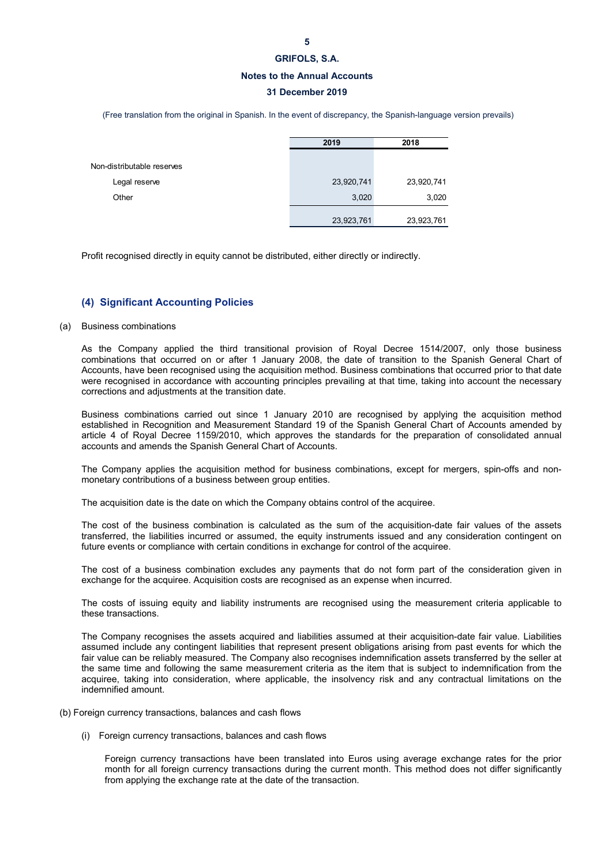#### **Notes to the Annual Accounts**

#### **31 December 2019**

(Free translation from the original in Spanish. In the event of discrepancy, the Spanish-language version prevails)

|                            | 2019       | 2018       |  |
|----------------------------|------------|------------|--|
| Non-distributable reserves |            |            |  |
| Legal reserve              | 23,920,741 | 23,920,741 |  |
| Other                      | 3,020      | 3,020      |  |
|                            | 23,923,761 | 23,923,761 |  |

Profit recognised directly in equity cannot be distributed, either directly or indirectly.

## **(4) Significant Accounting Policies**

#### (a) Business combinations

As the Company applied the third transitional provision of Royal Decree 1514/2007, only those business combinations that occurred on or after 1 January 2008, the date of transition to the Spanish General Chart of Accounts, have been recognised using the acquisition method. Business combinations that occurred prior to that date were recognised in accordance with accounting principles prevailing at that time, taking into account the necessary corrections and adjustments at the transition date.

Business combinations carried out since 1 January 2010 are recognised by applying the acquisition method established in Recognition and Measurement Standard 19 of the Spanish General Chart of Accounts amended by article 4 of Royal Decree 1159/2010, which approves the standards for the preparation of consolidated annual accounts and amends the Spanish General Chart of Accounts.

The Company applies the acquisition method for business combinations, except for mergers, spin-offs and nonmonetary contributions of a business between group entities.

The acquisition date is the date on which the Company obtains control of the acquiree.

The cost of the business combination is calculated as the sum of the acquisition-date fair values of the assets transferred, the liabilities incurred or assumed, the equity instruments issued and any consideration contingent on future events or compliance with certain conditions in exchange for control of the acquiree.

The cost of a business combination excludes any payments that do not form part of the consideration given in exchange for the acquiree. Acquisition costs are recognised as an expense when incurred.

The costs of issuing equity and liability instruments are recognised using the measurement criteria applicable to these transactions.

The Company recognises the assets acquired and liabilities assumed at their acquisition-date fair value. Liabilities assumed include any contingent liabilities that represent present obligations arising from past events for which the fair value can be reliably measured. The Company also recognises indemnification assets transferred by the seller at the same time and following the same measurement criteria as the item that is subject to indemnification from the acquiree, taking into consideration, where applicable, the insolvency risk and any contractual limitations on the indemnified amount.

- (b) Foreign currency transactions, balances and cash flows
	- (i) Foreign currency transactions, balances and cash flows

Foreign currency transactions have been translated into Euros using average exchange rates for the prior month for all foreign currency transactions during the current month. This method does not differ significantly from applying the exchange rate at the date of the transaction.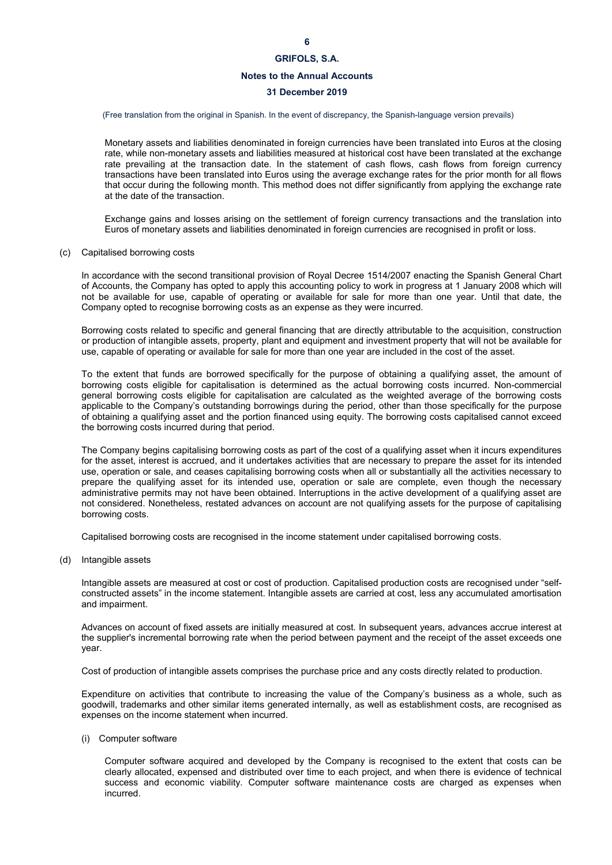# **GRIFOLS, S.A. Notes to the Annual Accounts**

#### **31 December 2019**

(Free translation from the original in Spanish. In the event of discrepancy, the Spanish-language version prevails)

Monetary assets and liabilities denominated in foreign currencies have been translated into Euros at the closing rate, while non-monetary assets and liabilities measured at historical cost have been translated at the exchange rate prevailing at the transaction date. In the statement of cash flows, cash flows from foreign currency transactions have been translated into Euros using the average exchange rates for the prior month for all flows that occur during the following month. This method does not differ significantly from applying the exchange rate at the date of the transaction.

Exchange gains and losses arising on the settlement of foreign currency transactions and the translation into Euros of monetary assets and liabilities denominated in foreign currencies are recognised in profit or loss.

(c) Capitalised borrowing costs

In accordance with the second transitional provision of Royal Decree 1514/2007 enacting the Spanish General Chart of Accounts, the Company has opted to apply this accounting policy to work in progress at 1 January 2008 which will not be available for use, capable of operating or available for sale for more than one year. Until that date, the Company opted to recognise borrowing costs as an expense as they were incurred.

Borrowing costs related to specific and general financing that are directly attributable to the acquisition, construction or production of intangible assets, property, plant and equipment and investment property that will not be available for use, capable of operating or available for sale for more than one year are included in the cost of the asset.

To the extent that funds are borrowed specifically for the purpose of obtaining a qualifying asset, the amount of borrowing costs eligible for capitalisation is determined as the actual borrowing costs incurred. Non-commercial general borrowing costs eligible for capitalisation are calculated as the weighted average of the borrowing costs applicable to the Company's outstanding borrowings during the period, other than those specifically for the purpose of obtaining a qualifying asset and the portion financed using equity. The borrowing costs capitalised cannot exceed the borrowing costs incurred during that period.

The Company begins capitalising borrowing costs as part of the cost of a qualifying asset when it incurs expenditures for the asset, interest is accrued, and it undertakes activities that are necessary to prepare the asset for its intended use, operation or sale, and ceases capitalising borrowing costs when all or substantially all the activities necessary to prepare the qualifying asset for its intended use, operation or sale are complete, even though the necessary administrative permits may not have been obtained. Interruptions in the active development of a qualifying asset are not considered. Nonetheless, restated advances on account are not qualifying assets for the purpose of capitalising borrowing costs.

Capitalised borrowing costs are recognised in the income statement under capitalised borrowing costs.

(d) Intangible assets

Intangible assets are measured at cost or cost of production. Capitalised production costs are recognised under "selfconstructed assets" in the income statement. Intangible assets are carried at cost, less any accumulated amortisation and impairment.

Advances on account of fixed assets are initially measured at cost. In subsequent years, advances accrue interest at the supplier's incremental borrowing rate when the period between payment and the receipt of the asset exceeds one year.

Cost of production of intangible assets comprises the purchase price and any costs directly related to production.

Expenditure on activities that contribute to increasing the value of the Company's business as a whole, such as goodwill, trademarks and other similar items generated internally, as well as establishment costs, are recognised as expenses on the income statement when incurred.

(i) Computer software

Computer software acquired and developed by the Company is recognised to the extent that costs can be clearly allocated, expensed and distributed over time to each project, and when there is evidence of technical success and economic viability. Computer software maintenance costs are charged as expenses when incurred.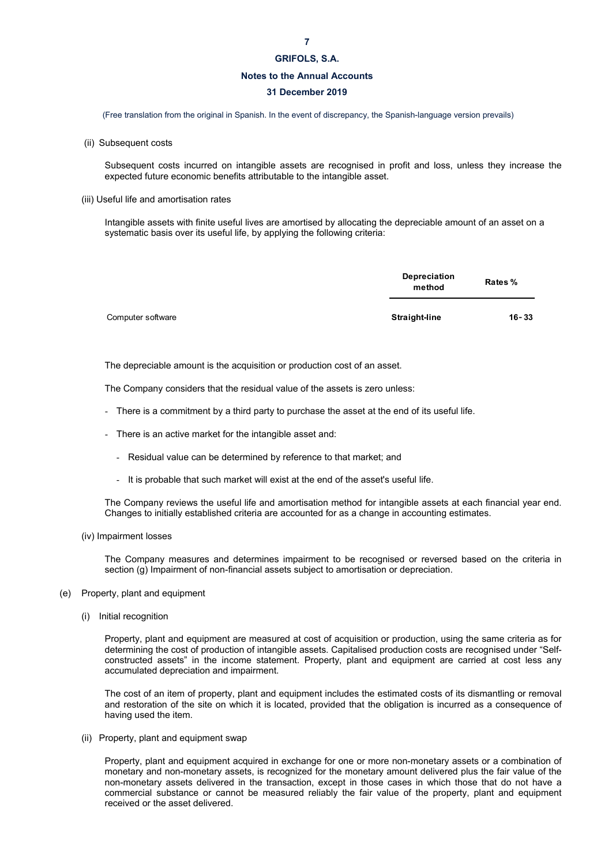# **Notes to the Annual Accounts**

# **31 December 2019**

(Free translation from the original in Spanish. In the event of discrepancy, the Spanish-language version prevails)

(ii) Subsequent costs

Subsequent costs incurred on intangible assets are recognised in profit and loss, unless they increase the expected future economic benefits attributable to the intangible asset.

#### (iii) Useful life and amortisation rates

Intangible assets with finite useful lives are amortised by allocating the depreciable amount of an asset on a systematic basis over its useful life, by applying the following criteria:

|                   | Depreciation<br>method | Rates %   |
|-------------------|------------------------|-----------|
| Computer software | Straight-line          | $16 - 33$ |

The depreciable amount is the acquisition or production cost of an asset.

The Company considers that the residual value of the assets is zero unless:

- There is a commitment by a third party to purchase the asset at the end of its useful life.
- There is an active market for the intangible asset and:
	- Residual value can be determined by reference to that market; and
	- It is probable that such market will exist at the end of the asset's useful life.

The Company reviews the useful life and amortisation method for intangible assets at each financial year end. Changes to initially established criteria are accounted for as a change in accounting estimates.

(iv) Impairment losses

The Company measures and determines impairment to be recognised or reversed based on the criteria in section (g) Impairment of non-financial assets subject to amortisation or depreciation.

- (e) Property, plant and equipment
	- (i) Initial recognition

Property, plant and equipment are measured at cost of acquisition or production, using the same criteria as for determining the cost of production of intangible assets. Capitalised production costs are recognised under "Selfconstructed assets" in the income statement. Property, plant and equipment are carried at cost less any accumulated depreciation and impairment.

The cost of an item of property, plant and equipment includes the estimated costs of its dismantling or removal and restoration of the site on which it is located, provided that the obligation is incurred as a consequence of having used the item.

(ii) Property, plant and equipment swap

Property, plant and equipment acquired in exchange for one or more non-monetary assets or a combination of monetary and non-monetary assets, is recognized for the monetary amount delivered plus the fair value of the non-monetary assets delivered in the transaction, except in those cases in which those that do not have a commercial substance or cannot be measured reliably the fair value of the property, plant and equipment received or the asset delivered.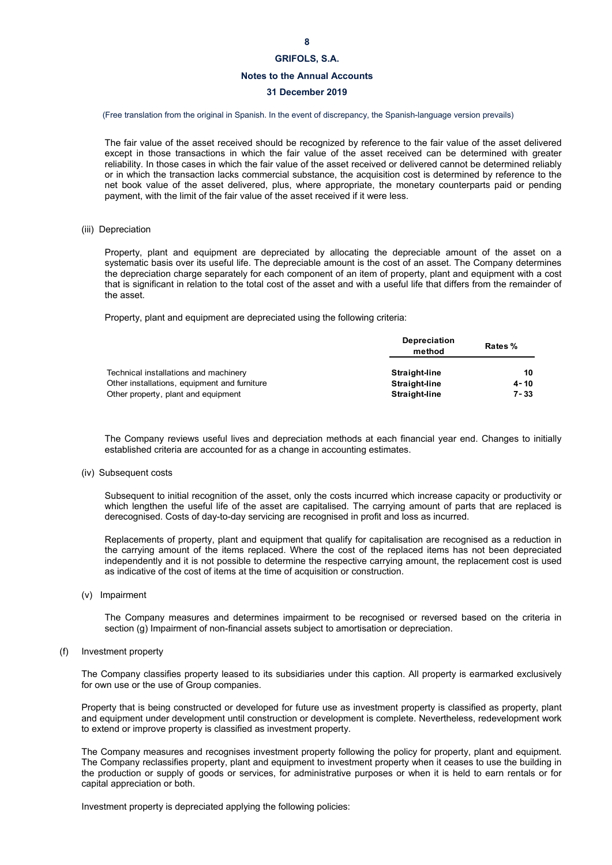#### **Notes to the Annual Accounts**

#### **31 December 2019**

(Free translation from the original in Spanish. In the event of discrepancy, the Spanish-language version prevails)

The fair value of the asset received should be recognized by reference to the fair value of the asset delivered except in those transactions in which the fair value of the asset received can be determined with greater reliability. In those cases in which the fair value of the asset received or delivered cannot be determined reliably or in which the transaction lacks commercial substance, the acquisition cost is determined by reference to the net book value of the asset delivered, plus, where appropriate, the monetary counterparts paid or pending payment, with the limit of the fair value of the asset received if it were less.

#### (iii) Depreciation

Property, plant and equipment are depreciated by allocating the depreciable amount of the asset on a systematic basis over its useful life. The depreciable amount is the cost of an asset. The Company determines the depreciation charge separately for each component of an item of property, plant and equipment with a cost that is significant in relation to the total cost of the asset and with a useful life that differs from the remainder of the asset.

Property, plant and equipment are depreciated using the following criteria:

|                                              | <b>Depreciation</b><br>method | Rates %  |  |
|----------------------------------------------|-------------------------------|----------|--|
| Technical installations and machinery        | Straight-line                 | 10       |  |
| Other installations, equipment and furniture | Straight-line                 | $4 - 10$ |  |
| Other property, plant and equipment          | Straight-line                 | $7 - 33$ |  |

The Company reviews useful lives and depreciation methods at each financial year end. Changes to initially established criteria are accounted for as a change in accounting estimates.

(iv) Subsequent costs

Subsequent to initial recognition of the asset, only the costs incurred which increase capacity or productivity or which lengthen the useful life of the asset are capitalised. The carrying amount of parts that are replaced is derecognised. Costs of day-to-day servicing are recognised in profit and loss as incurred.

Replacements of property, plant and equipment that qualify for capitalisation are recognised as a reduction in the carrying amount of the items replaced. Where the cost of the replaced items has not been depreciated independently and it is not possible to determine the respective carrying amount, the replacement cost is used as indicative of the cost of items at the time of acquisition or construction.

(v) Impairment

The Company measures and determines impairment to be recognised or reversed based on the criteria in section (g) Impairment of non-financial assets subject to amortisation or depreciation.

(f) Investment property

The Company classifies property leased to its subsidiaries under this caption. All property is earmarked exclusively for own use or the use of Group companies.

Property that is being constructed or developed for future use as investment property is classified as property, plant and equipment under development until construction or development is complete. Nevertheless, redevelopment work to extend or improve property is classified as investment property.

The Company measures and recognises investment property following the policy for property, plant and equipment. The Company reclassifies property, plant and equipment to investment property when it ceases to use the building in the production or supply of goods or services, for administrative purposes or when it is held to earn rentals or for capital appreciation or both.

Investment property is depreciated applying the following policies: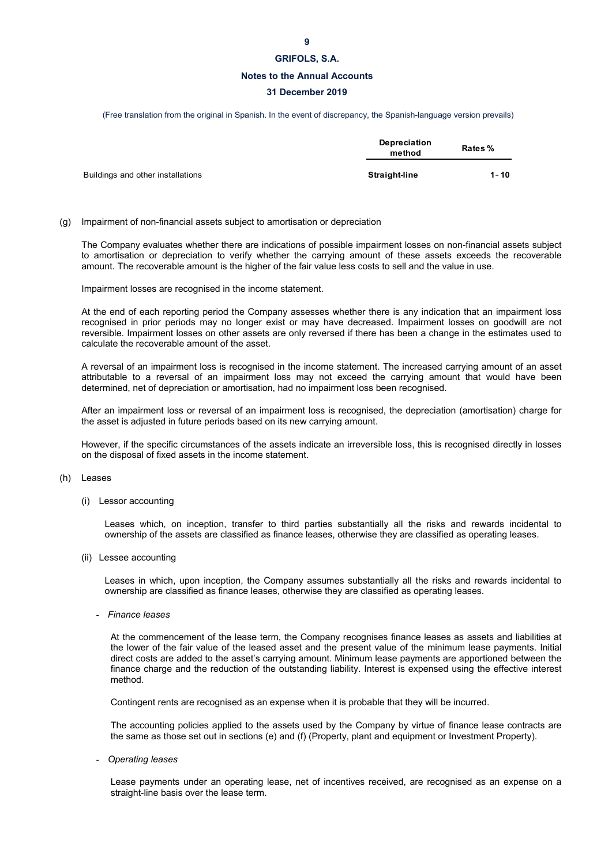#### **Notes to the Annual Accounts**

#### **31 December 2019**

(Free translation from the original in Spanish. In the event of discrepancy, the Spanish-language version prevails)

|                                   | Depreciation<br>method |          |
|-----------------------------------|------------------------|----------|
| Buildings and other installations | <b>Straight-line</b>   | $1 - 10$ |

(g) Impairment of non-financial assets subject to amortisation or depreciation

The Company evaluates whether there are indications of possible impairment losses on non-financial assets subject to amortisation or depreciation to verify whether the carrying amount of these assets exceeds the recoverable amount. The recoverable amount is the higher of the fair value less costs to sell and the value in use.

Impairment losses are recognised in the income statement.

At the end of each reporting period the Company assesses whether there is any indication that an impairment loss recognised in prior periods may no longer exist or may have decreased. Impairment losses on goodwill are not reversible. Impairment losses on other assets are only reversed if there has been a change in the estimates used to calculate the recoverable amount of the asset.

A reversal of an impairment loss is recognised in the income statement. The increased carrying amount of an asset attributable to a reversal of an impairment loss may not exceed the carrying amount that would have been determined, net of depreciation or amortisation, had no impairment loss been recognised.

After an impairment loss or reversal of an impairment loss is recognised, the depreciation (amortisation) charge for the asset is adjusted in future periods based on its new carrying amount.

However, if the specific circumstances of the assets indicate an irreversible loss, this is recognised directly in losses on the disposal of fixed assets in the income statement.

#### (h) Leases

(i) Lessor accounting

Leases which, on inception, transfer to third parties substantially all the risks and rewards incidental to ownership of the assets are classified as finance leases, otherwise they are classified as operating leases.

(ii) Lessee accounting

Leases in which, upon inception, the Company assumes substantially all the risks and rewards incidental to ownership are classified as finance leases, otherwise they are classified as operating leases.

- *Finance leases* 

At the commencement of the lease term, the Company recognises finance leases as assets and liabilities at the lower of the fair value of the leased asset and the present value of the minimum lease payments. Initial direct costs are added to the asset's carrying amount. Minimum lease payments are apportioned between the finance charge and the reduction of the outstanding liability. Interest is expensed using the effective interest method.

Contingent rents are recognised as an expense when it is probable that they will be incurred.

The accounting policies applied to the assets used by the Company by virtue of finance lease contracts are the same as those set out in sections (e) and (f) (Property, plant and equipment or Investment Property).

- *Operating leases* 

Lease payments under an operating lease, net of incentives received, are recognised as an expense on a straight-line basis over the lease term.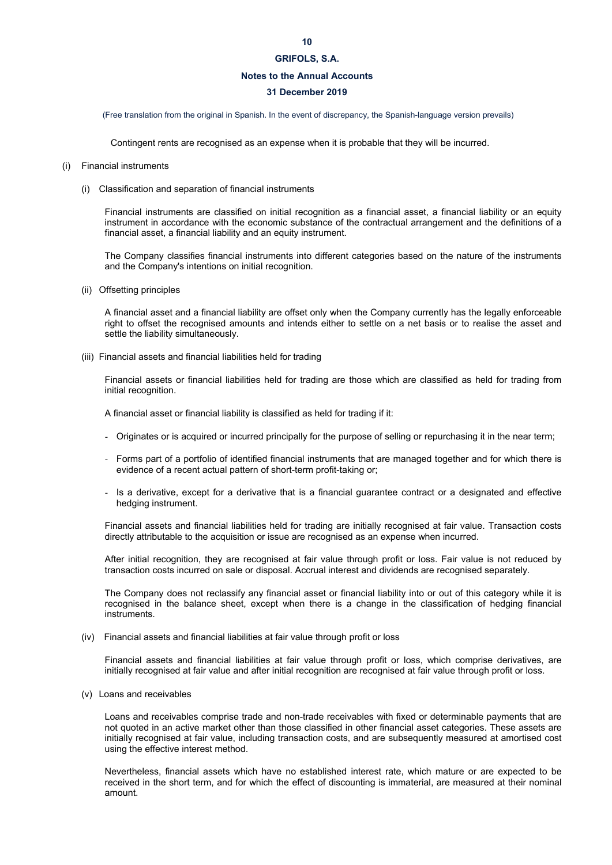#### **Notes to the Annual Accounts**

#### **31 December 2019**

(Free translation from the original in Spanish. In the event of discrepancy, the Spanish-language version prevails)

Contingent rents are recognised as an expense when it is probable that they will be incurred.

#### (i) Financial instruments

(i) Classification and separation of financial instruments

Financial instruments are classified on initial recognition as a financial asset, a financial liability or an equity instrument in accordance with the economic substance of the contractual arrangement and the definitions of a financial asset, a financial liability and an equity instrument.

The Company classifies financial instruments into different categories based on the nature of the instruments and the Company's intentions on initial recognition.

(ii) Offsetting principles

A financial asset and a financial liability are offset only when the Company currently has the legally enforceable right to offset the recognised amounts and intends either to settle on a net basis or to realise the asset and settle the liability simultaneously.

(iii) Financial assets and financial liabilities held for trading

Financial assets or financial liabilities held for trading are those which are classified as held for trading from initial recognition.

A financial asset or financial liability is classified as held for trading if it:

- Originates or is acquired or incurred principally for the purpose of selling or repurchasing it in the near term;
- Forms part of a portfolio of identified financial instruments that are managed together and for which there is evidence of a recent actual pattern of short-term profit-taking or;
- Is a derivative, except for a derivative that is a financial guarantee contract or a designated and effective hedging instrument.

Financial assets and financial liabilities held for trading are initially recognised at fair value. Transaction costs directly attributable to the acquisition or issue are recognised as an expense when incurred.

After initial recognition, they are recognised at fair value through profit or loss. Fair value is not reduced by transaction costs incurred on sale or disposal. Accrual interest and dividends are recognised separately.

The Company does not reclassify any financial asset or financial liability into or out of this category while it is recognised in the balance sheet, except when there is a change in the classification of hedging financial instruments.

(iv) Financial assets and financial liabilities at fair value through profit or loss

Financial assets and financial liabilities at fair value through profit or loss, which comprise derivatives, are initially recognised at fair value and after initial recognition are recognised at fair value through profit or loss.

(v) Loans and receivables

Loans and receivables comprise trade and non-trade receivables with fixed or determinable payments that are not quoted in an active market other than those classified in other financial asset categories. These assets are initially recognised at fair value, including transaction costs, and are subsequently measured at amortised cost using the effective interest method.

Nevertheless, financial assets which have no established interest rate, which mature or are expected to be received in the short term, and for which the effect of discounting is immaterial, are measured at their nominal amount.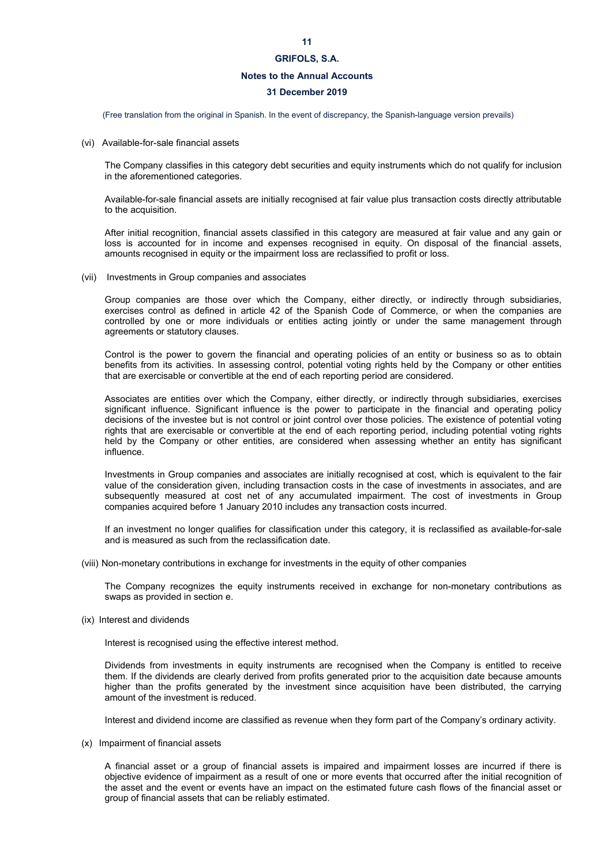#### **Notes to the Annual Accounts**

#### **31 December 2019**

(Free translation from the original in Spanish. In the event of discrepancy, the Spanish-language version prevails)

#### (vi) Available-for-sale financial assets

The Company classifies in this category debt securities and equity instruments which do not qualify for inclusion in the aforementioned categories.

Available-for-sale financial assets are initially recognised at fair value plus transaction costs directly attributable to the acquisition.

After initial recognition, financial assets classified in this category are measured at fair value and any gain or loss is accounted for in income and expenses recognised in equity. On disposal of the financial assets, amounts recognised in equity or the impairment loss are reclassified to profit or loss.

(vii) Investments in Group companies and associates

Group companies are those over which the Company, either directly, or indirectly through subsidiaries, exercises control as defined in article 42 of the Spanish Code of Commerce, or when the companies are controlled by one or more individuals or entities acting jointly or under the same management through agreements or statutory clauses.

Control is the power to govern the financial and operating policies of an entity or business so as to obtain benefits from its activities. In assessing control, potential voting rights held by the Company or other entities that are exercisable or convertible at the end of each reporting period are considered.

Associates are entities over which the Company, either directly, or indirectly through subsidiaries, exercises significant influence. Significant influence is the power to participate in the financial and operating policy decisions of the investee but is not control or joint control over those policies. The existence of potential voting rights that are exercisable or convertible at the end of each reporting period, including potential voting rights held by the Company or other entities, are considered when assessing whether an entity has significant influence.

Investments in Group companies and associates are initially recognised at cost, which is equivalent to the fair value of the consideration given, including transaction costs in the case of investments in associates, and are subsequently measured at cost net of any accumulated impairment. The cost of investments in Group companies acquired before 1 January 2010 includes any transaction costs incurred.

If an investment no longer qualifies for classification under this category, it is reclassified as available-for-sale and is measured as such from the reclassification date.

(viii) Non-monetary contributions in exchange for investments in the equity of other companies

The Company recognizes the equity instruments received in exchange for non-monetary contributions as swaps as provided in section e.

(ix) Interest and dividends

Interest is recognised using the effective interest method.

Dividends from investments in equity instruments are recognised when the Company is entitled to receive them. If the dividends are clearly derived from profits generated prior to the acquisition date because amounts higher than the profits generated by the investment since acquisition have been distributed, the carrying amount of the investment is reduced.

Interest and dividend income are classified as revenue when they form part of the Company's ordinary activity.

(x) Impairment of financial assets

A financial asset or a group of financial assets is impaired and impairment losses are incurred if there is objective evidence of impairment as a result of one or more events that occurred after the initial recognition of the asset and the event or events have an impact on the estimated future cash flows of the financial asset or group of financial assets that can be reliably estimated.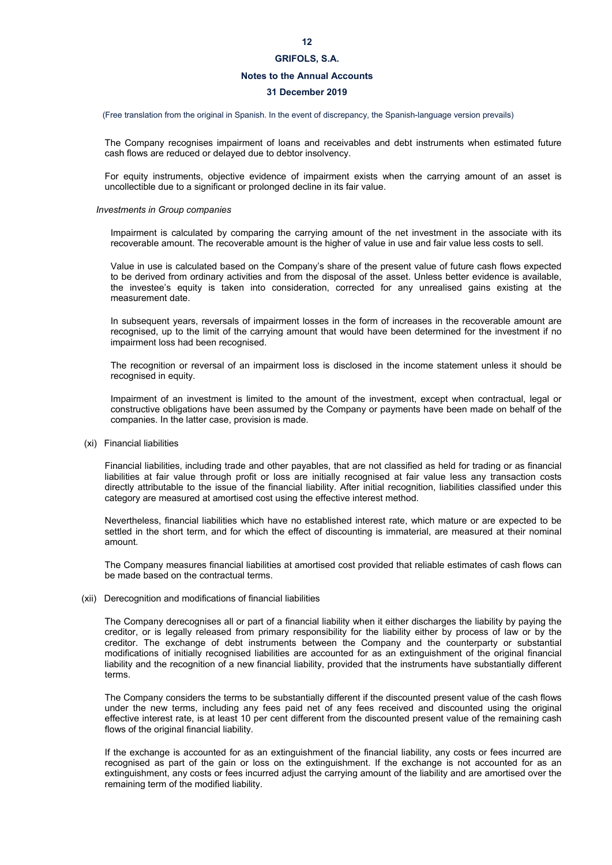#### **Notes to the Annual Accounts**

#### **31 December 2019**

(Free translation from the original in Spanish. In the event of discrepancy, the Spanish-language version prevails)

The Company recognises impairment of loans and receivables and debt instruments when estimated future cash flows are reduced or delayed due to debtor insolvency.

For equity instruments, objective evidence of impairment exists when the carrying amount of an asset is uncollectible due to a significant or prolonged decline in its fair value.

#### *Investments in Group companies*

Impairment is calculated by comparing the carrying amount of the net investment in the associate with its recoverable amount. The recoverable amount is the higher of value in use and fair value less costs to sell.

Value in use is calculated based on the Company's share of the present value of future cash flows expected to be derived from ordinary activities and from the disposal of the asset. Unless better evidence is available, the investee's equity is taken into consideration, corrected for any unrealised gains existing at the measurement date.

In subsequent years, reversals of impairment losses in the form of increases in the recoverable amount are recognised, up to the limit of the carrying amount that would have been determined for the investment if no impairment loss had been recognised.

The recognition or reversal of an impairment loss is disclosed in the income statement unless it should be recognised in equity.

Impairment of an investment is limited to the amount of the investment, except when contractual, legal or constructive obligations have been assumed by the Company or payments have been made on behalf of the companies. In the latter case, provision is made.

#### (xi) Financial liabilities

Financial liabilities, including trade and other payables, that are not classified as held for trading or as financial liabilities at fair value through profit or loss are initially recognised at fair value less any transaction costs directly attributable to the issue of the financial liability. After initial recognition, liabilities classified under this category are measured at amortised cost using the effective interest method.

Nevertheless, financial liabilities which have no established interest rate, which mature or are expected to be settled in the short term, and for which the effect of discounting is immaterial, are measured at their nominal amount.

The Company measures financial liabilities at amortised cost provided that reliable estimates of cash flows can be made based on the contractual terms.

#### (xii) Derecognition and modifications of financial liabilities

The Company derecognises all or part of a financial liability when it either discharges the liability by paying the creditor, or is legally released from primary responsibility for the liability either by process of law or by the creditor. The exchange of debt instruments between the Company and the counterparty or substantial modifications of initially recognised liabilities are accounted for as an extinguishment of the original financial liability and the recognition of a new financial liability, provided that the instruments have substantially different terms.

The Company considers the terms to be substantially different if the discounted present value of the cash flows under the new terms, including any fees paid net of any fees received and discounted using the original effective interest rate, is at least 10 per cent different from the discounted present value of the remaining cash flows of the original financial liability.

If the exchange is accounted for as an extinguishment of the financial liability, any costs or fees incurred are recognised as part of the gain or loss on the extinguishment. If the exchange is not accounted for as an extinguishment, any costs or fees incurred adjust the carrying amount of the liability and are amortised over the remaining term of the modified liability.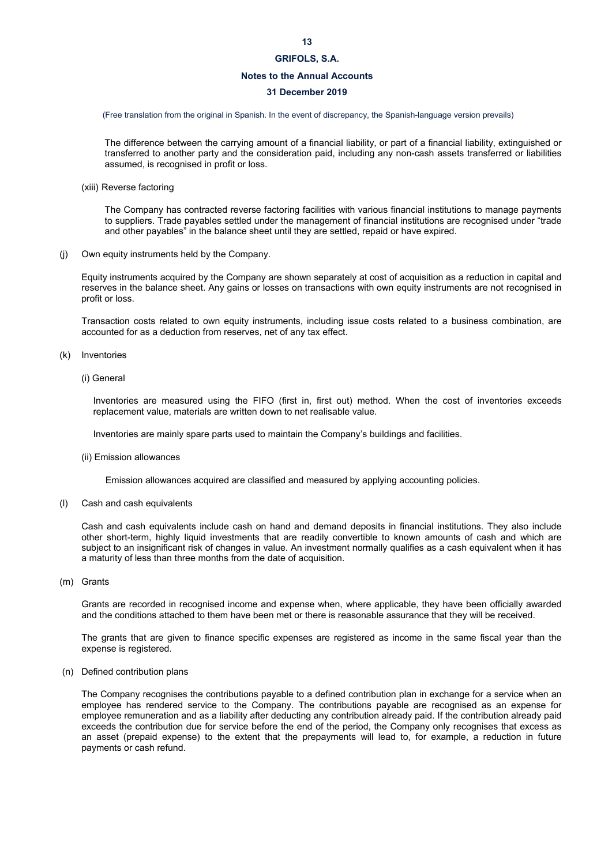#### **Notes to the Annual Accounts**

#### **31 December 2019**

(Free translation from the original in Spanish. In the event of discrepancy, the Spanish-language version prevails)

The difference between the carrying amount of a financial liability, or part of a financial liability, extinguished or transferred to another party and the consideration paid, including any non-cash assets transferred or liabilities assumed, is recognised in profit or loss.

(xiii) Reverse factoring

The Company has contracted reverse factoring facilities with various financial institutions to manage payments to suppliers. Trade payables settled under the management of financial institutions are recognised under "trade and other payables" in the balance sheet until they are settled, repaid or have expired.

(j) Own equity instruments held by the Company.

Equity instruments acquired by the Company are shown separately at cost of acquisition as a reduction in capital and reserves in the balance sheet. Any gains or losses on transactions with own equity instruments are not recognised in profit or loss.

Transaction costs related to own equity instruments, including issue costs related to a business combination, are accounted for as a deduction from reserves, net of any tax effect.

- (k) Inventories
	- (i) General

Inventories are measured using the FIFO (first in, first out) method. When the cost of inventories exceeds replacement value, materials are written down to net realisable value.

Inventories are mainly spare parts used to maintain the Company's buildings and facilities.

(ii) Emission allowances

Emission allowances acquired are classified and measured by applying accounting policies.

(l) Cash and cash equivalents

Cash and cash equivalents include cash on hand and demand deposits in financial institutions. They also include other short-term, highly liquid investments that are readily convertible to known amounts of cash and which are subject to an insignificant risk of changes in value. An investment normally qualifies as a cash equivalent when it has a maturity of less than three months from the date of acquisition.

(m) Grants

Grants are recorded in recognised income and expense when, where applicable, they have been officially awarded and the conditions attached to them have been met or there is reasonable assurance that they will be received.

The grants that are given to finance specific expenses are registered as income in the same fiscal year than the expense is registered.

(n) Defined contribution plans

The Company recognises the contributions payable to a defined contribution plan in exchange for a service when an employee has rendered service to the Company. The contributions payable are recognised as an expense for employee remuneration and as a liability after deducting any contribution already paid. If the contribution already paid exceeds the contribution due for service before the end of the period, the Company only recognises that excess as an asset (prepaid expense) to the extent that the prepayments will lead to, for example, a reduction in future payments or cash refund.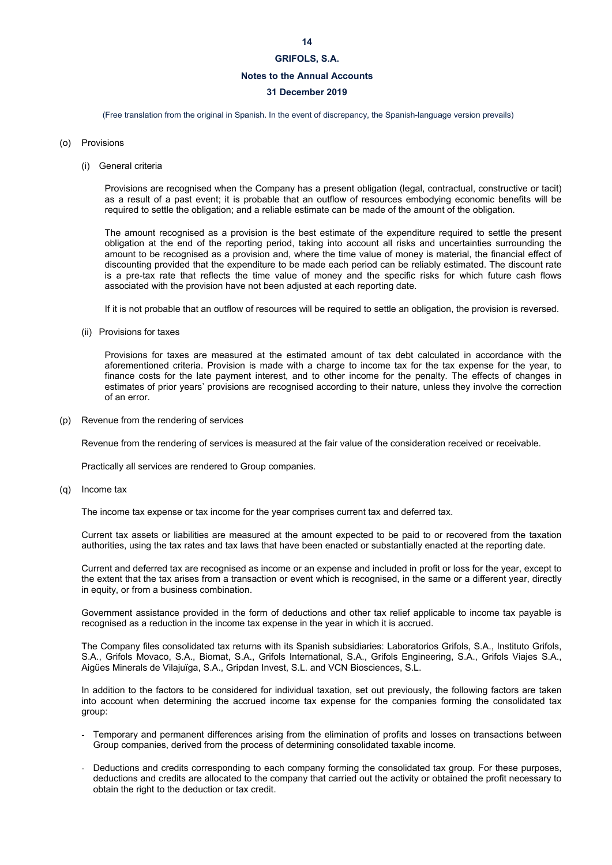#### **Notes to the Annual Accounts**

#### **31 December 2019**

(Free translation from the original in Spanish. In the event of discrepancy, the Spanish-language version prevails)

#### (o) Provisions

(i) General criteria

Provisions are recognised when the Company has a present obligation (legal, contractual, constructive or tacit) as a result of a past event; it is probable that an outflow of resources embodying economic benefits will be required to settle the obligation; and a reliable estimate can be made of the amount of the obligation.

The amount recognised as a provision is the best estimate of the expenditure required to settle the present obligation at the end of the reporting period, taking into account all risks and uncertainties surrounding the amount to be recognised as a provision and, where the time value of money is material, the financial effect of discounting provided that the expenditure to be made each period can be reliably estimated. The discount rate is a pre-tax rate that reflects the time value of money and the specific risks for which future cash flows associated with the provision have not been adjusted at each reporting date.

If it is not probable that an outflow of resources will be required to settle an obligation, the provision is reversed.

(ii) Provisions for taxes

Provisions for taxes are measured at the estimated amount of tax debt calculated in accordance with the aforementioned criteria. Provision is made with a charge to income tax for the tax expense for the year, to finance costs for the late payment interest, and to other income for the penalty. The effects of changes in estimates of prior years' provisions are recognised according to their nature, unless they involve the correction of an error.

(p) Revenue from the rendering of services

Revenue from the rendering of services is measured at the fair value of the consideration received or receivable.

Practically all services are rendered to Group companies.

(q) Income tax

The income tax expense or tax income for the year comprises current tax and deferred tax.

Current tax assets or liabilities are measured at the amount expected to be paid to or recovered from the taxation authorities, using the tax rates and tax laws that have been enacted or substantially enacted at the reporting date.

Current and deferred tax are recognised as income or an expense and included in profit or loss for the year, except to the extent that the tax arises from a transaction or event which is recognised, in the same or a different year, directly in equity, or from a business combination.

Government assistance provided in the form of deductions and other tax relief applicable to income tax payable is recognised as a reduction in the income tax expense in the year in which it is accrued.

The Company files consolidated tax returns with its Spanish subsidiaries: Laboratorios Grifols, S.A., Instituto Grifols, S.A., Grifols Movaco, S.A., Biomat, S.A., Grifols International, S.A., Grifols Engineering, S.A., Grifols Viajes S.A., Aigües Minerals de Vilajuïga, S.A., Gripdan Invest, S.L. and VCN Biosciences, S.L.

In addition to the factors to be considered for individual taxation, set out previously, the following factors are taken into account when determining the accrued income tax expense for the companies forming the consolidated tax group:

- Temporary and permanent differences arising from the elimination of profits and losses on transactions between Group companies, derived from the process of determining consolidated taxable income.
- Deductions and credits corresponding to each company forming the consolidated tax group. For these purposes, deductions and credits are allocated to the company that carried out the activity or obtained the profit necessary to obtain the right to the deduction or tax credit.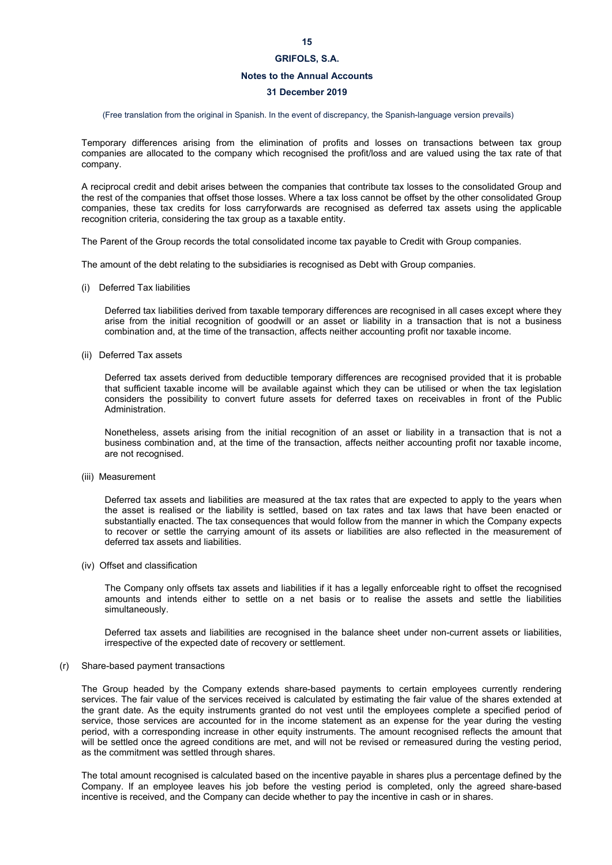#### **Notes to the Annual Accounts**

#### **31 December 2019**

#### (Free translation from the original in Spanish. In the event of discrepancy, the Spanish-language version prevails)

Temporary differences arising from the elimination of profits and losses on transactions between tax group companies are allocated to the company which recognised the profit/loss and are valued using the tax rate of that company.

A reciprocal credit and debit arises between the companies that contribute tax losses to the consolidated Group and the rest of the companies that offset those losses. Where a tax loss cannot be offset by the other consolidated Group companies, these tax credits for loss carryforwards are recognised as deferred tax assets using the applicable recognition criteria, considering the tax group as a taxable entity.

The Parent of the Group records the total consolidated income tax payable to Credit with Group companies.

The amount of the debt relating to the subsidiaries is recognised as Debt with Group companies.

(i) Deferred Tax liabilities

Deferred tax liabilities derived from taxable temporary differences are recognised in all cases except where they arise from the initial recognition of goodwill or an asset or liability in a transaction that is not a business combination and, at the time of the transaction, affects neither accounting profit nor taxable income.

#### (ii) Deferred Tax assets

Deferred tax assets derived from deductible temporary differences are recognised provided that it is probable that sufficient taxable income will be available against which they can be utilised or when the tax legislation considers the possibility to convert future assets for deferred taxes on receivables in front of the Public **Administration** 

Nonetheless, assets arising from the initial recognition of an asset or liability in a transaction that is not a business combination and, at the time of the transaction, affects neither accounting profit nor taxable income, are not recognised.

#### (iii) Measurement

Deferred tax assets and liabilities are measured at the tax rates that are expected to apply to the years when the asset is realised or the liability is settled, based on tax rates and tax laws that have been enacted or substantially enacted. The tax consequences that would follow from the manner in which the Company expects to recover or settle the carrying amount of its assets or liabilities are also reflected in the measurement of deferred tax assets and liabilities.

(iv) Offset and classification

The Company only offsets tax assets and liabilities if it has a legally enforceable right to offset the recognised amounts and intends either to settle on a net basis or to realise the assets and settle the liabilities simultaneously.

Deferred tax assets and liabilities are recognised in the balance sheet under non-current assets or liabilities, irrespective of the expected date of recovery or settlement.

#### (r) Share-based payment transactions

The Group headed by the Company extends share-based payments to certain employees currently rendering services. The fair value of the services received is calculated by estimating the fair value of the shares extended at the grant date. As the equity instruments granted do not vest until the employees complete a specified period of service, those services are accounted for in the income statement as an expense for the year during the vesting period, with a corresponding increase in other equity instruments. The amount recognised reflects the amount that will be settled once the agreed conditions are met, and will not be revised or remeasured during the vesting period, as the commitment was settled through shares.

The total amount recognised is calculated based on the incentive payable in shares plus a percentage defined by the Company. If an employee leaves his job before the vesting period is completed, only the agreed share-based incentive is received, and the Company can decide whether to pay the incentive in cash or in shares.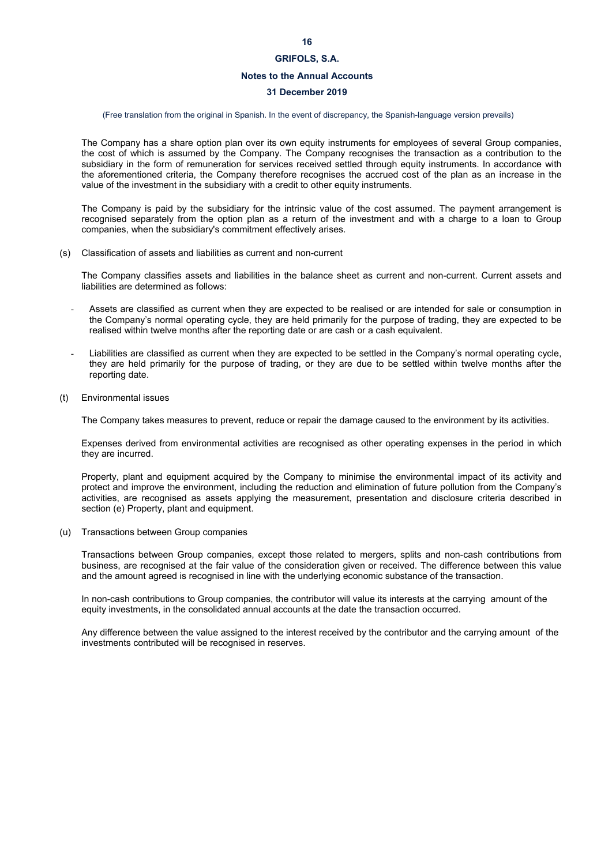#### **Notes to the Annual Accounts**

#### **31 December 2019**

#### (Free translation from the original in Spanish. In the event of discrepancy, the Spanish-language version prevails)

The Company has a share option plan over its own equity instruments for employees of several Group companies, the cost of which is assumed by the Company. The Company recognises the transaction as a contribution to the subsidiary in the form of remuneration for services received settled through equity instruments. In accordance with the aforementioned criteria, the Company therefore recognises the accrued cost of the plan as an increase in the value of the investment in the subsidiary with a credit to other equity instruments.

 The Company is paid by the subsidiary for the intrinsic value of the cost assumed. The payment arrangement is recognised separately from the option plan as a return of the investment and with a charge to a loan to Group companies, when the subsidiary's commitment effectively arises.

(s) Classification of assets and liabilities as current and non-current

The Company classifies assets and liabilities in the balance sheet as current and non-current. Current assets and liabilities are determined as follows:

- Assets are classified as current when they are expected to be realised or are intended for sale or consumption in the Company's normal operating cycle, they are held primarily for the purpose of trading, they are expected to be realised within twelve months after the reporting date or are cash or a cash equivalent.
- Liabilities are classified as current when they are expected to be settled in the Company's normal operating cycle, they are held primarily for the purpose of trading, or they are due to be settled within twelve months after the reporting date.
- (t) Environmental issues

The Company takes measures to prevent, reduce or repair the damage caused to the environment by its activities.

Expenses derived from environmental activities are recognised as other operating expenses in the period in which they are incurred.

Property, plant and equipment acquired by the Company to minimise the environmental impact of its activity and protect and improve the environment, including the reduction and elimination of future pollution from the Company's activities, are recognised as assets applying the measurement, presentation and disclosure criteria described in section (e) Property, plant and equipment.

(u) Transactions between Group companies

Transactions between Group companies, except those related to mergers, splits and non-cash contributions from business, are recognised at the fair value of the consideration given or received. The difference between this value and the amount agreed is recognised in line with the underlying economic substance of the transaction.

In non-cash contributions to Group companies, the contributor will value its interests at the carrying amount of the equity investments, in the consolidated annual accounts at the date the transaction occurred.

Any difference between the value assigned to the interest received by the contributor and the carrying amount of the investments contributed will be recognised in reserves.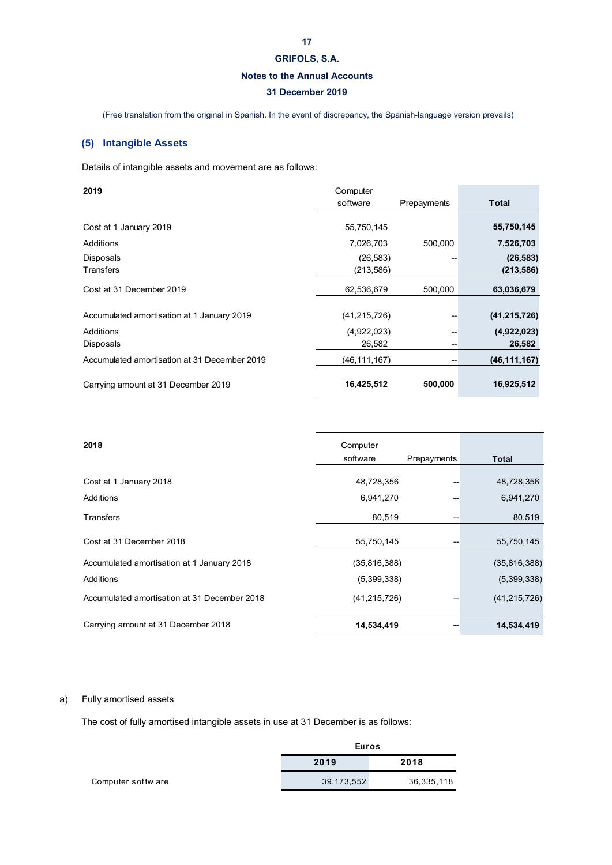## **Notes to the Annual Accounts**

# **31 December 2019**

(Free translation from the original in Spanish. In the event of discrepancy, the Spanish-language version prevails)

# **(5) Intangible Assets**

Details of intangible assets and movement are as follows:

| 2019                                         | Computer       |             |                |
|----------------------------------------------|----------------|-------------|----------------|
|                                              | software       | Prepayments | <b>T</b> otal  |
|                                              |                |             |                |
| Cost at 1 January 2019                       | 55,750,145     |             | 55,750,145     |
| Additions                                    | 7,026,703      | 500,000     | 7,526,703      |
| Disposals                                    | (26, 583)      | --          | (26, 583)      |
| <b>Transfers</b>                             | (213, 586)     |             | (213, 586)     |
| Cost at 31 December 2019                     | 62,536,679     | 500,000     | 63,036,679     |
|                                              |                |             |                |
| Accumulated amortisation at 1 January 2019   | (41, 215, 726) | --          | (41, 215, 726) |
| Additions                                    | (4,922,023)    | --          | (4,922,023)    |
| <b>Disposals</b>                             | 26,582         | --          | 26,582         |
| Accumulated amortisation at 31 December 2019 | (46,111,167)   | --          | (46, 111, 167) |
| Carrying amount at 31 December 2019          | 16,425,512     | 500,000     | 16,925,512     |

| 2018                                         | Computer<br>software | Prepayments | <b>Total</b>   |
|----------------------------------------------|----------------------|-------------|----------------|
|                                              |                      |             |                |
| Cost at 1 January 2018                       | 48,728,356           | --          | 48,728,356     |
| Additions                                    | 6,941,270            | --          | 6,941,270      |
| Transfers                                    | 80,519               | --          | 80,519         |
| Cost at 31 December 2018                     | 55,750,145           | --          | 55,750,145     |
|                                              |                      |             |                |
| Accumulated amortisation at 1 January 2018   | (35, 816, 388)       |             | (35, 816, 388) |
| Additions                                    | (5,399,338)          |             | (5,399,338)    |
| Accumulated amortisation at 31 December 2018 | (41, 215, 726)       |             | (41, 215, 726) |
| Carrying amount at 31 December 2018          | 14,534,419           |             | 14,534,419     |
|                                              |                      |             |                |

## a) Fully amortised assets

The cost of fully amortised intangible assets in use at 31 December is as follows:

|                    | <b>Euros</b> |            |  |
|--------------------|--------------|------------|--|
|                    | 2019         | 2018       |  |
| Computer softw are | 39,173,552   | 36,335,118 |  |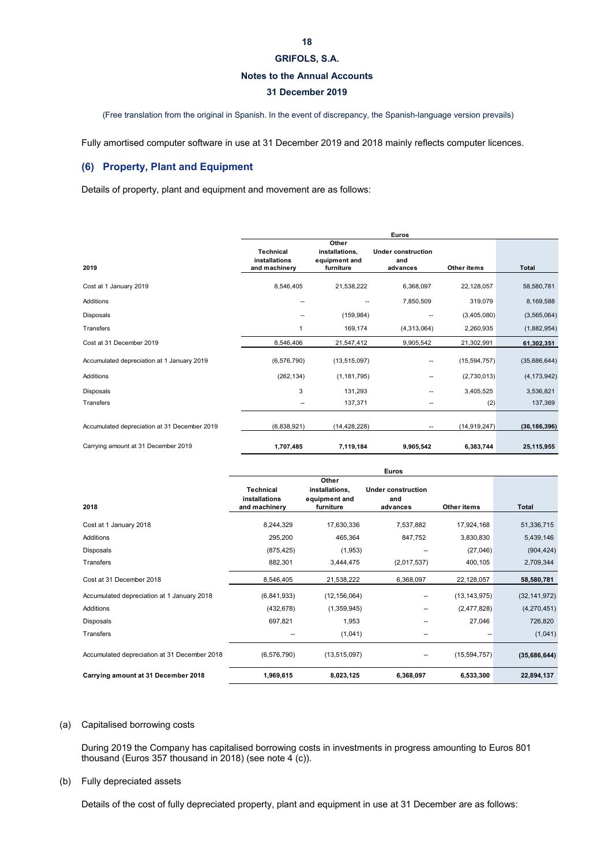#### **Notes to the Annual Accounts**

## **31 December 2019**

(Free translation from the original in Spanish. In the event of discrepancy, the Spanish-language version prevails)

Fully amortised computer software in use at 31 December 2019 and 2018 mainly reflects computer licences.

# **(6) Property, Plant and Equipment**

Details of property, plant and equipment and movement are as follows:

|                                              | <b>Euros</b>                   |                            |                           |                |                |
|----------------------------------------------|--------------------------------|----------------------------|---------------------------|----------------|----------------|
|                                              |                                | Other                      |                           |                |                |
|                                              | <b>Technical</b>               | installations,             | <b>Under construction</b> |                |                |
| 2019                                         | installations<br>and machinery | equipment and<br>furniture | and<br>advances           | Other items    | <b>Total</b>   |
| Cost at 1 January 2019                       | 8,546,405                      | 21,538,222                 | 6,368,097                 | 22,128,057     | 58,580,781     |
| <b>Additions</b>                             | $-$                            | ٠.                         | 7,850,509                 | 319,079        | 8,169,588      |
| Disposals                                    | --                             | (159, 984)                 |                           | (3,405,080)    | (3,565,064)    |
| Transfers                                    | 1                              | 169,174                    | (4,313,064)               | 2,260,935      | (1,882,954)    |
| Cost at 31 December 2019                     | 8,546,406                      | 21,547,412                 | 9,905,542                 | 21,302,991     | 61,302,351     |
| Accumulated depreciation at 1 January 2019   | (6, 576, 790)                  | (13,515,097)               |                           | (15, 594, 757) | (35,686,644)   |
| <b>Additions</b>                             | (262, 134)                     | (1, 181, 795)              |                           | (2,730,013)    | (4, 173, 942)  |
| Disposals                                    | 3                              | 131,293                    |                           | 3,405,525      | 3,536,821      |
| Transfers                                    | --                             | 137,371                    | --                        | (2)            | 137,369        |
| Accumulated depreciation at 31 December 2019 | (6,838,921)                    | (14, 428, 228)             |                           | (14, 919, 247) | (36, 186, 396) |
| Carrying amount at 31 December 2019          | 1,707,485                      | 7,119,184                  | 9,905,542                 | 6,383,744      | 25,115,955     |

|                                              | <b>Euros</b>  |                |                           |                |                |
|----------------------------------------------|---------------|----------------|---------------------------|----------------|----------------|
|                                              |               | Other          |                           |                |                |
|                                              | Technical     | installations, | <b>Under construction</b> |                |                |
|                                              | installations | equipment and  | and                       |                |                |
| 2018                                         | and machinery | furniture      | advances                  | Other items    | <b>Total</b>   |
| Cost at 1 January 2018                       | 8,244,329     | 17,630,336     | 7,537,882                 | 17,924,168     | 51,336,715     |
| Additions                                    | 295,200       | 465,364        | 847,752                   | 3,830,830      | 5,439,146      |
| Disposals                                    | (875, 425)    | (1,953)        | --                        | (27, 046)      | (904, 424)     |
| Transfers                                    | 882,301       | 3,444,475      | (2,017,537)               | 400,105        | 2,709,344      |
| Cost at 31 December 2018                     | 8,546,405     | 21,538,222     | 6,368,097                 | 22,128,057     | 58,580,781     |
| Accumulated depreciation at 1 January 2018   | (6,841,933)   | (12, 156, 064) | --                        | (13, 143, 975) | (32, 141, 972) |
| Additions                                    | (432, 678)    | (1,359,945)    | --                        | (2,477,828)    | (4,270,451)    |
| Disposals                                    | 697,821       | 1,953          | --                        | 27,046         | 726,820        |
| Transfers                                    | ٠.            | (1,041)        | --                        |                | (1,041)        |
| Accumulated depreciation at 31 December 2018 | (6, 576, 790) | (13, 515, 097) |                           | (15, 594, 757) | (35,686,644)   |
| Carrying amount at 31 December 2018          | 1,969,615     | 8,023,125      | 6,368,097                 | 6,533,300      | 22,894,137     |

# (a) Capitalised borrowing costs

During 2019 the Company has capitalised borrowing costs in investments in progress amounting to Euros 801 thousand (Euros 357 thousand in 2018) (see note 4 (c)).

# (b) Fully depreciated assets

Details of the cost of fully depreciated property, plant and equipment in use at 31 December are as follows: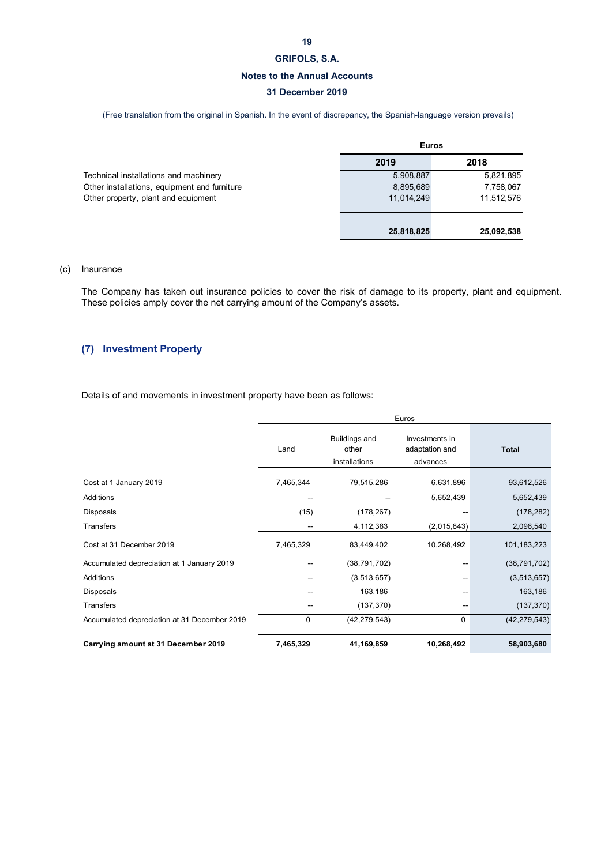## **Notes to the Annual Accounts**

## **31 December 2019**

(Free translation from the original in Spanish. In the event of discrepancy, the Spanish-language version prevails)

|                                              | <b>Euros</b> |            |  |  |
|----------------------------------------------|--------------|------------|--|--|
|                                              | 2019         | 2018       |  |  |
| Technical installations and machinery        | 5,908,887    | 5,821,895  |  |  |
| Other installations, equipment and furniture | 8,895,689    | 7,758,067  |  |  |
| Other property, plant and equipment          | 11,014,249   | 11,512,576 |  |  |
|                                              | 25,818,825   | 25,092,538 |  |  |

## (c) Insurance

The Company has taken out insurance policies to cover the risk of damage to its property, plant and equipment. These policies amply cover the net carrying amount of the Company's assets.

# **(7) Investment Property**

Details of and movements in investment property have been as follows:

|                                              | Euros     |                                                |                                              |                |  |
|----------------------------------------------|-----------|------------------------------------------------|----------------------------------------------|----------------|--|
|                                              | Land      | <b>Buildings and</b><br>other<br>installations | Investments in<br>adaptation and<br>advances | <b>Total</b>   |  |
| Cost at 1 January 2019                       | 7,465,344 | 79,515,286                                     | 6,631,896                                    | 93,612,526     |  |
| Additions                                    |           |                                                | 5,652,439                                    | 5,652,439      |  |
| <b>Disposals</b>                             | (15)      | (178, 267)                                     | --                                           | (178, 282)     |  |
| Transfers                                    | --        | 4,112,383                                      | (2,015,843)                                  | 2,096,540      |  |
| Cost at 31 December 2019                     | 7,465,329 | 83,449,402                                     | 10,268,492                                   | 101,183,223    |  |
| Accumulated depreciation at 1 January 2019   |           | (38, 791, 702)                                 |                                              | (38, 791, 702) |  |
| Additions                                    |           | (3,513,657)                                    |                                              | (3,513,657)    |  |
| Disposals                                    |           | 163,186                                        |                                              | 163,186        |  |
| Transfers                                    |           | (137, 370)                                     |                                              | (137, 370)     |  |
| Accumulated depreciation at 31 December 2019 | 0         | (42, 279, 543)                                 | 0                                            | (42, 279, 543) |  |
| Carrying amount at 31 December 2019          | 7,465,329 | 41,169,859                                     | 10,268,492                                   | 58,903,680     |  |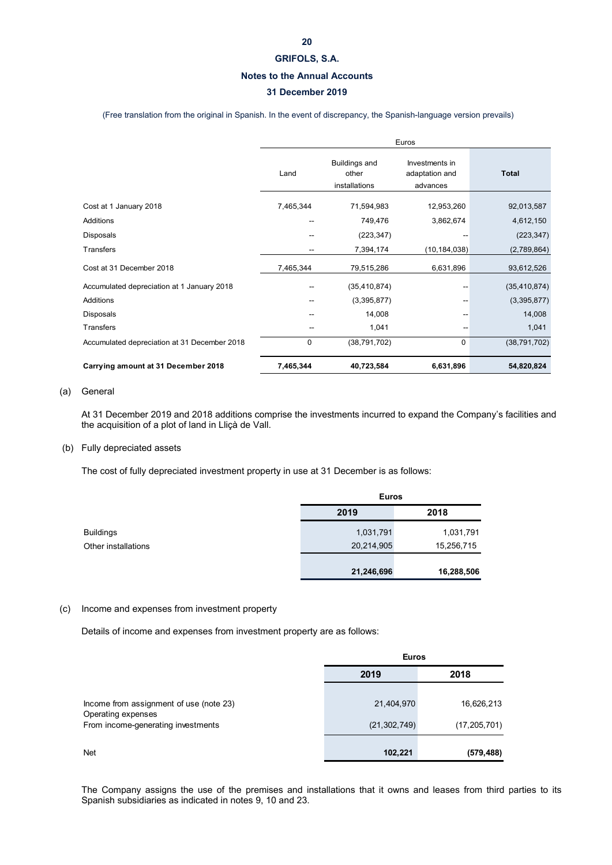#### **Notes to the Annual Accounts**

# **31 December 2019**

(Free translation from the original in Spanish. In the event of discrepancy, the Spanish-language version prevails)

|                                              | Euros     |                                                |                                              |                |  |
|----------------------------------------------|-----------|------------------------------------------------|----------------------------------------------|----------------|--|
|                                              | Land      | <b>Buildings and</b><br>other<br>installations | Investments in<br>adaptation and<br>advances | <b>Total</b>   |  |
| Cost at 1 January 2018                       | 7,465,344 | 71,594,983                                     | 12,953,260                                   | 92,013,587     |  |
| <b>Additions</b>                             |           | 749,476                                        | 3,862,674                                    | 4,612,150      |  |
| Disposals                                    |           | (223, 347)                                     |                                              | (223, 347)     |  |
| Transfers                                    |           | 7,394,174                                      | (10, 184, 038)                               | (2,789,864)    |  |
| Cost at 31 December 2018                     | 7,465,344 | 79,515,286                                     | 6,631,896                                    | 93,612,526     |  |
| Accumulated depreciation at 1 January 2018   |           | (35, 410, 874)                                 |                                              | (35, 410, 874) |  |
| <b>Additions</b>                             | --        | (3,395,877)                                    | --                                           | (3,395,877)    |  |
| Disposals                                    |           | 14,008                                         |                                              | 14,008         |  |
| Transfers                                    |           | 1,041                                          | --                                           | 1,041          |  |
| Accumulated depreciation at 31 December 2018 | 0         | (38, 791, 702)                                 | 0                                            | (38, 791, 702) |  |
| Carrying amount at 31 December 2018          | 7,465,344 | 40,723,584                                     | 6,631,896                                    | 54,820,824     |  |

# (a) General

At 31 December 2019 and 2018 additions comprise the investments incurred to expand the Company's facilities and the acquisition of a plot of land in Lliçà de Vall.

## (b) Fully depreciated assets

The cost of fully depreciated investment property in use at 31 December is as follows:

|            | <b>Euros</b> |  |  |
|------------|--------------|--|--|
| 2019       | 2018         |  |  |
| 1,031,791  | 1,031,791    |  |  |
| 20,214,905 | 15,256,715   |  |  |
| 21,246,696 | 16,288,506   |  |  |

## (c) Income and expenses from investment property

Details of income and expenses from investment property are as follows:

|                                                                                                     | <b>Euros</b>                 |                              |
|-----------------------------------------------------------------------------------------------------|------------------------------|------------------------------|
|                                                                                                     | 2019                         | 2018                         |
| Income from assignment of use (note 23)<br>Operating expenses<br>From income-generating investments | 21,404,970<br>(21, 302, 749) | 16,626,213<br>(17, 205, 701) |
| Net                                                                                                 | 102,221                      | (579, 488)                   |

The Company assigns the use of the premises and installations that it owns and leases from third parties to its Spanish subsidiaries as indicated in notes 9, 10 and 23.

## **20**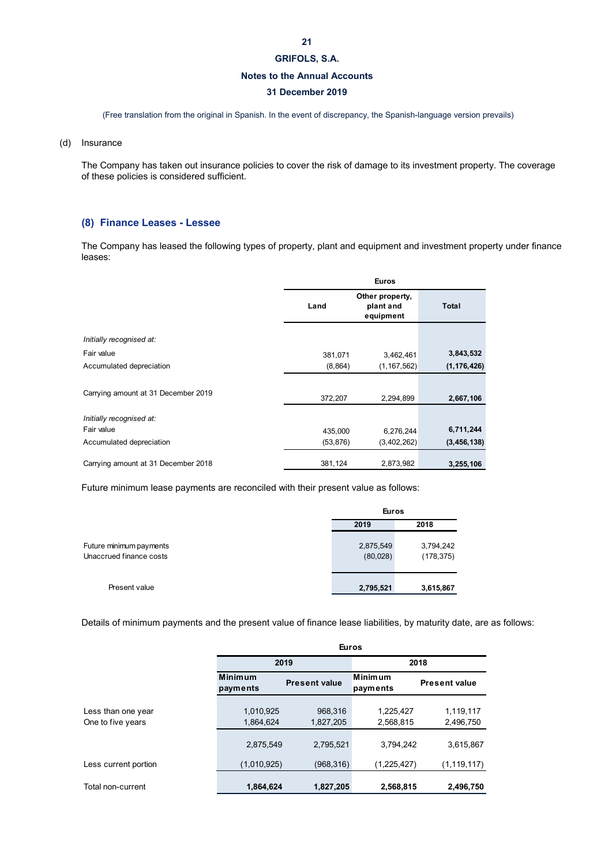#### **Notes to the Annual Accounts**

## **31 December 2019**

(Free translation from the original in Spanish. In the event of discrepancy, the Spanish-language version prevails)

(d) Insurance

The Company has taken out insurance policies to cover the risk of damage to its investment property. The coverage of these policies is considered sufficient.

# **(8) Finance Leases - Lessee**

The Company has leased the following types of property, plant and equipment and investment property under finance leases:

|                                     | <b>Euros</b> |                                           |               |
|-------------------------------------|--------------|-------------------------------------------|---------------|
|                                     | Land         | Other property,<br>plant and<br>equipment | Total         |
| Initially recognised at:            |              |                                           |               |
| Fair value                          | 381,071      | 3,462,461                                 | 3,843,532     |
| Accumulated depreciation            | (8, 864)     | (1, 167, 562)                             | (1, 176, 426) |
| Carrying amount at 31 December 2019 | 372,207      | 2,294,899                                 | 2,667,106     |
| Initially recognised at:            |              |                                           |               |
| Fair value                          | 435,000      | 6,276,244                                 | 6,711,244     |
| Accumulated depreciation            | (53, 876)    | (3,402,262)                               | (3, 456, 138) |
| Carrying amount at 31 December 2018 | 381,124      | 2,873,982                                 | 3,255,106     |

Future minimum lease payments are reconciled with their present value as follows:

|                                                    | <b>Euros</b>          |                         |
|----------------------------------------------------|-----------------------|-------------------------|
|                                                    | 2019                  | 2018                    |
| Future minimum payments<br>Unaccrued finance costs | 2,875,549<br>(80,028) | 3,794,242<br>(178, 375) |
| Present value                                      | 2,795,521             | 3,615,867               |

Details of minimum payments and the present value of finance lease liabilities, by maturity date, are as follows:

|                                         | <b>Euros</b>               |                      |                            |                        |
|-----------------------------------------|----------------------------|----------------------|----------------------------|------------------------|
|                                         | 2019                       |                      | 2018                       |                        |
|                                         | <b>Minimum</b><br>payments | <b>Present value</b> | <b>Minimum</b><br>payments | <b>Present value</b>   |
| Less than one year<br>One to five years | 1,010,925<br>1,864,624     | 968.316<br>1,827,205 | 1,225,427<br>2,568,815     | 1,119,117<br>2,496,750 |
|                                         | 2.875.549                  | 2.795.521            | 3.794.242                  | 3.615.867              |
| Less current portion                    | (1,010,925)                | (968, 316)           | (1,225,427)                | (1, 119, 117)          |
| Total non-current                       | 1,864,624                  | 1,827,205            | 2,568,815                  | 2,496,750              |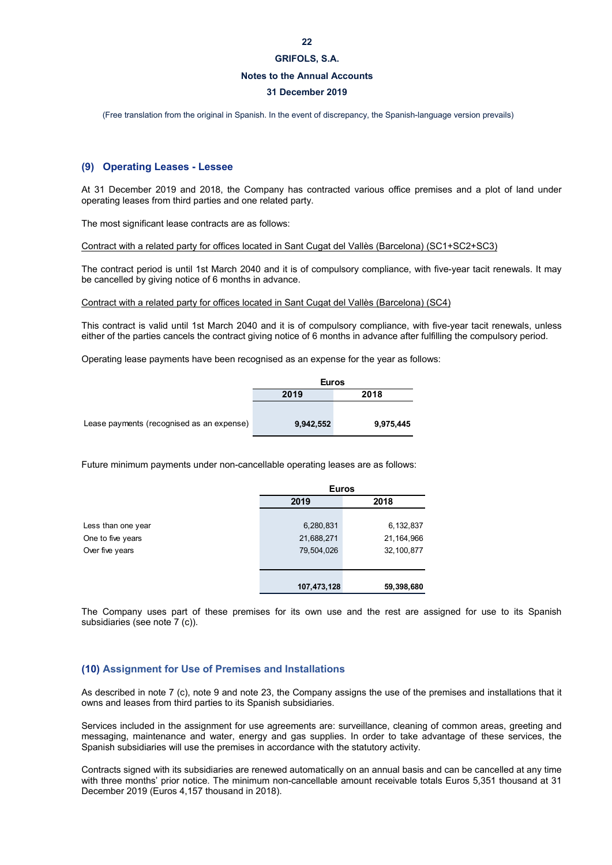#### **Notes to the Annual Accounts**

#### **31 December 2019**

(Free translation from the original in Spanish. In the event of discrepancy, the Spanish-language version prevails)

#### **(9) Operating Leases - Lessee**

Lease payments (recognise

At 31 December 2019 and 2018, the Company has contracted various office premises and a plot of land under operating leases from third parties and one related party.

The most significant lease contracts are as follows:

Contract with a related party for offices located in Sant Cugat del Vallès (Barcelona) (SC1+SC2+SC3)

The contract period is until 1st March 2040 and it is of compulsory compliance, with five-year tacit renewals. It may be cancelled by giving notice of 6 months in advance.

Contract with a related party for offices located in Sant Cugat del Vallès (Barcelona) (SC4)

This contract is valid until 1st March 2040 and it is of compulsory compliance, with five-year tacit renewals, unless either of the parties cancels the contract giving notice of 6 months in advance after fulfilling the compulsory period.

Operating lease payments have been recognised as an expense for the year as follows:

|                   | <b>Euros</b> |           |  |
|-------------------|--------------|-----------|--|
|                   | 2019         | 2018      |  |
|                   |              |           |  |
| ed as an expense) | 9,942,552    | 9,975,445 |  |

Future minimum payments under non-cancellable operating leases are as follows:

|                    | <b>Euros</b> |            |  |
|--------------------|--------------|------------|--|
|                    | 2019         | 2018       |  |
|                    |              |            |  |
| Less than one year | 6,280,831    | 6,132,837  |  |
| One to five years  | 21,688,271   | 21,164,966 |  |
| Over five years    | 79,504,026   | 32,100,877 |  |
|                    |              |            |  |
|                    |              |            |  |
|                    | 107,473,128  | 59,398,680 |  |

The Company uses part of these premises for its own use and the rest are assigned for use to its Spanish subsidiaries (see note 7 (c)).

# **(10)Assignment for Use of Premises and Installations**

As described in note 7 (c), note 9 and note 23, the Company assigns the use of the premises and installations that it owns and leases from third parties to its Spanish subsidiaries.

Services included in the assignment for use agreements are: surveillance, cleaning of common areas, greeting and messaging, maintenance and water, energy and gas supplies. In order to take advantage of these services, the Spanish subsidiaries will use the premises in accordance with the statutory activity.

Contracts signed with its subsidiaries are renewed automatically on an annual basis and can be cancelled at any time with three months' prior notice. The minimum non-cancellable amount receivable totals Euros 5,351 thousand at 31 December 2019 (Euros 4,157 thousand in 2018).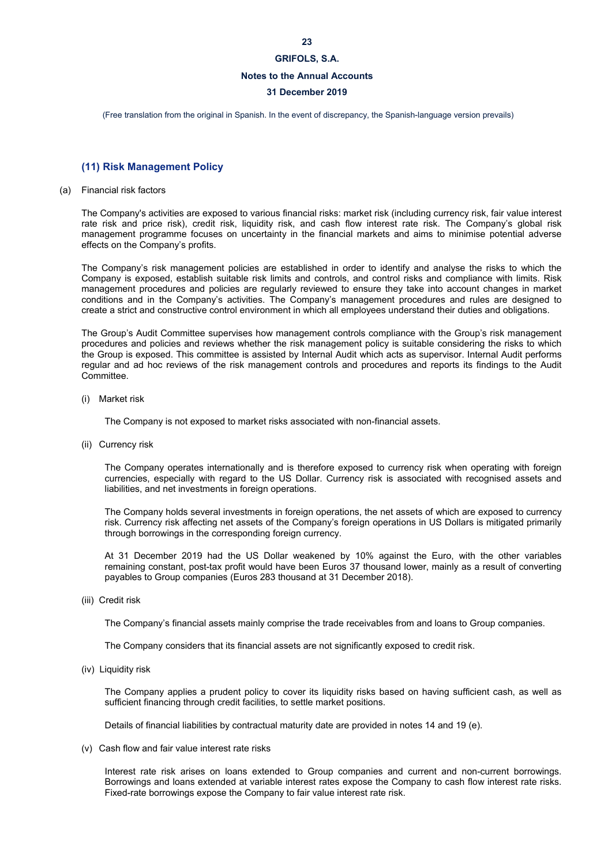#### **Notes to the Annual Accounts**

#### **31 December 2019**

(Free translation from the original in Spanish. In the event of discrepancy, the Spanish-language version prevails)

## **(11) Risk Management Policy**

(a) Financial risk factors

The Company's activities are exposed to various financial risks: market risk (including currency risk, fair value interest rate risk and price risk), credit risk, liquidity risk, and cash flow interest rate risk. The Company's global risk management programme focuses on uncertainty in the financial markets and aims to minimise potential adverse effects on the Company's profits.

The Company's risk management policies are established in order to identify and analyse the risks to which the Company is exposed, establish suitable risk limits and controls, and control risks and compliance with limits. Risk management procedures and policies are regularly reviewed to ensure they take into account changes in market conditions and in the Company's activities. The Company's management procedures and rules are designed to create a strict and constructive control environment in which all employees understand their duties and obligations.

The Group's Audit Committee supervises how management controls compliance with the Group's risk management procedures and policies and reviews whether the risk management policy is suitable considering the risks to which the Group is exposed. This committee is assisted by Internal Audit which acts as supervisor. Internal Audit performs regular and ad hoc reviews of the risk management controls and procedures and reports its findings to the Audit Committee.

(i) Market risk

The Company is not exposed to market risks associated with non-financial assets.

(ii) Currency risk

The Company operates internationally and is therefore exposed to currency risk when operating with foreign currencies, especially with regard to the US Dollar. Currency risk is associated with recognised assets and liabilities, and net investments in foreign operations.

The Company holds several investments in foreign operations, the net assets of which are exposed to currency risk. Currency risk affecting net assets of the Company's foreign operations in US Dollars is mitigated primarily through borrowings in the corresponding foreign currency.

At 31 December 2019 had the US Dollar weakened by 10% against the Euro, with the other variables remaining constant, post-tax profit would have been Euros 37 thousand lower, mainly as a result of converting payables to Group companies (Euros 283 thousand at 31 December 2018).

(iii) Credit risk

The Company's financial assets mainly comprise the trade receivables from and loans to Group companies.

The Company considers that its financial assets are not significantly exposed to credit risk.

(iv) Liquidity risk

The Company applies a prudent policy to cover its liquidity risks based on having sufficient cash, as well as sufficient financing through credit facilities, to settle market positions.

Details of financial liabilities by contractual maturity date are provided in notes 14 and 19 (e).

(v) Cash flow and fair value interest rate risks

Interest rate risk arises on loans extended to Group companies and current and non-current borrowings. Borrowings and loans extended at variable interest rates expose the Company to cash flow interest rate risks. Fixed-rate borrowings expose the Company to fair value interest rate risk.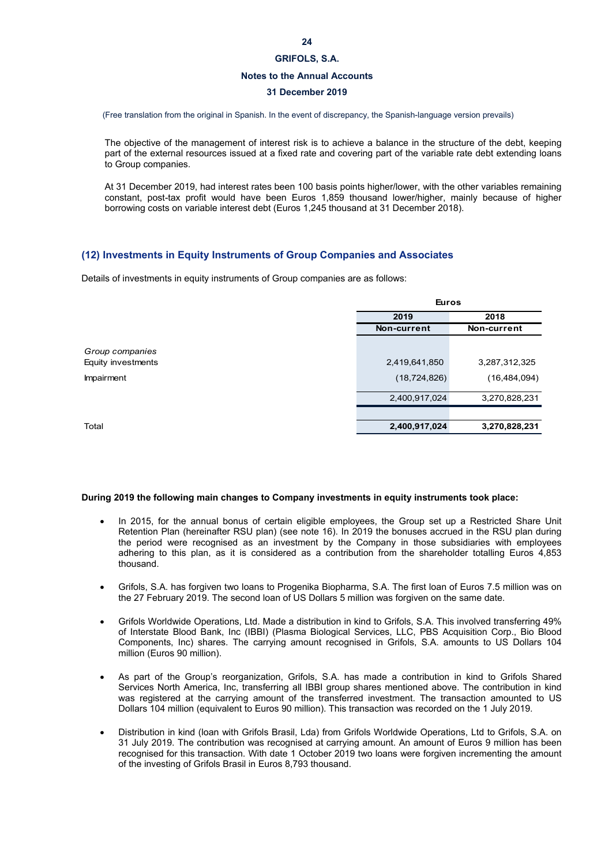#### **Notes to the Annual Accounts**

#### **31 December 2019**

(Free translation from the original in Spanish. In the event of discrepancy, the Spanish-language version prevails)

The objective of the management of interest risk is to achieve a balance in the structure of the debt, keeping part of the external resources issued at a fixed rate and covering part of the variable rate debt extending loans to Group companies.

At 31 December 2019, had interest rates been 100 basis points higher/lower, with the other variables remaining constant, post-tax profit would have been Euros 1,859 thousand lower/higher, mainly because of higher borrowing costs on variable interest debt (Euros 1,245 thousand at 31 December 2018).

## **(12)Investments in Equity Instruments of Group Companies and Associates**

Details of investments in equity instruments of Group companies are as follows:

| <b>Euros</b>   |                |  |
|----------------|----------------|--|
| 2019           | 2018           |  |
| Non-current    | Non-current    |  |
|                |                |  |
|                | 3,287,312,325  |  |
| (18, 724, 826) | (16, 484, 094) |  |
| 2,400,917,024  | 3,270,828,231  |  |
| 2,400,917,024  | 3,270,828,231  |  |
|                | 2,419,641,850  |  |

#### **During 2019 the following main changes to Company investments in equity instruments took place:**

- In 2015, for the annual bonus of certain eligible employees, the Group set up a Restricted Share Unit Retention Plan (hereinafter RSU plan) (see note 16). In 2019 the bonuses accrued in the RSU plan during the period were recognised as an investment by the Company in those subsidiaries with employees adhering to this plan, as it is considered as a contribution from the shareholder totalling Euros 4,853 thousand.
- Grifols, S.A. has forgiven two loans to Progenika Biopharma, S.A. The first loan of Euros 7.5 million was on the 27 February 2019. The second loan of US Dollars 5 million was forgiven on the same date.
- Grifols Worldwide Operations, Ltd. Made a distribution in kind to Grifols, S.A. This involved transferring 49% of Interstate Blood Bank, Inc (IBBI) (Plasma Biological Services, LLC, PBS Acquisition Corp., Bio Blood Components, Inc) shares. The carrying amount recognised in Grifols, S.A. amounts to US Dollars 104 million (Euros 90 million).
- As part of the Group's reorganization, Grifols, S.A. has made a contribution in kind to Grifols Shared Services North America, Inc, transferring all IBBI group shares mentioned above. The contribution in kind was registered at the carrying amount of the transferred investment. The transaction amounted to US Dollars 104 million (equivalent to Euros 90 million). This transaction was recorded on the 1 July 2019.
- Distribution in kind (loan with Grifols Brasil, Lda) from Grifols Worldwide Operations, Ltd to Grifols, S.A. on 31 July 2019. The contribution was recognised at carrying amount. An amount of Euros 9 million has been recognised for this transaction. With date 1 October 2019 two loans were forgiven incrementing the amount of the investing of Grifols Brasil in Euros 8,793 thousand.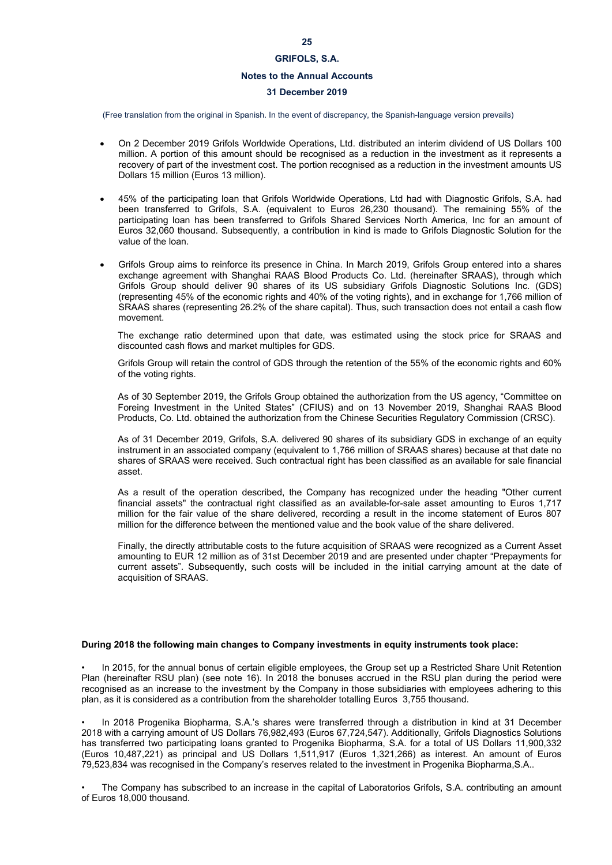#### **Notes to the Annual Accounts**

## **31 December 2019**

(Free translation from the original in Spanish. In the event of discrepancy, the Spanish-language version prevails)

- On 2 December 2019 Grifols Worldwide Operations, Ltd. distributed an interim dividend of US Dollars 100 million. A portion of this amount should be recognised as a reduction in the investment as it represents a recovery of part of the investment cost. The portion recognised as a reduction in the investment amounts US Dollars 15 million (Euros 13 million).
- 45% of the participating loan that Grifols Worldwide Operations, Ltd had with Diagnostic Grifols, S.A. had been transferred to Grifols, S.A. (equivalent to Euros 26,230 thousand). The remaining 55% of the participating loan has been transferred to Grifols Shared Services North America, Inc for an amount of Euros 32,060 thousand. Subsequently, a contribution in kind is made to Grifols Diagnostic Solution for the value of the loan.
- Grifols Group aims to reinforce its presence in China. In March 2019, Grifols Group entered into a shares exchange agreement with Shanghai RAAS Blood Products Co. Ltd. (hereinafter SRAAS), through which Grifols Group should deliver 90 shares of its US subsidiary Grifols Diagnostic Solutions Inc. (GDS) (representing 45% of the economic rights and 40% of the voting rights), and in exchange for 1,766 million of SRAAS shares (representing 26.2% of the share capital). Thus, such transaction does not entail a cash flow movement.

The exchange ratio determined upon that date, was estimated using the stock price for SRAAS and discounted cash flows and market multiples for GDS.

Grifols Group will retain the control of GDS through the retention of the 55% of the economic rights and 60% of the voting rights.

As of 30 September 2019, the Grifols Group obtained the authorization from the US agency, "Committee on Foreing Investment in the United States" (CFIUS) and on 13 November 2019, Shanghai RAAS Blood Products, Co. Ltd. obtained the authorization from the Chinese Securities Regulatory Commission (CRSC).

As of 31 December 2019, Grifols, S.A. delivered 90 shares of its subsidiary GDS in exchange of an equity instrument in an associated company (equivalent to 1,766 million of SRAAS shares) because at that date no shares of SRAAS were received. Such contractual right has been classified as an available for sale financial asset.

As a result of the operation described, the Company has recognized under the heading "Other current financial assets" the contractual right classified as an available-for-sale asset amounting to Euros 1,717 million for the fair value of the share delivered, recording a result in the income statement of Euros 807 million for the difference between the mentioned value and the book value of the share delivered.

Finally, the directly attributable costs to the future acquisition of SRAAS were recognized as a Current Asset amounting to EUR 12 million as of 31st December 2019 and are presented under chapter "Prepayments for current assets". Subsequently, such costs will be included in the initial carrying amount at the date of acquisition of SRAAS.

#### **During 2018 the following main changes to Company investments in equity instruments took place:**

• In 2015, for the annual bonus of certain eligible employees, the Group set up a Restricted Share Unit Retention Plan (hereinafter RSU plan) (see note 16). In 2018 the bonuses accrued in the RSU plan during the period were recognised as an increase to the investment by the Company in those subsidiaries with employees adhering to this plan, as it is considered as a contribution from the shareholder totalling Euros 3,755 thousand.

• In 2018 Progenika Biopharma, S.A.'s shares were transferred through a distribution in kind at 31 December 2018 with a carrying amount of US Dollars 76,982,493 (Euros 67,724,547). Additionally, Grifols Diagnostics Solutions has transferred two participating loans granted to Progenika Biopharma, S.A. for a total of US Dollars 11,900,332 (Euros 10,487,221) as principal and US Dollars 1,511,917 (Euros 1,321,266) as interest. An amount of Euros 79,523,834 was recognised in the Company's reserves related to the investment in Progenika Biopharma,S.A..

• The Company has subscribed to an increase in the capital of Laboratorios Grifols, S.A. contributing an amount of Euros 18,000 thousand.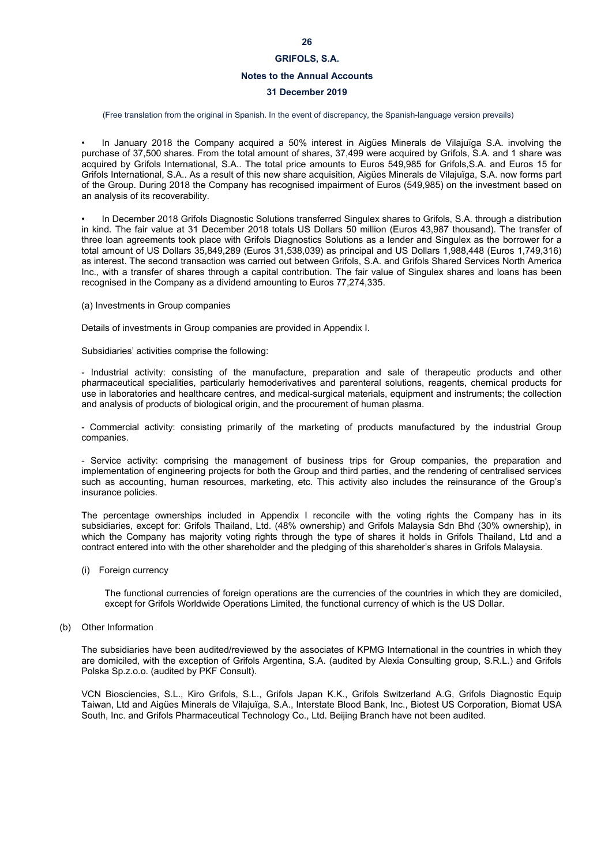## **GRIFOLS, S.A. Notes to the Annual Accounts**

#### **31 December 2019**

#### (Free translation from the original in Spanish. In the event of discrepancy, the Spanish-language version prevails)

• In January 2018 the Company acquired a 50% interest in Aigües Minerals de Vilajuïga S.A. involving the purchase of 37,500 shares. From the total amount of shares, 37,499 were acquired by Grifols, S.A. and 1 share was acquired by Grifols International, S.A.. The total price amounts to Euros 549,985 for Grifols,S.A. and Euros 15 for Grifols International, S.A.. As a result of this new share acquisition, Aigües Minerals de Vilajuïga, S.A. now forms part of the Group. During 2018 the Company has recognised impairment of Euros (549,985) on the investment based on an analysis of its recoverability.

• In December 2018 Grifols Diagnostic Solutions transferred Singulex shares to Grifols, S.A. through a distribution in kind. The fair value at 31 December 2018 totals US Dollars 50 million (Euros 43,987 thousand). The transfer of three loan agreements took place with Grifols Diagnostics Solutions as a lender and Singulex as the borrower for a total amount of US Dollars 35,849,289 (Euros 31,538,039) as principal and US Dollars 1,988,448 (Euros 1,749,316) as interest. The second transaction was carried out between Grifols, S.A. and Grifols Shared Services North America Inc., with a transfer of shares through a capital contribution. The fair value of Singulex shares and loans has been recognised in the Company as a dividend amounting to Euros 77,274,335.

(a) Investments in Group companies

Details of investments in Group companies are provided in Appendix I.

Subsidiaries' activities comprise the following:

- Industrial activity: consisting of the manufacture, preparation and sale of therapeutic products and other pharmaceutical specialities, particularly hemoderivatives and parenteral solutions, reagents, chemical products for use in laboratories and healthcare centres, and medical-surgical materials, equipment and instruments; the collection and analysis of products of biological origin, and the procurement of human plasma.

- Commercial activity: consisting primarily of the marketing of products manufactured by the industrial Group companies.

- Service activity: comprising the management of business trips for Group companies, the preparation and implementation of engineering projects for both the Group and third parties, and the rendering of centralised services such as accounting, human resources, marketing, etc. This activity also includes the reinsurance of the Group's insurance policies.

The percentage ownerships included in Appendix I reconcile with the voting rights the Company has in its subsidiaries, except for: Grifols Thailand, Ltd. (48% ownership) and Grifols Malaysia Sdn Bhd (30% ownership), in which the Company has majority voting rights through the type of shares it holds in Grifols Thailand, Ltd and a contract entered into with the other shareholder and the pledging of this shareholder's shares in Grifols Malaysia.

(i) Foreign currency

The functional currencies of foreign operations are the currencies of the countries in which they are domiciled, except for Grifols Worldwide Operations Limited, the functional currency of which is the US Dollar.

#### (b) Other Information

The subsidiaries have been audited/reviewed by the associates of KPMG International in the countries in which they are domiciled, with the exception of Grifols Argentina, S.A. (audited by Alexia Consulting group, S.R.L.) and Grifols Polska Sp.z.o.o. (audited by PKF Consult).

VCN Biosciencies, S.L., Kiro Grifols, S.L., Grifols Japan K.K., Grifols Switzerland A.G, Grifols Diagnostic Equip Taiwan, Ltd and Aigües Minerals de Vilajuïga, S.A., Interstate Blood Bank, Inc., Biotest US Corporation, Biomat USA South, Inc. and Grifols Pharmaceutical Technology Co., Ltd. Beijing Branch have not been audited.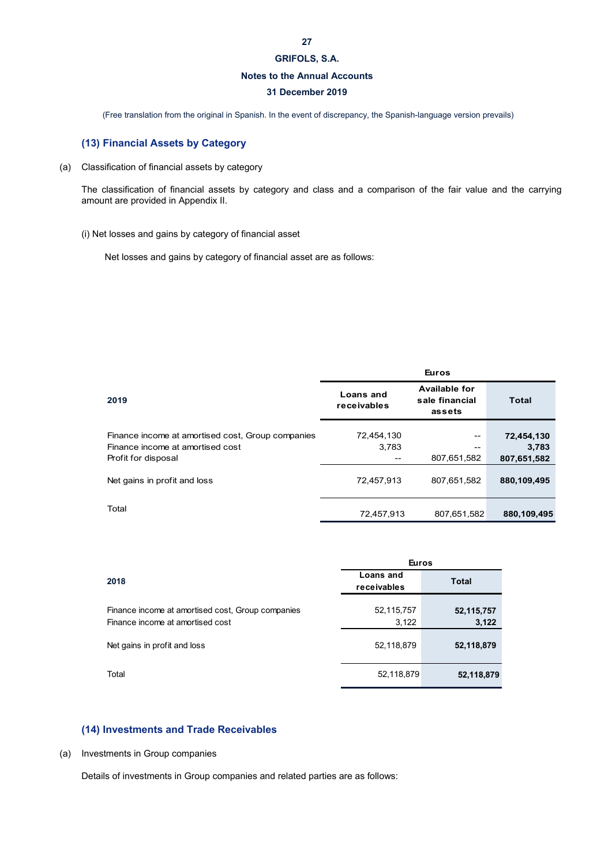## **Notes to the Annual Accounts**

## **31 December 2019**

(Free translation from the original in Spanish. In the event of discrepancy, the Spanish-language version prevails)

## **(13)Financial Assets by Category**

## (a) Classification of financial assets by category

The classification of financial assets by category and class and a comparison of the fair value and the carrying amount are provided in Appendix II.

(i) Net losses and gains by category of financial asset

Net losses and gains by category of financial asset are as follows:

|                                                                                                              | <b>Euros</b>             |                                                  |                                    |
|--------------------------------------------------------------------------------------------------------------|--------------------------|--------------------------------------------------|------------------------------------|
| 2019                                                                                                         | Loans and<br>receivables | <b>Available for</b><br>sale financial<br>assets | <b>Total</b>                       |
| Finance income at amortised cost, Group companies<br>Finance income at amortised cost<br>Profit for disposal | 72,454,130<br>3.783      | $- -$<br>$- -$<br>807,651,582                    | 72,454,130<br>3,783<br>807,651,582 |
| Net gains in profit and loss                                                                                 | 72,457,913               | 807,651,582                                      | 880,109,495                        |
| Total                                                                                                        | 72,457,913               | 807,651,582                                      | 880,109,495                        |

|                                                                                       | <b>Euros</b>             |                     |
|---------------------------------------------------------------------------------------|--------------------------|---------------------|
| 2018                                                                                  | Loans and<br>receivables | <b>Total</b>        |
| Finance income at amortised cost, Group companies<br>Finance income at amortised cost | 52,115,757<br>3,122      | 52,115,757<br>3,122 |
| Net gains in profit and loss                                                          | 52,118,879               | 52,118,879          |
| Total                                                                                 | 52,118,879               | 52,118,879          |

## **(14)Investments and Trade Receivables**

(a) Investments in Group companies

Details of investments in Group companies and related parties are as follows: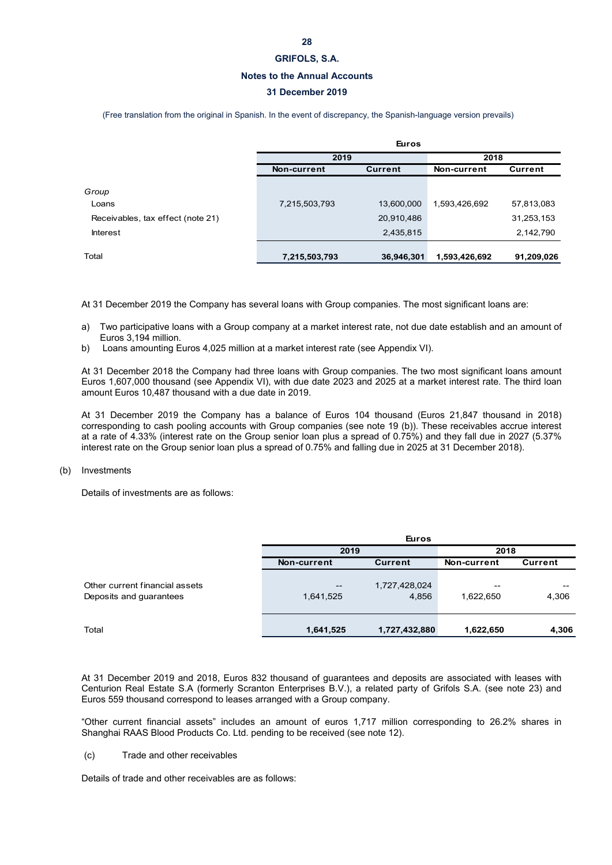#### **Notes to the Annual Accounts**

## **31 December 2019**

(Free translation from the original in Spanish. In the event of discrepancy, the Spanish-language version prevails)

|                                   |               | <b>Euros</b> |               |            |
|-----------------------------------|---------------|--------------|---------------|------------|
|                                   | 2019          |              | 2018          |            |
|                                   | Non-current   | Current      | Non-current   | Current    |
| Group                             |               |              |               |            |
| Loans                             | 7,215,503,793 | 13,600,000   | 1,593,426,692 | 57,813,083 |
| Receivables, tax effect (note 21) |               | 20,910,486   |               | 31,253,153 |
| <b>Interest</b>                   |               | 2,435,815    |               | 2,142,790  |
| Total                             | 7,215,503,793 | 36,946,301   | 1,593,426,692 | 91,209,026 |

At 31 December 2019 the Company has several loans with Group companies. The most significant loans are:

- a) Two participative loans with a Group company at a market interest rate, not due date establish and an amount of Euros 3,194 million.
- b) Loans amounting Euros 4,025 million at a market interest rate (see Appendix VI).

At 31 December 2018 the Company had three loans with Group companies. The two most significant loans amount Euros 1,607,000 thousand (see Appendix VI), with due date 2023 and 2025 at a market interest rate. The third loan amount Euros 10,487 thousand with a due date in 2019.

At 31 December 2019 the Company has a balance of Euros 104 thousand (Euros 21,847 thousand in 2018) corresponding to cash pooling accounts with Group companies (see note 19 (b)). These receivables accrue interest at a rate of 4.33% (interest rate on the Group senior loan plus a spread of 0.75%) and they fall due in 2027 (5.37% interest rate on the Group senior loan plus a spread of 0.75% and falling due in 2025 at 31 December 2018).

## (b) Investments

Details of investments are as follows:

|                                                           | <b>Euros</b>                          |                        |                    |                |
|-----------------------------------------------------------|---------------------------------------|------------------------|--------------------|----------------|
|                                                           | 2019                                  |                        | 2018               |                |
|                                                           | Non-current                           | <b>Current</b>         | Non-current        | Current        |
| Other current financial assets<br>Deposits and guarantees | $\overline{\phantom{m}}$<br>1,641,525 | 1,727,428,024<br>4,856 | $- -$<br>1,622,650 | $- -$<br>4,306 |
| Total                                                     | 1,641,525                             | 1,727,432,880          | 1,622,650          | 4,306          |

At 31 December 2019 and 2018, Euros 832 thousand of guarantees and deposits are associated with leases with Centurion Real Estate S.A (formerly Scranton Enterprises B.V.), a related party of Grifols S.A. (see note 23) and Euros 559 thousand correspond to leases arranged with a Group company.

"Other current financial assets" includes an amount of euros 1,717 million corresponding to 26.2% shares in Shanghai RAAS Blood Products Co. Ltd. pending to be received (see note 12).

#### (c) Trade and other receivables

Details of trade and other receivables are as follows: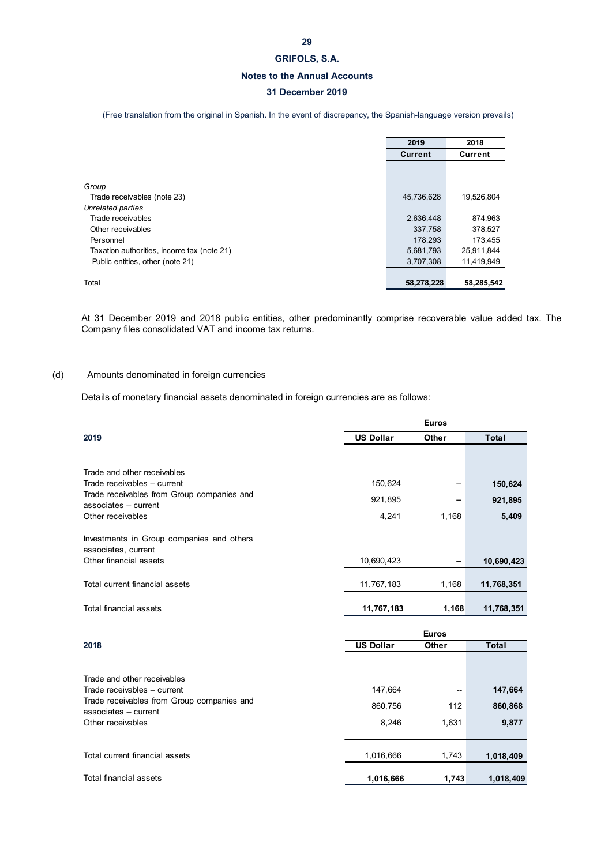## **Notes to the Annual Accounts**

## **31 December 2019**

(Free translation from the original in Spanish. In the event of discrepancy, the Spanish-language version prevails)

|                                            | 2019           | 2018           |
|--------------------------------------------|----------------|----------------|
|                                            | <b>Current</b> | <b>Current</b> |
|                                            |                |                |
| Group                                      |                |                |
| Trade receivables (note 23)                | 45,736,628     | 19,526,804     |
| Unrelated parties                          |                |                |
| Trade receivables                          | 2,636,448      | 874.963        |
| Other receivables                          | 337,758        | 378,527        |
| Personnel                                  | 178,293        | 173,455        |
| Taxation authorities, income tax (note 21) | 5,681,793      | 25.911.844     |
| Public entities, other (note 21)           | 3,707,308      | 11,419,949     |
|                                            |                |                |
| Total                                      | 58,278,228     | 58,285,542     |

At 31 December 2019 and 2018 public entities, other predominantly comprise recoverable value added tax. The Company files consolidated VAT and income tax returns.

## (d) Amounts denominated in foreign currencies

Details of monetary financial assets denominated in foreign currencies are as follows:

|                                                                    |                  | <b>Euros</b> |              |
|--------------------------------------------------------------------|------------------|--------------|--------------|
| 2019                                                               | <b>US Dollar</b> | <b>Other</b> | <b>Total</b> |
|                                                                    |                  |              |              |
| Trade and other receivables                                        |                  |              |              |
| Trade receivables - current                                        | 150,624          |              | 150,624      |
| Trade receivables from Group companies and<br>associates - current | 921,895          |              | 921,895      |
| Other receivables                                                  | 4,241            | 1,168        | 5,409        |
| Investments in Group companies and others                          |                  |              |              |
| associates, current                                                |                  |              |              |
| Other financial assets                                             | 10,690,423       |              | 10,690,423   |
| Total current financial assets                                     | 11,767,183       | 1,168        | 11,768,351   |
| Total financial assets                                             | 11,767,183       | 1,168        | 11,768,351   |
|                                                                    |                  | <b>Euros</b> |              |
| 2018                                                               | <b>US Dollar</b> | Other        | <b>Total</b> |
|                                                                    |                  |              |              |
| Trade and other receivables                                        |                  |              |              |
| Trade receivables - current                                        | 147,664          |              | 147,664      |
| Trade receivables from Group companies and<br>associates - current | 860,756          | 112          | 860,868      |
| Other receivables                                                  | 8,246            | 1,631        | 9,877        |

| Total current financial assets | 1.016.666 | 1.743 | 1.018.409 |
|--------------------------------|-----------|-------|-----------|
| Total financial assets         | 1,016,666 | 1.743 | 1,018,409 |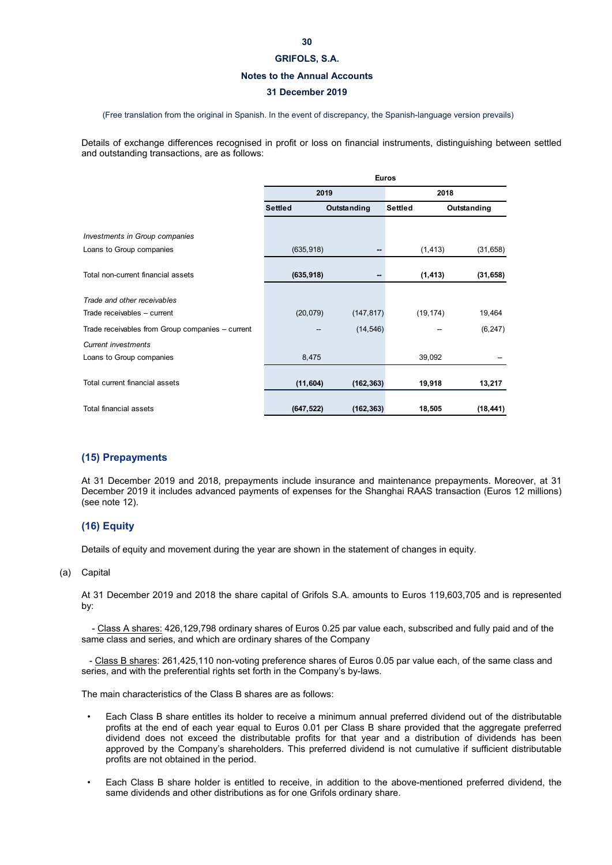**Notes to the Annual Accounts** 

#### **31 December 2019**

(Free translation from the original in Spanish. In the event of discrepancy, the Spanish-language version prevails)

Details of exchange differences recognised in profit or loss on financial instruments, distinguishing between settled and outstanding transactions, are as follows:

|                                                  | <b>Euros</b>   |             |           |             |
|--------------------------------------------------|----------------|-------------|-----------|-------------|
|                                                  |                | 2019        |           | 2018        |
|                                                  | <b>Settled</b> | Outstanding | Settled   | Outstanding |
|                                                  |                |             |           |             |
| Investments in Group companies                   |                |             |           |             |
| Loans to Group companies                         | (635, 918)     |             | (1, 413)  | (31, 658)   |
| Total non-current financial assets               | (635, 918)     |             | (1, 413)  | (31, 658)   |
| Trade and other receivables                      |                |             |           |             |
| Trade receivables - current                      | (20, 079)      | (147, 817)  | (19, 174) | 19,464      |
| Trade receivables from Group companies - current |                | (14, 546)   |           | (6, 247)    |
| <b>Current investments</b>                       |                |             |           |             |
| Loans to Group companies                         | 8,475          |             | 39,092    |             |
| Total current financial assets                   | (11,604)       | (162, 363)  | 19,918    | 13,217      |
| Total financial assets                           | (647, 522)     | (162, 363)  | 18,505    | (18, 441)   |

## **(15)Prepayments**

At 31 December 2019 and 2018, prepayments include insurance and maintenance prepayments. Moreover, at 31 December 2019 it includes advanced payments of expenses for the Shanghai RAAS transaction (Euros 12 millions) (see note 12).

## **(16)Equity**

Details of equity and movement during the year are shown in the statement of changes in equity.

(a) Capital

At 31 December 2019 and 2018 the share capital of Grifols S.A. amounts to Euros 119,603,705 and is represented by:

 - Class A shares: 426,129,798 ordinary shares of Euros 0.25 par value each, subscribed and fully paid and of the same class and series, and which are ordinary shares of the Company

 - Class B shares: 261,425,110 non-voting preference shares of Euros 0.05 par value each, of the same class and series, and with the preferential rights set forth in the Company's by-laws.

The main characteristics of the Class B shares are as follows:

- Each Class B share entitles its holder to receive a minimum annual preferred dividend out of the distributable profits at the end of each year equal to Euros 0.01 per Class B share provided that the aggregate preferred dividend does not exceed the distributable profits for that year and a distribution of dividends has been approved by the Company's shareholders. This preferred dividend is not cumulative if sufficient distributable profits are not obtained in the period.
- Each Class B share holder is entitled to receive, in addition to the above-mentioned preferred dividend, the same dividends and other distributions as for one Grifols ordinary share.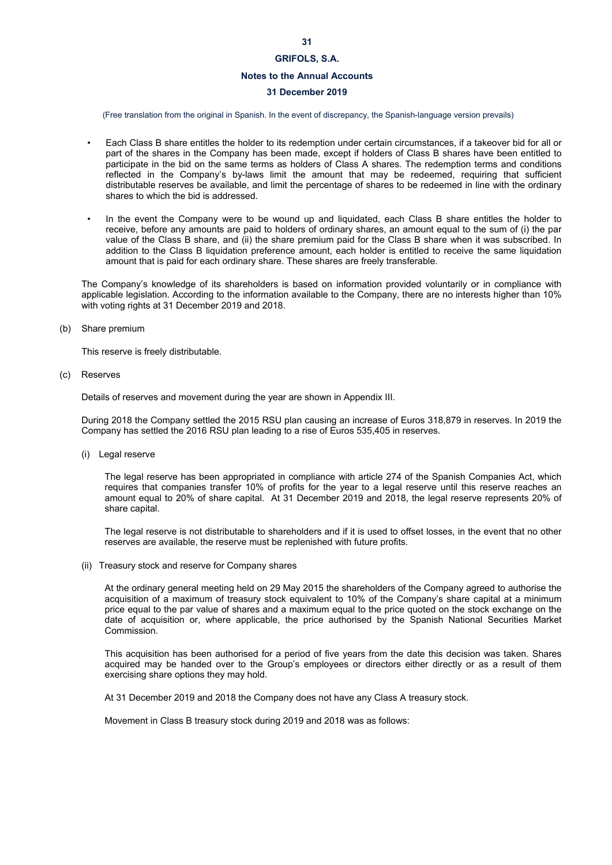#### **Notes to the Annual Accounts**

## **31 December 2019**

(Free translation from the original in Spanish. In the event of discrepancy, the Spanish-language version prevails)

- Each Class B share entitles the holder to its redemption under certain circumstances, if a takeover bid for all or part of the shares in the Company has been made, except if holders of Class B shares have been entitled to participate in the bid on the same terms as holders of Class A shares. The redemption terms and conditions reflected in the Company's by-laws limit the amount that may be redeemed, requiring that sufficient distributable reserves be available, and limit the percentage of shares to be redeemed in line with the ordinary shares to which the bid is addressed.
- In the event the Company were to be wound up and liquidated, each Class B share entitles the holder to receive, before any amounts are paid to holders of ordinary shares, an amount equal to the sum of (i) the par value of the Class B share, and (ii) the share premium paid for the Class B share when it was subscribed. In addition to the Class B liquidation preference amount, each holder is entitled to receive the same liquidation amount that is paid for each ordinary share. These shares are freely transferable.

The Company's knowledge of its shareholders is based on information provided voluntarily or in compliance with applicable legislation. According to the information available to the Company, there are no interests higher than 10% with voting rights at 31 December 2019 and 2018.

(b) Share premium

This reserve is freely distributable.

(c) Reserves

Details of reserves and movement during the year are shown in Appendix III.

During 2018 the Company settled the 2015 RSU plan causing an increase of Euros 318,879 in reserves. In 2019 the Company has settled the 2016 RSU plan leading to a rise of Euros 535,405 in reserves.

(i) Legal reserve

The legal reserve has been appropriated in compliance with article 274 of the Spanish Companies Act, which requires that companies transfer 10% of profits for the year to a legal reserve until this reserve reaches an amount equal to 20% of share capital. At 31 December 2019 and 2018, the legal reserve represents 20% of share capital.

The legal reserve is not distributable to shareholders and if it is used to offset losses, in the event that no other reserves are available, the reserve must be replenished with future profits.

(ii) Treasury stock and reserve for Company shares

At the ordinary general meeting held on 29 May 2015 the shareholders of the Company agreed to authorise the acquisition of a maximum of treasury stock equivalent to 10% of the Company's share capital at a minimum price equal to the par value of shares and a maximum equal to the price quoted on the stock exchange on the date of acquisition or, where applicable, the price authorised by the Spanish National Securities Market Commission.

This acquisition has been authorised for a period of five years from the date this decision was taken. Shares acquired may be handed over to the Group's employees or directors either directly or as a result of them exercising share options they may hold.

At 31 December 2019 and 2018 the Company does not have any Class A treasury stock.

Movement in Class B treasury stock during 2019 and 2018 was as follows: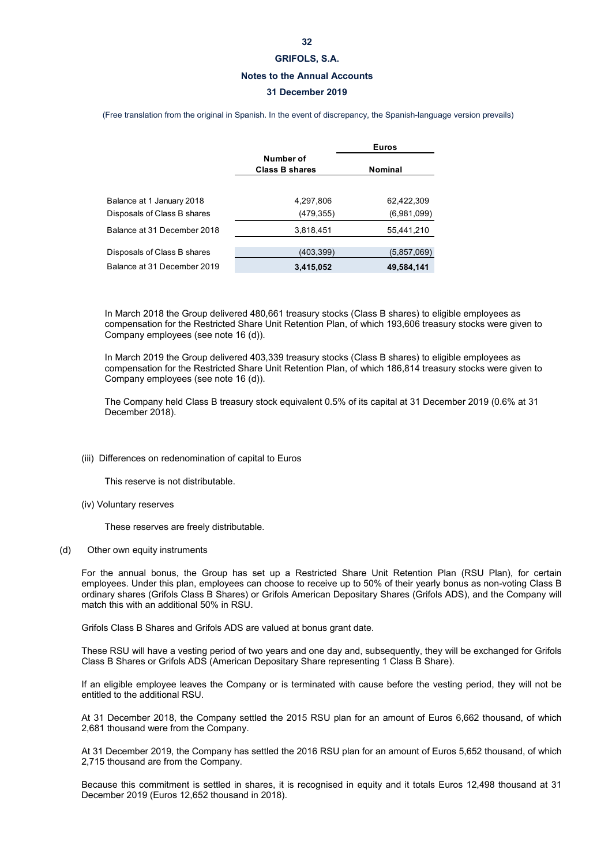#### **Notes to the Annual Accounts**

## **31 December 2019**

(Free translation from the original in Spanish. In the event of discrepancy, the Spanish-language version prevails)

|                             |                       | <b>Euros</b>   |
|-----------------------------|-----------------------|----------------|
|                             | Number of             |                |
|                             | <b>Class B shares</b> | <b>Nominal</b> |
|                             |                       |                |
| Balance at 1 January 2018   | 4.297.806             | 62,422,309     |
| Disposals of Class B shares | (479, 355)            | (6,981,099)    |
| Balance at 31 December 2018 | 3,818,451             | 55,441,210     |
| Disposals of Class B shares | (403, 399)            | (5,857,069)    |
| Balance at 31 December 2019 | 3,415,052             | 49,584,141     |

In March 2018 the Group delivered 480,661 treasury stocks (Class B shares) to eligible employees as compensation for the Restricted Share Unit Retention Plan, of which 193,606 treasury stocks were given to Company employees (see note 16 (d)).

In March 2019 the Group delivered 403,339 treasury stocks (Class B shares) to eligible employees as compensation for the Restricted Share Unit Retention Plan, of which 186,814 treasury stocks were given to Company employees (see note 16 (d)).

The Company held Class B treasury stock equivalent 0.5% of its capital at 31 December 2019 (0.6% at 31 December 2018).

(iii) Differences on redenomination of capital to Euros

This reserve is not distributable.

(iv) Voluntary reserves

These reserves are freely distributable.

(d) Other own equity instruments

For the annual bonus, the Group has set up a Restricted Share Unit Retention Plan (RSU Plan), for certain employees. Under this plan, employees can choose to receive up to 50% of their yearly bonus as non-voting Class B ordinary shares (Grifols Class B Shares) or Grifols American Depositary Shares (Grifols ADS), and the Company will match this with an additional 50% in RSU.

Grifols Class B Shares and Grifols ADS are valued at bonus grant date.

These RSU will have a vesting period of two years and one day and, subsequently, they will be exchanged for Grifols Class B Shares or Grifols ADS (American Depositary Share representing 1 Class B Share).

If an eligible employee leaves the Company or is terminated with cause before the vesting period, they will not be entitled to the additional RSU.

At 31 December 2018, the Company settled the 2015 RSU plan for an amount of Euros 6,662 thousand, of which 2,681 thousand were from the Company.

At 31 December 2019, the Company has settled the 2016 RSU plan for an amount of Euros 5,652 thousand, of which 2,715 thousand are from the Company.

Because this commitment is settled in shares, it is recognised in equity and it totals Euros 12,498 thousand at 31 December 2019 (Euros 12,652 thousand in 2018).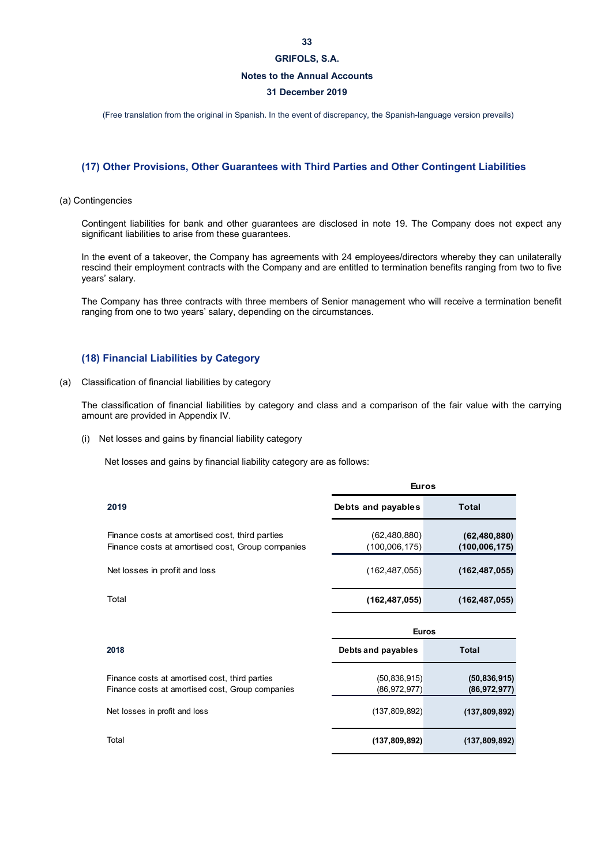#### **Notes to the Annual Accounts**

#### **31 December 2019**

(Free translation from the original in Spanish. In the event of discrepancy, the Spanish-language version prevails)

#### **(17)Other Provisions, Other Guarantees with Third Parties and Other Contingent Liabilities**

#### (a) Contingencies

Contingent liabilities for bank and other guarantees are disclosed in note 19. The Company does not expect any significant liabilities to arise from these guarantees.

In the event of a takeover, the Company has agreements with 24 employees/directors whereby they can unilaterally rescind their employment contracts with the Company and are entitled to termination benefits ranging from two to five years' salary.

The Company has three contracts with three members of Senior management who will receive a termination benefit ranging from one to two years' salary, depending on the circumstances.

## **(18)Financial Liabilities by Category**

## (a) Classification of financial liabilities by category

The classification of financial liabilities by category and class and a comparison of the fair value with the carrying amount are provided in Appendix IV.

(i) Net losses and gains by financial liability category

Net losses and gains by financial liability category are as follows:

|                                                                                                    | <b>Euros</b>                    |                                 |
|----------------------------------------------------------------------------------------------------|---------------------------------|---------------------------------|
| 2019                                                                                               | Debts and payables              | <b>Total</b>                    |
| Finance costs at amortised cost, third parties<br>Finance costs at amortised cost, Group companies | (62, 480, 880)<br>(100,006,175) | (62, 480, 880)<br>(100,006,175) |
| Net losses in profit and loss                                                                      | (162, 487, 055)                 | (162, 487, 055)                 |
| Total                                                                                              | (162, 487, 055)                 | (162, 487, 055)                 |
|                                                                                                    |                                 | <b>Euros</b>                    |
|                                                                                                    |                                 |                                 |

| 2018                                                                                               | Debts and payables               | Total                            |
|----------------------------------------------------------------------------------------------------|----------------------------------|----------------------------------|
| Finance costs at amortised cost, third parties<br>Finance costs at amortised cost, Group companies | (50, 836, 915)<br>(86, 972, 977) | (50, 836, 915)<br>(86, 972, 977) |
| Net losses in profit and loss                                                                      | (137, 809, 892)                  | (137, 809, 892)                  |
| Total                                                                                              | (137, 809, 892)                  | (137, 809, 892)                  |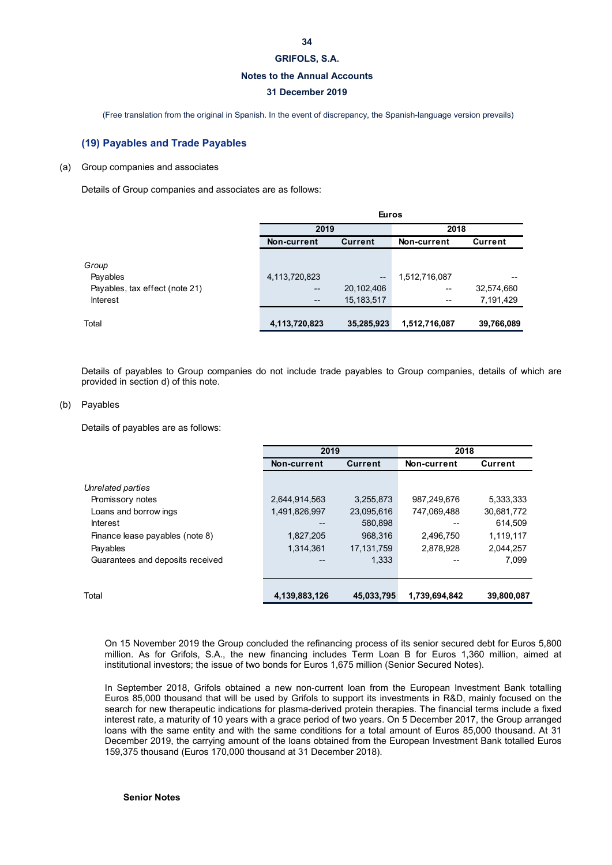# **34**

# **GRIFOLS, S.A.**

## **Notes to the Annual Accounts**

## **31 December 2019**

(Free translation from the original in Spanish. In the event of discrepancy, the Spanish-language version prevails)

### **(19)Payables and Trade Payables**

#### (a) Group companies and associates

Details of Group companies and associates are as follows:

|                                |                   | <b>Euros</b>             |               |                |  |  |
|--------------------------------|-------------------|--------------------------|---------------|----------------|--|--|
|                                |                   | 2019                     |               | 2018           |  |  |
|                                | Non-current       | <b>Current</b>           | Non-current   | <b>Current</b> |  |  |
|                                |                   |                          |               |                |  |  |
| Group                          |                   |                          |               |                |  |  |
| Payables                       | 4,113,720,823     | $\overline{\phantom{m}}$ | 1,512,716,087 | --             |  |  |
| Payables, tax effect (note 21) | $\qquad \qquad -$ | 20,102,406               | $- -$         | 32,574,660     |  |  |
| <b>Interest</b>                | $\qquad \qquad -$ | 15,183,517               | --            | 7,191,429      |  |  |
|                                |                   |                          |               |                |  |  |
| Total                          | 4,113,720,823     | 35,285,923               | 1,512,716,087 | 39,766,089     |  |  |
|                                |                   |                          |               |                |  |  |

Details of payables to Group companies do not include trade payables to Group companies, details of which are provided in section d) of this note.

## (b) Payables

Details of payables are as follows:

|                                  | 2019          |                | 2018          |            |
|----------------------------------|---------------|----------------|---------------|------------|
|                                  | Non-current   | <b>Current</b> | Non-current   | Current    |
|                                  |               |                |               |            |
| Unrelated parties                |               |                |               |            |
| Promissory notes                 | 2,644,914,563 | 3,255,873      | 987.249.676   | 5,333,333  |
| Loans and borrow ings            | 1,491,826,997 | 23,095,616     | 747,069,488   | 30.681,772 |
| <b>Interest</b>                  |               | 580,898        | --            | 614.509    |
| Finance lease payables (note 8)  | 1,827,205     | 968,316        | 2,496,750     | 1,119,117  |
| Payables                         | 1,314,361     | 17, 131, 759   | 2,878,928     | 2,044,257  |
| Guarantees and deposits received |               | 1.333          | --            | 7.099      |
|                                  |               |                |               |            |
|                                  |               |                |               |            |
| Total                            | 4,139,883,126 | 45,033,795     | 1,739,694,842 | 39,800,087 |

On 15 November 2019 the Group concluded the refinancing process of its senior secured debt for Euros 5,800 million. As for Grifols, S.A., the new financing includes Term Loan B for Euros 1,360 million, aimed at institutional investors; the issue of two bonds for Euros 1,675 million (Senior Secured Notes).

In September 2018, Grifols obtained a new non-current loan from the European Investment Bank totalling Euros 85,000 thousand that will be used by Grifols to support its investments in R&D, mainly focused on the search for new therapeutic indications for plasma-derived protein therapies. The financial terms include a fixed interest rate, a maturity of 10 years with a grace period of two years. On 5 December 2017, the Group arranged loans with the same entity and with the same conditions for a total amount of Euros 85,000 thousand. At 31 December 2019, the carrying amount of the loans obtained from the European Investment Bank totalled Euros 159,375 thousand (Euros 170,000 thousand at 31 December 2018).

## **Senior Notes**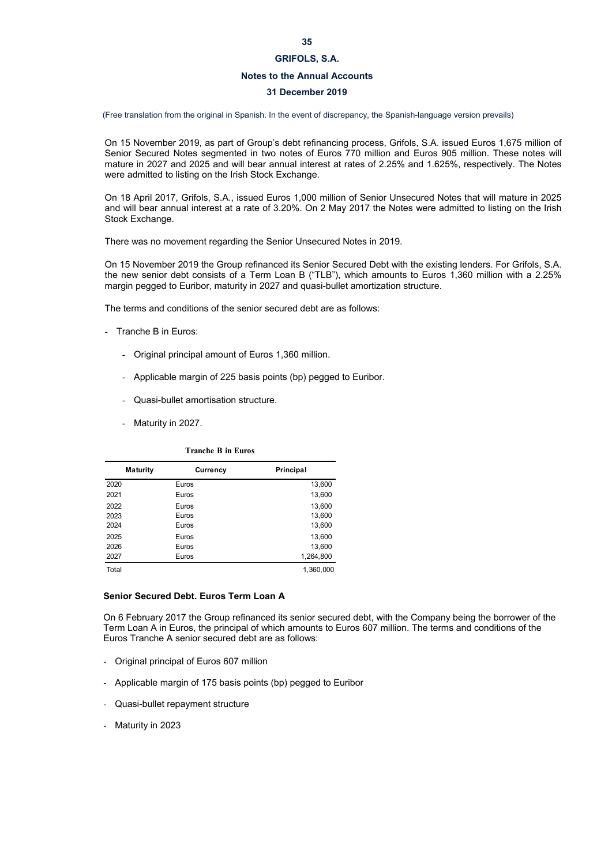#### **Notes to the Annual Accounts**

#### **31 December 2019**

(Free translation from the original in Spanish. In the event of discrepancy, the Spanish-language version prevails)

On 15 November 2019, as part of Group's debt refinancing process, Grifols, S.A. issued Euros 1,675 million of Senior Secured Notes segmented in two notes of Euros 770 million and Euros 905 million. These notes will mature in 2027 and 2025 and will bear annual interest at rates of 2.25% and 1.625%, respectively. The Notes were admitted to listing on the Irish Stock Exchange.

On 18 April 2017, Grifols, S.A., issued Euros 1,000 million of Senior Unsecured Notes that will mature in 2025 and will bear annual interest at a rate of 3.20%. On 2 May 2017 the Notes were admitted to listing on the Irish Stock Exchange.

There was no movement regarding the Senior Unsecured Notes in 2019.

On 15 November 2019 the Group refinanced its Senior Secured Debt with the existing lenders. For Grifols, S.A. the new senior debt consists of a Term Loan B ("TLB"), which amounts to Euros 1,360 million with a 2.25% margin pegged to Euribor, maturity in 2027 and quasi-bullet amortization structure.

The terms and conditions of the senior secured debt are as follows:

- Tranche B in Euros:
	- Original principal amount of Euros 1,360 million.
	- Applicable margin of 225 basis points (bp) pegged to Euribor.
	- Quasi-bullet amortisation structure.
	- Maturity in 2027.

| <b>Maturity</b> | Currency | Principal |
|-----------------|----------|-----------|
| 2020            | Euros    | 13,600    |
| 2021            | Euros    | 13,600    |
| 2022            | Euros    | 13,600    |
| 2023            | Euros    | 13,600    |
| 2024            | Euros    | 13,600    |
| 2025            | Euros    | 13,600    |
| 2026            | Euros    | 13,600    |
| 2027            | Euros    | 1,264,800 |
| Total           |          | 1,360,000 |

**Tranche B in Euros**

#### **Senior Secured Debt. Euros Term Loan A**

On 6 February 2017 the Group refinanced its senior secured debt, with the Company being the borrower of the Term Loan A in Euros, the principal of which amounts to Euros 607 million. The terms and conditions of the Euros Tranche A senior secured debt are as follows:

- Original principal of Euros 607 million
- Applicable margin of 175 basis points (bp) pegged to Euribor
- Quasi-bullet repayment structure
- Maturity in 2023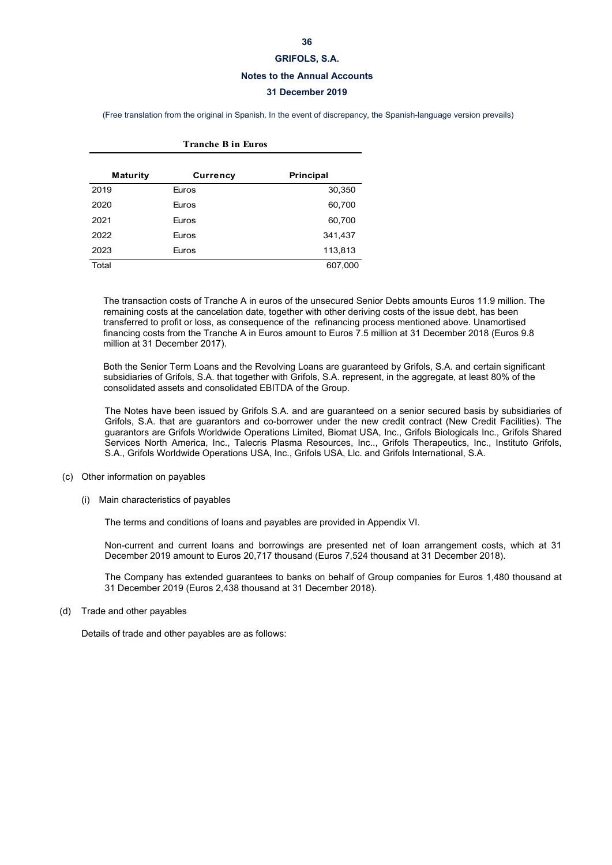#### **Notes to the Annual Accounts**

## **31 December 2019**

(Free translation from the original in Spanish. In the event of discrepancy, the Spanish-language version prevails)

| <b>Tranche B in Euros</b> |                 |           |  |  |
|---------------------------|-----------------|-----------|--|--|
| <b>Maturity</b>           | <b>Currency</b> | Principal |  |  |
| 2019                      | Euros           | 30,350    |  |  |
| 2020                      | Euros           | 60,700    |  |  |
| 2021                      | <b>Furos</b>    | 60,700    |  |  |
| 2022                      | Euros           | 341,437   |  |  |
| 2023                      | Euros           | 113,813   |  |  |
| Total                     |                 | 607,000   |  |  |

The transaction costs of Tranche A in euros of the unsecured Senior Debts amounts Euros 11.9 million. The remaining costs at the cancelation date, together with other deriving costs of the issue debt, has been transferred to profit or loss, as consequence of the refinancing process mentioned above. Unamortised financing costs from the Tranche A in Euros amount to Euros 7.5 million at 31 December 2018 (Euros 9.8 million at 31 December 2017).

Both the Senior Term Loans and the Revolving Loans are guaranteed by Grifols, S.A. and certain significant subsidiaries of Grifols, S.A. that together with Grifols, S.A. represent, in the aggregate, at least 80% of the consolidated assets and consolidated EBITDA of the Group.

The Notes have been issued by Grifols S.A. and are guaranteed on a senior secured basis by subsidiaries of Grifols, S.A. that are guarantors and co-borrower under the new credit contract (New Credit Facilities). The guarantors are Grifols Worldwide Operations Limited, Biomat USA, Inc., Grifols Biologicals Inc., Grifols Shared Services North America, Inc., Talecris Plasma Resources, Inc.., Grifols Therapeutics, Inc., Instituto Grifols, S.A., Grifols Worldwide Operations USA, Inc., Grifols USA, Llc. and Grifols International, S.A.

- (c) Other information on payables
	- (i) Main characteristics of payables

The terms and conditions of loans and payables are provided in Appendix VI.

Non-current and current loans and borrowings are presented net of loan arrangement costs, which at 31 December 2019 amount to Euros 20,717 thousand (Euros 7,524 thousand at 31 December 2018).

The Company has extended guarantees to banks on behalf of Group companies for Euros 1,480 thousand at 31 December 2019 (Euros 2,438 thousand at 31 December 2018).

(d) Trade and other payables

Details of trade and other payables are as follows: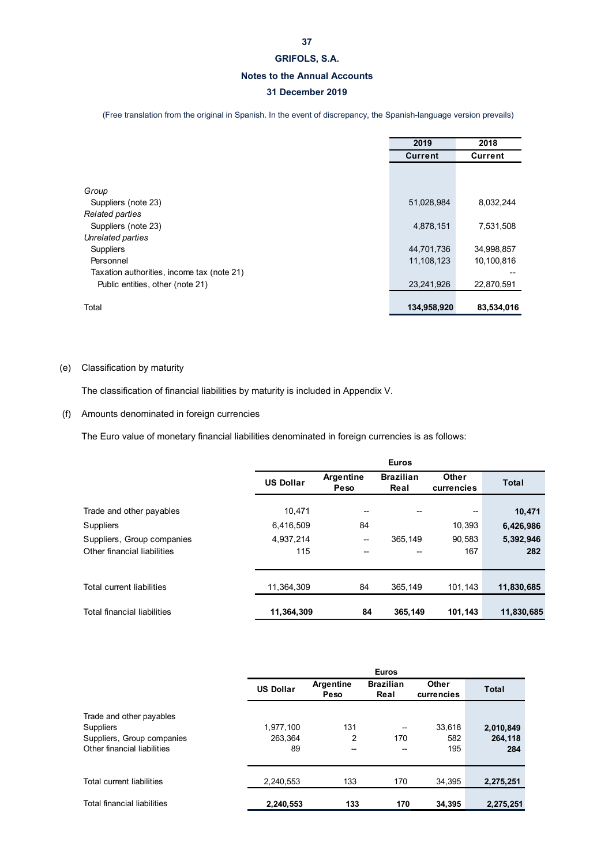## **Notes to the Annual Accounts**

## **31 December 2019**

(Free translation from the original in Spanish. In the event of discrepancy, the Spanish-language version prevails)

|                                            | 2019        | 2018           |
|--------------------------------------------|-------------|----------------|
|                                            | Current     | <b>Current</b> |
|                                            |             |                |
| Group                                      |             |                |
| Suppliers (note 23)                        | 51,028,984  | 8,032,244      |
| <b>Related parties</b>                     |             |                |
| Suppliers (note 23)                        | 4,878,151   | 7,531,508      |
| Unrelated parties                          |             |                |
| Suppliers                                  | 44,701,736  | 34,998,857     |
| Personnel                                  | 11,108,123  | 10,100,816     |
| Taxation authorities, income tax (note 21) |             |                |
| Public entities, other (note 21)           | 23,241,926  | 22,870,591     |
|                                            |             |                |
| Total                                      | 134,958,920 | 83,534,016     |

## (e) Classification by maturity

The classification of financial liabilities by maturity is included in Appendix V.

## (f) Amounts denominated in foreign currencies

The Euro value of monetary financial liabilities denominated in foreign currencies is as follows:

|                             | <b>Euros</b>     |                   |                          |                     |              |
|-----------------------------|------------------|-------------------|--------------------------|---------------------|--------------|
|                             | <b>US Dollar</b> | Argentine<br>Peso | <b>Brazilian</b><br>Real | Other<br>currencies | <b>Total</b> |
| Trade and other payables    | 10.471           |                   |                          |                     | 10,471       |
| Suppliers                   | 6,416,509        | 84                |                          | 10.393              | 6,426,986    |
| Suppliers, Group companies  | 4,937,214        | --                | 365.149                  | 90.583              | 5,392,946    |
| Other financial liabilities | 115              |                   | --                       | 167                 | 282          |
| Total current liabilities   | 11,364,309       | 84                | 365.149                  | 101.143             | 11,830,685   |
| Total financial liabilities | 11,364,309       | 84                | 365,149                  | 101,143             | 11,830,685   |

|                                                                                                    | <b>Euros</b>               |                   |                          |                      |                             |
|----------------------------------------------------------------------------------------------------|----------------------------|-------------------|--------------------------|----------------------|-----------------------------|
|                                                                                                    | <b>US Dollar</b>           | Argentine<br>Peso | <b>Brazilian</b><br>Real | Other<br>currencies  | <b>Total</b>                |
| Trade and other payables<br>Suppliers<br>Suppliers, Group companies<br>Other financial liabilities | 1.977.100<br>263,364<br>89 | 131<br>2          | --<br>170<br>--          | 33.618<br>582<br>195 | 2,010,849<br>264,118<br>284 |
| Total current liabilities                                                                          | 2,240,553                  | 133               | 170                      | 34.395               | 2,275,251                   |
| <b>Total financial liabilities</b>                                                                 | 2,240,553                  | 133               | 170                      | 34.395               | 2,275,251                   |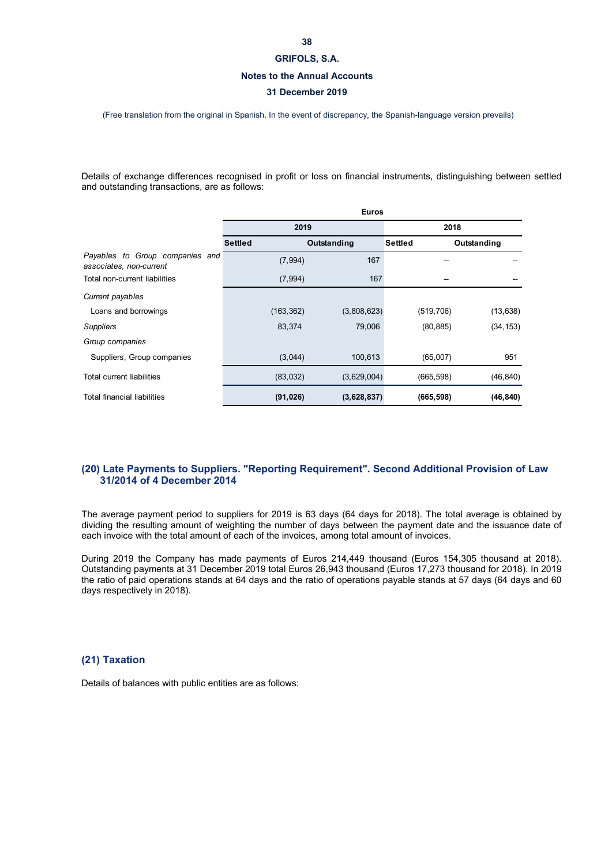**Notes to the Annual Accounts** 

#### **31 December 2019**

(Free translation from the original in Spanish. In the event of discrepancy, the Spanish-language version prevails)

Details of exchange differences recognised in profit or loss on financial instruments, distinguishing between settled and outstanding transactions, are as follows:

|                                                            | <b>Euros</b> |             |            |             |  |
|------------------------------------------------------------|--------------|-------------|------------|-------------|--|
|                                                            | 2019         |             | 2018       |             |  |
|                                                            | Settled      | Outstanding | Settled    | Outstanding |  |
| Payables to Group companies and<br>associates, non-current | (7,994)      | 167         |            |             |  |
| Total non-current liabilities                              | (7,994)      | 167         |            |             |  |
| Current payables                                           |              |             |            |             |  |
| Loans and borrowings                                       | (163, 362)   | (3,808,623) | (519, 706) | (13, 638)   |  |
| <b>Suppliers</b>                                           | 83,374       | 79,006      | (80, 885)  | (34, 153)   |  |
| Group companies                                            |              |             |            |             |  |
| Suppliers, Group companies                                 | (3,044)      | 100,613     | (65,007)   | 951         |  |
| Total current liabilities                                  | (83,032)     | (3,629,004) | (665, 598) | (46, 840)   |  |
| <b>Total financial liabilities</b>                         | (91, 026)    | (3,628,837) | (665, 598) | (46, 840)   |  |

## **(20)Late Payments to Suppliers. "Reporting Requirement". Second Additional Provision of Law 31/2014 of 4 December 2014**

The average payment period to suppliers for 2019 is 63 days (64 days for 2018). The total average is obtained by dividing the resulting amount of weighting the number of days between the payment date and the issuance date of each invoice with the total amount of each of the invoices, among total amount of invoices.

During 2019 the Company has made payments of Euros 214,449 thousand (Euros 154,305 thousand at 2018). Outstanding payments at 31 December 2019 total Euros 26,943 thousand (Euros 17,273 thousand for 2018). In 2019 the ratio of paid operations stands at 64 days and the ratio of operations payable stands at 57 days (64 days and 60 days respectively in 2018).

## **(21)Taxation**

Details of balances with public entities are as follows: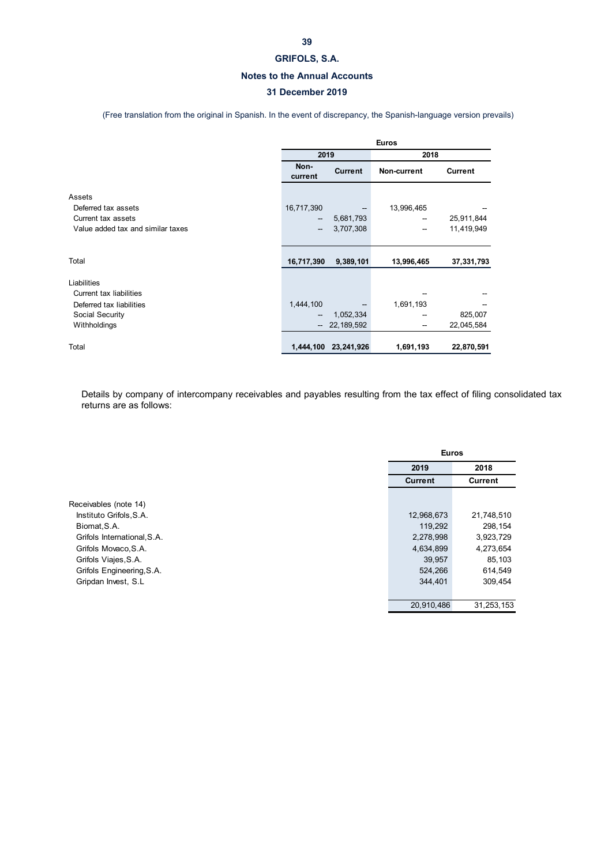## **Notes to the Annual Accounts**

## **31 December 2019**

(Free translation from the original in Spanish. In the event of discrepancy, the Spanish-language version prevails)

|                                   | <b>Euros</b>    |                |             |            |
|-----------------------------------|-----------------|----------------|-------------|------------|
|                                   | 2019            |                | 2018        |            |
|                                   | Non-<br>current | <b>Current</b> | Non-current | Current    |
| Assets                            |                 |                |             |            |
| Deferred tax assets               | 16,717,390      |                | 13,996,465  |            |
| Current tax assets                | --              | 5,681,793      | --          | 25,911,844 |
| Value added tax and similar taxes | --              | 3,707,308      | --          | 11,419,949 |
| Total                             | 16,717,390      | 9,389,101      | 13,996,465  | 37,331,793 |
| Liabilities                       |                 |                |             |            |
| Current tax liabilities           |                 |                |             |            |
| Deferred tax liabilities          | 1,444,100       |                | 1,691,193   |            |
| Social Security                   | --              | 1,052,334      |             | 825,007    |
| Withholdings                      | --              | 22, 189, 592   | --          | 22,045,584 |
| Total                             | 1,444,100       | 23,241,926     | 1,691,193   | 22,870,591 |

Details by company of intercompany receivables and payables resulting from the tax effect of filing consolidated tax returns are as follows:

|                             | <b>Euros</b>   |            |
|-----------------------------|----------------|------------|
|                             | 2019           | 2018       |
|                             | <b>Current</b> | Current    |
|                             |                |            |
| Receivables (note 14)       |                |            |
| Instituto Grifols.S.A.      | 12,968,673     | 21,748,510 |
| Biomat, S.A.                | 119,292        | 298,154    |
| Grifols International, S.A. | 2,278,998      | 3,923,729  |
| Grifols Movaco, S.A.        | 4,634,899      | 4,273,654  |
| Grifols Viajes, S.A.        | 39,957         | 85,103     |
| Grifols Engineering, S.A.   | 524,266        | 614,549    |
| Gripdan Invest, S.L.        | 344,401        | 309,454    |
|                             |                |            |
|                             | 20,910,486     | 31,253,153 |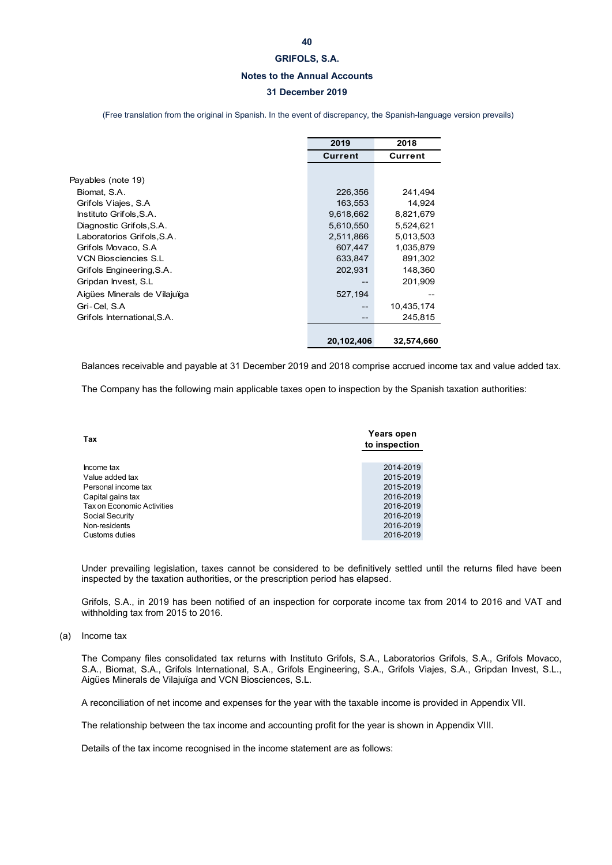## **Notes to the Annual Accounts**

## **31 December 2019**

(Free translation from the original in Spanish. In the event of discrepancy, the Spanish-language version prevails)

|                              | 2019           | 2018           |
|------------------------------|----------------|----------------|
|                              | <b>Current</b> | <b>Current</b> |
|                              |                |                |
| Payables (note 19)           |                |                |
| Biomat, S.A.                 | 226,356        | 241,494        |
| Grifols Viajes, S.A.         | 163,553        | 14,924         |
| Instituto Grifols, S.A.      | 9,618,662      | 8,821,679      |
| Diagnostic Grifols, S.A.     | 5,610,550      | 5,524,621      |
| Laboratorios Grifols, S.A.   | 2,511,866      | 5,013,503      |
| Grifols Movaco, S.A.         | 607,447        | 1,035,879      |
| <b>VCN Biosciencies S.L.</b> | 633,847        | 891,302        |
| Grifols Engineering, S.A.    | 202,931        | 148,360        |
| Gripdan Invest, S.L.         | --             | 201,909        |
| Aigües Minerals de Vilajuïga | 527,194        |                |
| Gri-Cel, S.A                 |                | 10,435,174     |
| Grifols International, S.A.  | --             | 245,815        |
|                              |                |                |
|                              | 20,102,406     | 32,574,660     |

Balances receivable and payable at 31 December 2019 and 2018 comprise accrued income tax and value added tax.

The Company has the following main applicable taxes open to inspection by the Spanish taxation authorities:

| Tax                        | Years open<br>to inspection |
|----------------------------|-----------------------------|
|                            |                             |
| Income tax                 | 2014-2019                   |
| Value added tax            | 2015-2019                   |
| Personal income tax        | 2015-2019                   |
| Capital gains tax          | 2016-2019                   |
| Tax on Economic Activities | 2016-2019                   |
| Social Security            | 2016-2019                   |
| Non-residents              | 2016-2019                   |
| Customs duties             | 2016-2019                   |

Under prevailing legislation, taxes cannot be considered to be definitively settled until the returns filed have been inspected by the taxation authorities, or the prescription period has elapsed.

Grifols, S.A., in 2019 has been notified of an inspection for corporate income tax from 2014 to 2016 and VAT and withholding tax from 2015 to 2016.

(a) Income tax

The Company files consolidated tax returns with Instituto Grifols, S.A., Laboratorios Grifols, S.A., Grifols Movaco, S.A., Biomat, S.A., Grifols International, S.A., Grifols Engineering, S.A., Grifols Viajes, S.A., Gripdan Invest, S.L., Aigües Minerals de Vilajuïga and VCN Biosciences, S.L.

A reconciliation of net income and expenses for the year with the taxable income is provided in Appendix VII.

The relationship between the tax income and accounting profit for the year is shown in Appendix VIII.

Details of the tax income recognised in the income statement are as follows: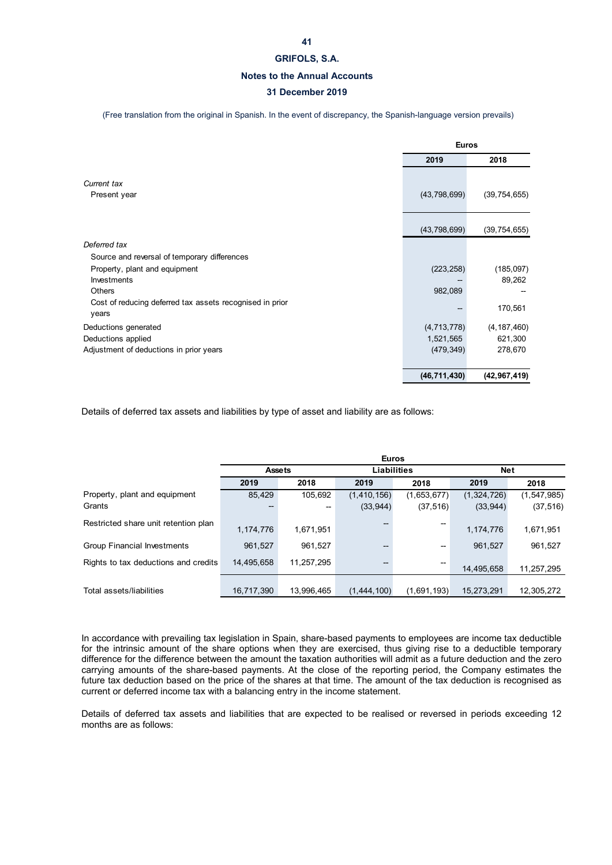#### **Notes to the Annual Accounts**

#### **31 December 2019**

(Free translation from the original in Spanish. In the event of discrepancy, the Spanish-language version prevails)

|                                                                   | <b>Euros</b>   |                |
|-------------------------------------------------------------------|----------------|----------------|
|                                                                   | 2019           | 2018           |
| Current tax<br>Present year                                       | (43,798,699)   | (39, 754, 655) |
|                                                                   | (43,798,699)   | (39, 754, 655) |
| Deferred tax                                                      |                |                |
| Source and reversal of temporary differences                      |                |                |
| Property, plant and equipment                                     | (223, 258)     | (185,097)      |
| Investments                                                       |                | 89,262         |
| <b>Others</b>                                                     | 982,089        |                |
| Cost of reducing deferred tax assets recognised in prior<br>years |                | 170,561        |
| Deductions generated                                              | (4, 713, 778)  | (4, 187, 460)  |
| Deductions applied                                                | 1,521,565      | 621,300        |
| Adjustment of deductions in prior years                           | (479, 349)     | 278,670        |
|                                                                   | (46, 711, 430) | (42, 967, 419) |

Details of deferred tax assets and liabilities by type of asset and liability are as follows:

|                                      |               | <b>Euros</b> |               |             |             |               |  |  |  |  |
|--------------------------------------|---------------|--------------|---------------|-------------|-------------|---------------|--|--|--|--|
|                                      | <b>Assets</b> |              | Liabilities   |             | <b>Net</b>  |               |  |  |  |  |
|                                      | 2019          | 2018         | 2019          | 2018        | 2019        | 2018          |  |  |  |  |
| Property, plant and equipment        | 85,429        | 105,692      | (1, 410, 156) | (1,653,677) | (1,324,726) | (1, 547, 985) |  |  |  |  |
| Grants                               |               |              | (33, 944)     | (37, 516)   | (33, 944)   | (37, 516)     |  |  |  |  |
| Restricted share unit retention plan | 1,174,776     | 1,671,951    |               |             | 1,174,776   | 1,671,951     |  |  |  |  |
| <b>Group Financial Investments</b>   | 961,527       | 961,527      |               |             | 961.527     | 961,527       |  |  |  |  |
| Rights to tax deductions and credits | 14,495,658    | 11.257.295   |               |             | 14,495,658  | 11,257,295    |  |  |  |  |
| Total assets/liabilities             | 16,717,390    | 13,996,465   | (1,444,100)   | (1,691,193) | 15,273,291  | 12,305,272    |  |  |  |  |

In accordance with prevailing tax legislation in Spain, share-based payments to employees are income tax deductible for the intrinsic amount of the share options when they are exercised, thus giving rise to a deductible temporary difference for the difference between the amount the taxation authorities will admit as a future deduction and the zero carrying amounts of the share-based payments. At the close of the reporting period, the Company estimates the future tax deduction based on the price of the shares at that time. The amount of the tax deduction is recognised as current or deferred income tax with a balancing entry in the income statement.

Details of deferred tax assets and liabilities that are expected to be realised or reversed in periods exceeding 12 months are as follows: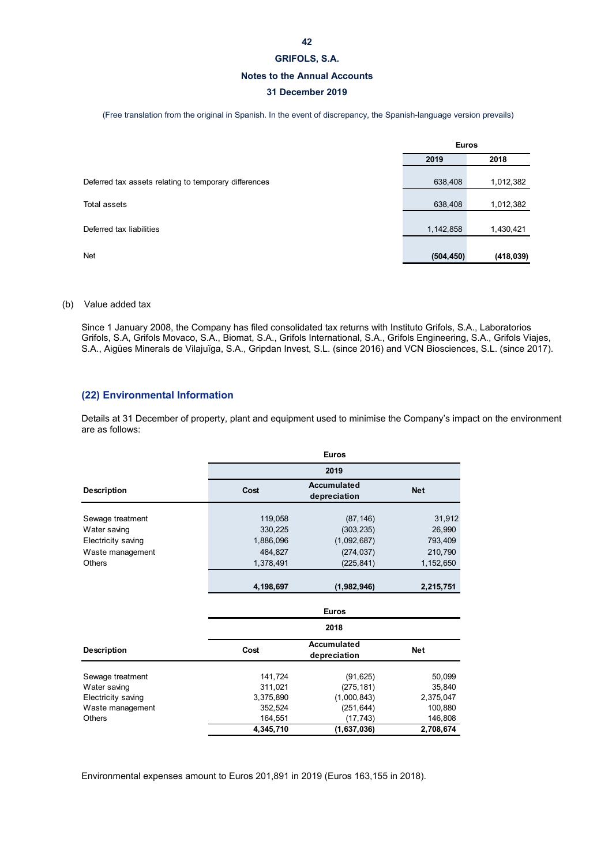#### **Notes to the Annual Accounts**

## **31 December 2019**

(Free translation from the original in Spanish. In the event of discrepancy, the Spanish-language version prevails)

|                                                       | <b>Euros</b> |            |
|-------------------------------------------------------|--------------|------------|
|                                                       | 2019         | 2018       |
| Deferred tax assets relating to temporary differences | 638,408      | 1,012,382  |
| Total assets                                          | 638,408      | 1,012,382  |
| Deferred tax liabilities                              | 1,142,858    | 1,430,421  |
| Net                                                   |              |            |
|                                                       | (504, 450)   | (418, 039) |

## (b) Value added tax

Since 1 January 2008, the Company has filed consolidated tax returns with Instituto Grifols, S.A., Laboratorios Grifols, S.A, Grifols Movaco, S.A., Biomat, S.A., Grifols International, S.A., Grifols Engineering, S.A., Grifols Viajes, S.A., Aigües Minerals de Vilajuïga, S.A., Gripdan Invest, S.L. (since 2016) and VCN Biosciences, S.L. (since 2017).

## **(22)Environmental Information**

Details at 31 December of property, plant and equipment used to minimise the Company's impact on the environment are as follows:

|                    | <b>Euros</b> |                                    |            |  |  |  |  |  |
|--------------------|--------------|------------------------------------|------------|--|--|--|--|--|
|                    | 2019         |                                    |            |  |  |  |  |  |
| Description        | Cost         | <b>Accumulated</b><br>depreciation | <b>Net</b> |  |  |  |  |  |
| Sewage treatment   | 119,058      | (87, 146)                          | 31,912     |  |  |  |  |  |
| Water saving       | 330,225      | (303, 235)                         | 26,990     |  |  |  |  |  |
| Electricity saving | 1,886,096    | (1,092,687)                        | 793,409    |  |  |  |  |  |
| Waste management   | 484,827      | (274, 037)                         | 210,790    |  |  |  |  |  |
| Others             | 1,378,491    | (225, 841)                         | 1,152,650  |  |  |  |  |  |
|                    | 4,198,697    | (1,982,946)                        | 2,215,751  |  |  |  |  |  |
|                    |              | <b>Euros</b>                       |            |  |  |  |  |  |
|                    |              | 2018                               |            |  |  |  |  |  |
| <b>Description</b> | Cost         | Accumulated<br>depreciation        | <b>Net</b> |  |  |  |  |  |
| Sewage treatment   | 141,724      | (91, 625)                          | 50,099     |  |  |  |  |  |
| Water saving       | 311,021      | (275, 181)                         | 35,840     |  |  |  |  |  |
| Electricity saving | 3,375,890    | (1,000,843)                        | 2,375,047  |  |  |  |  |  |
| Waste management   | 352,524      | (251, 644)                         | 100,880    |  |  |  |  |  |
| <b>Others</b>      | 164,551      | (17, 743)                          | 146,808    |  |  |  |  |  |
|                    | 4,345,710    | (1,637,036)                        | 2,708,674  |  |  |  |  |  |

Environmental expenses amount to Euros 201,891 in 2019 (Euros 163,155 in 2018).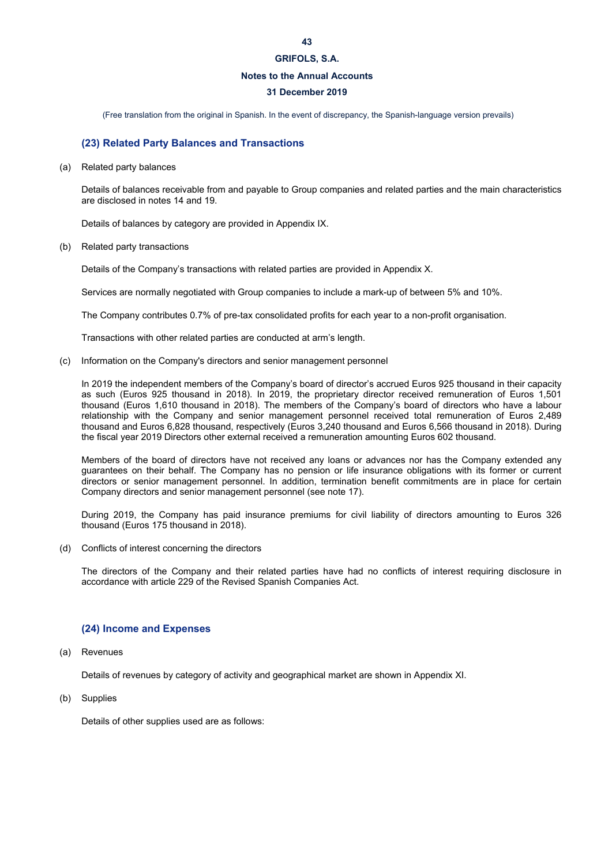#### **Notes to the Annual Accounts**

## **31 December 2019**

(Free translation from the original in Spanish. In the event of discrepancy, the Spanish-language version prevails)

## **(23)Related Party Balances and Transactions**

(a) Related party balances

Details of balances receivable from and payable to Group companies and related parties and the main characteristics are disclosed in notes 14 and 19.

Details of balances by category are provided in Appendix IX.

(b) Related party transactions

Details of the Company's transactions with related parties are provided in Appendix X.

Services are normally negotiated with Group companies to include a mark-up of between 5% and 10%.

The Company contributes 0.7% of pre-tax consolidated profits for each year to a non-profit organisation.

Transactions with other related parties are conducted at arm's length.

(c) Information on the Company's directors and senior management personnel

In 2019 the independent members of the Company's board of director's accrued Euros 925 thousand in their capacity as such (Euros 925 thousand in 2018). In 2019, the proprietary director received remuneration of Euros 1,501 thousand (Euros 1,610 thousand in 2018). The members of the Company's board of directors who have a labour relationship with the Company and senior management personnel received total remuneration of Euros 2,489 thousand and Euros 6,828 thousand, respectively (Euros 3,240 thousand and Euros 6,566 thousand in 2018). During the fiscal year 2019 Directors other external received a remuneration amounting Euros 602 thousand.

Members of the board of directors have not received any loans or advances nor has the Company extended any guarantees on their behalf. The Company has no pension or life insurance obligations with its former or current directors or senior management personnel. In addition, termination benefit commitments are in place for certain Company directors and senior management personnel (see note 17).

During 2019, the Company has paid insurance premiums for civil liability of directors amounting to Euros 326 thousand (Euros 175 thousand in 2018).

(d) Conflicts of interest concerning the directors

The directors of the Company and their related parties have had no conflicts of interest requiring disclosure in accordance with article 229 of the Revised Spanish Companies Act.

## **(24)Income and Expenses**

(a) Revenues

Details of revenues by category of activity and geographical market are shown in Appendix XI.

(b) Supplies

Details of other supplies used are as follows: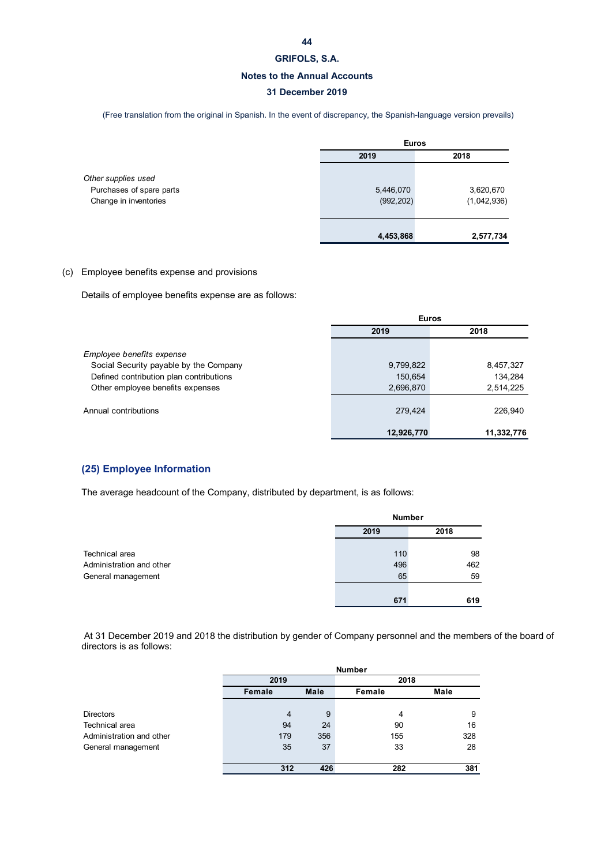## **Notes to the Annual Accounts**

## **31 December 2019**

(Free translation from the original in Spanish. In the event of discrepancy, the Spanish-language version prevails)

|                          | <b>Euros</b> |             |  |  |
|--------------------------|--------------|-------------|--|--|
|                          | 2019         | 2018        |  |  |
| Other supplies used      |              |             |  |  |
| Purchases of spare parts | 5,446,070    | 3,620,670   |  |  |
| Change in inventories    | (992, 202)   | (1,042,936) |  |  |
|                          |              |             |  |  |
|                          | 4,453,868    |             |  |  |
|                          |              | 2,577,734   |  |  |

## (c) Employee benefits expense and provisions

Details of employee benefits expense are as follows:

|                                         |            | <b>Euros</b> |
|-----------------------------------------|------------|--------------|
|                                         | 2019       | 2018         |
|                                         |            |              |
| Employee benefits expense               |            |              |
| Social Security payable by the Company  | 9,799,822  | 8,457,327    |
| Defined contribution plan contributions | 150,654    | 134,284      |
| Other employee benefits expenses        | 2,696,870  | 2,514,225    |
|                                         |            |              |
| Annual contributions                    | 279,424    | 226.940      |
|                                         |            |              |
|                                         | 12,926,770 | 11,332,776   |

## **(25)Employee Information**

The average headcount of the Company, distributed by department, is as follows:

|                          | <b>Number</b> |      |  |
|--------------------------|---------------|------|--|
|                          | 2019          | 2018 |  |
|                          |               |      |  |
| Technical area           | 110           | 98   |  |
| Administration and other | 496           | 462  |  |
| General management       | 65            | 59   |  |
|                          |               |      |  |
|                          | 671           | 619  |  |

 At 31 December 2019 and 2018 the distribution by gender of Company personnel and the members of the board of directors is as follows:

|                          |        | <b>Number</b> |        |      |  |  |  |  |
|--------------------------|--------|---------------|--------|------|--|--|--|--|
|                          | 2019   |               | 2018   |      |  |  |  |  |
|                          | Female | Male          | Female | Male |  |  |  |  |
|                          |        |               |        |      |  |  |  |  |
| <b>Directors</b>         | 4      | 9             | 4      | 9    |  |  |  |  |
| Technical area           | 94     | 24            | 90     | 16   |  |  |  |  |
| Administration and other | 179    | 356           | 155    | 328  |  |  |  |  |
| General management       | 35     | 37            | 33     | 28   |  |  |  |  |
|                          |        |               |        |      |  |  |  |  |
|                          | 312    | 426           | 282    | 381  |  |  |  |  |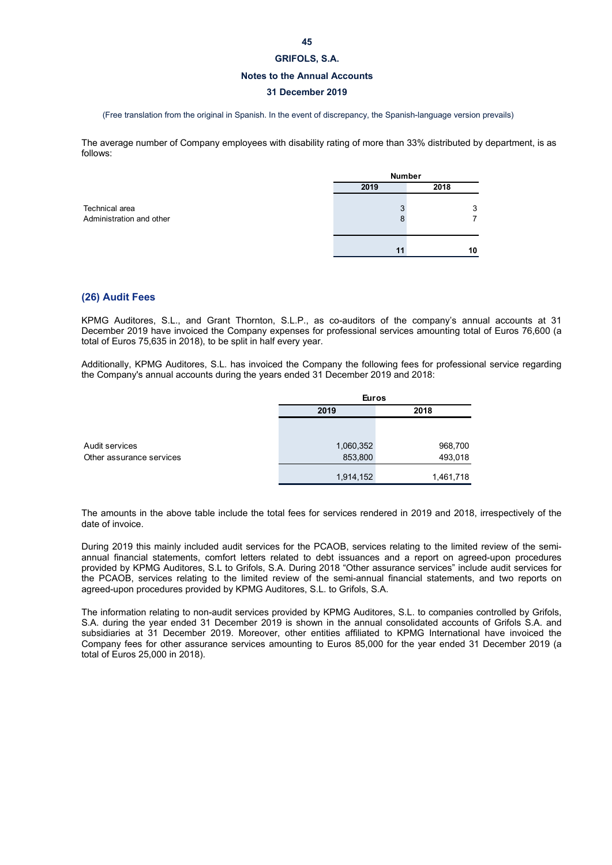#### **Notes to the Annual Accounts**

#### **31 December 2019**

(Free translation from the original in Spanish. In the event of discrepancy, the Spanish-language version prevails)

The average number of Company employees with disability rating of more than 33% distributed by department, is as follows:

|                                            |      | Number |        |  |  |
|--------------------------------------------|------|--------|--------|--|--|
|                                            | 2019 |        | 2018   |  |  |
| Technical area<br>Administration and other |      | 3<br>8 | 3<br>⇁ |  |  |
|                                            |      | 11     | 10     |  |  |

## **(26)Audit Fees**

KPMG Auditores, S.L., and Grant Thornton, S.L.P., as co-auditors of the company's annual accounts at 31 December 2019 have invoiced the Company expenses for professional services amounting total of Euros 76,600 (a total of Euros 75,635 in 2018), to be split in half every year.

Additionally, KPMG Auditores, S.L. has invoiced the Company the following fees for professional service regarding the Company's annual accounts during the years ended 31 December 2019 and 2018:

|                          | <b>Euros</b> |           |  |  |  |
|--------------------------|--------------|-----------|--|--|--|
|                          | 2019         | 2018      |  |  |  |
|                          |              |           |  |  |  |
| Audit services           | 1,060,352    | 968,700   |  |  |  |
| Other assurance services | 853,800      | 493,018   |  |  |  |
|                          | 1,914,152    | 1,461,718 |  |  |  |

The amounts in the above table include the total fees for services rendered in 2019 and 2018, irrespectively of the date of invoice.

During 2019 this mainly included audit services for the PCAOB, services relating to the limited review of the semiannual financial statements, comfort letters related to debt issuances and a report on agreed-upon procedures provided by KPMG Auditores, S.L to Grifols, S.A. During 2018 "Other assurance services" include audit services for the PCAOB, services relating to the limited review of the semi-annual financial statements, and two reports on agreed-upon procedures provided by KPMG Auditores, S.L. to Grifols, S.A.

The information relating to non-audit services provided by KPMG Auditores, S.L. to companies controlled by Grifols, S.A. during the year ended 31 December 2019 is shown in the annual consolidated accounts of Grifols S.A. and subsidiaries at 31 December 2019. Moreover, other entities affiliated to KPMG International have invoiced the Company fees for other assurance services amounting to Euros 85,000 for the year ended 31 December 2019 (a total of Euros 25,000 in 2018).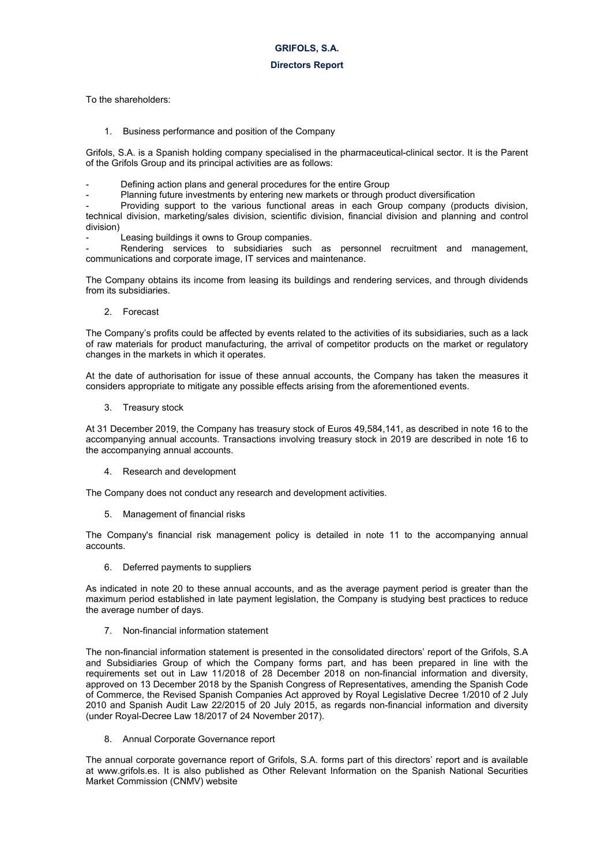## **Directors Report**

To the shareholders:

1. Business performance and position of the Company

Grifols, S.A. is a Spanish holding company specialised in the pharmaceutical-clinical sector. It is the Parent of the Grifols Group and its principal activities are as follows:

- Defining action plans and general procedures for the entire Group
- Planning future investments by entering new markets or through product diversification

Providing support to the various functional areas in each Group company (products division, technical division, marketing/sales division, scientific division, financial division and planning and control division)

Leasing buildings it owns to Group companies.

Rendering services to subsidiaries such as personnel recruitment and management, communications and corporate image, IT services and maintenance.

The Company obtains its income from leasing its buildings and rendering services, and through dividends from its subsidiaries.

2. Forecast

The Company's profits could be affected by events related to the activities of its subsidiaries, such as a lack of raw materials for product manufacturing, the arrival of competitor products on the market or regulatory changes in the markets in which it operates.

At the date of authorisation for issue of these annual accounts, the Company has taken the measures it considers appropriate to mitigate any possible effects arising from the aforementioned events.

3. Treasury stock

At 31 December 2019, the Company has treasury stock of Euros 49,584,141, as described in note 16 to the accompanying annual accounts. Transactions involving treasury stock in 2019 are described in note 16 to the accompanying annual accounts.

4. Research and development

The Company does not conduct any research and development activities.

5. Management of financial risks

The Company's financial risk management policy is detailed in note 11 to the accompanying annual accounts.

6. Deferred payments to suppliers

As indicated in note 20 to these annual accounts, and as the average payment period is greater than the maximum period established in late payment legislation, the Company is studying best practices to reduce the average number of days.

7. Non-financial information statement

The non-financial information statement is presented in the consolidated directors' report of the Grifols, S.A and Subsidiaries Group of which the Company forms part, and has been prepared in line with the requirements set out in Law 11/2018 of 28 December 2018 on non-financial information and diversity, approved on 13 December 2018 by the Spanish Congress of Representatives, amending the Spanish Code of Commerce, the Revised Spanish Companies Act approved by Royal Legislative Decree 1/2010 of 2 July 2010 and Spanish Audit Law 22/2015 of 20 July 2015, as regards non-financial information and diversity (under Royal-Decree Law 18/2017 of 24 November 2017).

8. Annual Corporate Governance report

The annual corporate governance report of Grifols, S.A. forms part of this directors' report and is available at www.grifols.es. It is also published as Other Relevant Information on the Spanish National Securities Market Commission (CNMV) website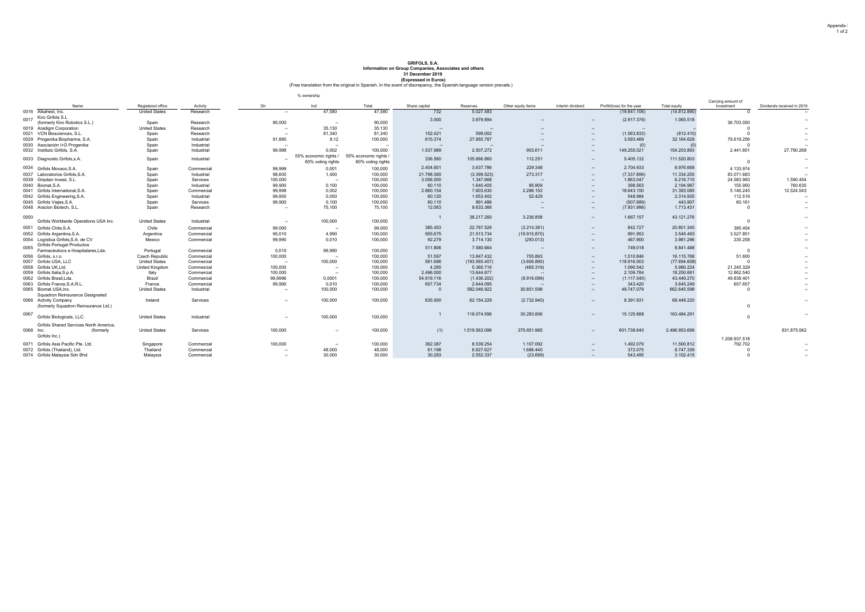#### **GRIFOLS, S.A. Information on Group Companies, Associates and others 31 December 2019**

(Free translation from the original in Spanish. In the event of discrepancy, the Spanish-language version prevails.) **(Expressed in Euros)**

|                                                               |                      |            |         | % ownership                                |                                            |               |               |                    |                  |                             |               |                                  |                            |
|---------------------------------------------------------------|----------------------|------------|---------|--------------------------------------------|--------------------------------------------|---------------|---------------|--------------------|------------------|-----------------------------|---------------|----------------------------------|----------------------------|
| Name                                                          | Registered office    | Activity   | Dir     | Ind                                        | Total                                      | Share capital | Reserves      | Other equity items | Interim dividend | Profit/(loss) for the year  | Total equity  | Carrying amount of<br>investment | Dividends received in 2019 |
| 0016 Alkahest, Inc.                                           | <b>United States</b> | Research   |         | 47,580                                     | 47,580                                     | 732           | 5.027.483     |                    |                  | (19.841.106)                | (14.812.890)  |                                  |                            |
| Kiro Grifols S.L<br>0017                                      |                      |            |         |                                            |                                            | 3.000         | 3.979.894     |                    |                  | (2.917.376)                 | 1.065.518     |                                  |                            |
| (formerly Kiro Robotics S.L.)                                 | Spain                | Research   | 90,000  | <b>A</b>                                   | 90,000                                     |               |               |                    |                  |                             |               | 36.703.050                       |                            |
| 0019 Aradigm Corporation                                      | <b>United States</b> | Research   | -       | 35,130                                     | 35,130                                     | $\sim$        | - -           |                    |                  | $\sim$                      |               |                                  |                            |
| 0021 VCN Biosciences, S.L.                                    | Spain                | Research   | -       | 81,340                                     | 81,340                                     | 152.421       | 599,002       |                    |                  | (1.563.833)                 | (812.410)     |                                  |                            |
| 0029 Progenika Biopharma, S.A.                                | Spain                | Industrial | 91,880  | 8,12                                       | 100,000                                    | 615.374       | 27.955.787    |                    |                  | 3.593.469<br><b>COLUM</b>   | 32.164.629    | 79.619.256                       |                            |
| 0030 Asociación I+D Progenika                                 | Spain                | Industrial |         |                                            |                                            |               |               |                    |                  | (0)<br>$\sim$               |               |                                  |                            |
| 0032 Instituto Grifols, S.A.                                  | Spain                | Industrial | 99,998  | 0.002                                      | 100.000                                    | 1.537.989     | 2.507.272     | 903.611            |                  | 149.255.021<br><b>COLUM</b> | 154.203.893   | 2.441.601                        | 27.790.268                 |
| 0033 Diagnostic Grifols, s.A.                                 | Spain                | Industrial |         | 55% economic rights /<br>60% voting rights | 55% economic rights /<br>60% voting rights | 336,560       | 105.666.860   | 112.251            |                  | 5.405.132<br><b>COLUM</b>   | 111.520.803   |                                  |                            |
| 0034 Grifols Movaco, S.A.                                     | Spain                | Commercial | 99,999  | 0,001                                      | 100,000                                    | 2.404.601     | 3.637.786     | 229.348            |                  | 2.704.933<br><b>COLUM</b>   | 8.976.668     | 4.133.974                        |                            |
| 0037 Laboratorios Grifols.S.A.                                | Spain                | Industrial | 98,600  | 1.400                                      | 100,000                                    | 21,798,360    | (3.399.523)   | 273,317            |                  | (7.337.899)                 | 11.334.255    | 83.071.683                       |                            |
| 0039 Gripdan Invest, S.L.                                     | Spain                | Services   | 100,000 | $\overline{\phantom{a}}$                   | 100,000                                    | 3.006.000     | 1.347.668     | н,                 |                  | 1.863.047                   | 6.216.715     | 24.583.993                       | 1.590.454                  |
| 0040 Biomat.S.A.                                              | Spain                | Industrial | 99,900  | 0.100                                      | 100,000                                    | 60.110        | 1.640.405     | 95,909             |                  | 398.563<br>$\sim$           | 2.194.987     | 155.950                          | 760.635                    |
| 0041 Grifols International, S.A.                              | Spain                | Commercial | 99,998  | 0,002                                      | 100,000                                    | 2.860.154     | 7.603.630     | 2.286.152          |                  | 18.643.150<br>$\sim$        | 31.393.085    | 5.146.245                        | 12.524.543                 |
| 0042 Grifols Engineering, S.A.                                | Spain                | Industrial | 99,950  | 0,050                                      | 100,000                                    | 60.120        | 1.653.402     | 52.429             |                  | 548.984<br>$\sim$           | 2.314.935     | 112.519                          |                            |
| 0045 Grifols Viajes, S.A.                                     | Spain                | Services   | 99,900  | 0.100                                      | 100,000                                    | 60.110        | 891.486       |                    |                  | (507.689)                   | 443.907       | 60.161                           |                            |
| 0048 Araclon Biotech, S.L.                                    | Spain                | Research   |         | 75.100                                     | 75,100                                     | 12.063        | 9.633.366     | н.                 |                  | (7.931.998)<br>$\sim$       | 1.713.431     |                                  |                            |
| 0050                                                          |                      |            |         |                                            |                                            |               | 38.217.260    | 3.236.858          |                  | 1.667.157<br><b>COLUM</b>   | 43.121.276    |                                  |                            |
| Grifols Worldwide Operations USA Inc.                         | <b>United States</b> | Industrial | $\sim$  | 100,000                                    | 100,000                                    |               |               |                    |                  |                             |               | $\sqrt{2}$                       |                            |
| 0051 Grifols Chile, S.A.                                      | Chile                | Commercial | 99,000  |                                            | 99,000                                     | 385.453       | 22.787.526    | (3.214.361)        |                  | 842.727<br><b>COLUM</b>     | 20.801.345    | 385.454                          |                            |
| 0052 Grifols Argentina, S.A.                                  | Argentina            | Commercial | 95,010  | 4.990                                      | 100.000                                    | 955.675       | 21.513.734    | (19.915.870)       |                  | 991.953<br>$\sim$           | 3.545.493     | 3.527.851                        |                            |
| 0054 Logística Grifols, S.A. de CV                            | Mexico               | Commercial | 99,990  | 0.010                                      | 100,000                                    | 92.279        | 3.714.130     | (293.013)          |                  | 467.900<br>$\sim$           | 3.981.296     | 235.258                          |                            |
| <b>Grifols Portugal Productos</b><br>0055                     |                      |            |         |                                            |                                            | 511.806       | 7.580.664     | $\sim$             |                  | 749,018<br>$\sim$           | 8.841.488     |                                  |                            |
| Farmacéutiocs e Hospitalares.Lda                              | Portugal             | Commercial | 0.010   | 99,990                                     | 100,000                                    |               |               |                    |                  |                             |               |                                  |                            |
| 0056 Grifols, s.r.o.                                          | Czech Republic       | Commercial | 100,000 |                                            | 100,000                                    | 51,597        | 13.847.432    | 705.893            |                  | 1.510.846                   | 16.115.768    | 51.600                           |                            |
| 0057 Grifols USA, LLC                                         | <b>United States</b> | Commercial |         | 100,000                                    | 100.000                                    | 561.686       | (193.565.407) | (3.606.890)        |                  | 118,916,003                 | (77.694.608)  |                                  |                            |
| 0058 Grifols UK,Ltd.                                          | United Kingdom       | Commercial | 100,000 |                                            | 100,000                                    | 4.285         | 5.360.716     | (465.319)          |                  | 1.090.542<br>$\sim$         | 5.990.224     | 21.245.329                       |                            |
| 0059 Grifols Italia, S.p.A.                                   | Italy                | Commercial | 100,000 | <b>A</b>                                   | 100,000                                    | 2.496.000     | 13.644.877    |                    |                  | 2.109.784                   | 18.250.661    | 12.862.540                       |                            |
| 0062 Grifols Brasil.Lda.                                      | Brazil               | Commercial | 99,9996 | 0,0001                                     | 100,000                                    | 54.919.116    | (1.436.202)   | (8.916.099)        |                  | (1.117.545)<br>$\sim$       | 43.449.270    | 49.838.401                       |                            |
| 0063 Grifols France, S.A.R.L.                                 | France               | Commercial | 99,990  | 0.010                                      | 100,000                                    | 657.734       | 2.644.095     |                    |                  | 343.420<br>$\sim$           | 3.645.249     | 657.657                          |                            |
| 0065 Biomat USA, Inc.<br>Squadron Reinsurance Designated      | <b>United States</b> | Industrial |         | 100,000                                    | 100,000                                    | $\Omega$      | 582.046.922   | 30.851.598         |                  | 49.747.079<br><b>COLUM</b>  | 662.645.598   |                                  |                            |
| 0066 Activity Company<br>(formerly Squadron Reinsurance Ltd.) | Ireland              | Services   |         | 100,000                                    | 100,000                                    | 635.000       | 62.154.229    | (2.732.940)        |                  | 8.391.931<br>$\sim$         | 68.448.220    |                                  |                            |
| 0067<br>Grifols Biologicals, LLC.                             | <b>United States</b> | Industrial |         | 100.000                                    | 100,000                                    |               | 118.074.596   | 30.283.806         |                  | 15.125.888                  | 163.484.291   |                                  |                            |
| Grifols Shared Services North America.                        |                      |            |         |                                            |                                            |               |               |                    |                  |                             |               |                                  |                            |
| 0068 Inc.<br>(formerly)<br>Grifols Inc.)                      | <b>United States</b> | Services   | 100,000 |                                            | 100,000                                    | (1)           | 1.519.563.096 | 375.651.965        |                  | 601.738.640<br><b>COLUM</b> | 2.496.953.699 | 1.208.937.518                    | 831.875.062                |
| 0071 Grifols Asia Pacific Pte. Ltd.                           | Singapore            | Commercial | 100,000 |                                            | 100,000                                    | 362.387       | 8.539.254     | 1.107.092          |                  | 1.492.079                   | 11.500.812    | 792.702                          |                            |
| 0072 Grifols (Thailand), Ltd.                                 | Thailand             | Commercial |         | 48,000                                     | 48,000                                     | 61.198        | 6.627.627     | 1.686.440          |                  | 372.075                     | 8.747.339     |                                  |                            |
| 0074 Grifols Malaysia Sdn Bhd                                 | Malaysia             | Commercial |         | 30,000                                     | 30,000                                     | 30.283        | 2.552.337     | (23.699)           |                  | 543.495                     | 3.102.415     |                                  |                            |
|                                                               |                      |            |         |                                            |                                            |               |               |                    |                  |                             |               |                                  |                            |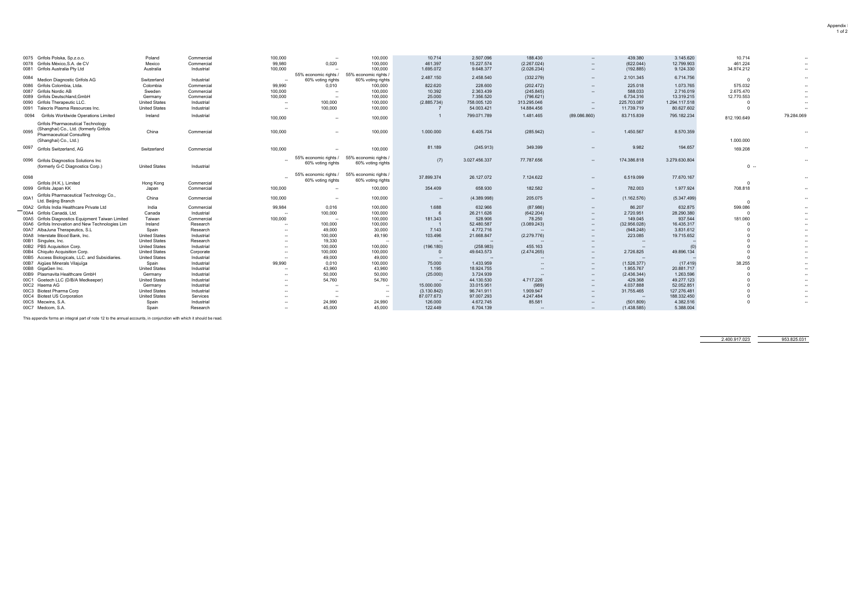|      | 0075 Grifols Polska, Sp.z.o.o.                                                                                                    | Poland               | Commercial | 100,000  | -                                          | 100,000                                    | 10.714      | 2.507.096     | 188.430     |              | 439.380      | 3.145.620     | 10.714      |            |
|------|-----------------------------------------------------------------------------------------------------------------------------------|----------------------|------------|----------|--------------------------------------------|--------------------------------------------|-------------|---------------|-------------|--------------|--------------|---------------|-------------|------------|
|      | 0078 Grifols México.S.A. de CV                                                                                                    | Mexico               | Commercial | 99.980   | 0.020                                      | 100,000                                    | 461.397     | 15.227.574    | (2.267.024) | <b>COLUM</b> | (622.044)    | 12,799,903    | 461.224     |            |
|      | 0081 Grifols Australia Pty Ltd                                                                                                    | Australia            | Industrial | 100,000  |                                            | 100,000                                    | 1.695.072   | 9.648.377     | (2.026.234) | <b>COLUM</b> | (192.885)    | 9.124.330     | 34.974.212  | $\sim$     |
| 0084 | Medion Diagnostic Grifols AG                                                                                                      | Switzerland          | Industrial | ۰.       | 55% economic rights /<br>60% voting rights | 55% economic rights /<br>60% voting rights | 2.487.150   | 2.458.540     | (332.279)   |              | 2.101.345    | 6.714.756     | -C          |            |
|      | 0086 Grifols Colombia, Ltda.                                                                                                      | Colombia             | Commercial | 99,990   | 0,010                                      | 100,000                                    | 822.620     | 228,600       | (202.472)   |              | 225.018      | 1.073.765     | 575.032     |            |
|      | 0087 Grifols Nordic AB                                                                                                            | Sweden               | Commercial | 100,000  |                                            | 100,000                                    | 10.392      | 2.363.439     | (245.845)   |              | 588.033      | 2.716.019     | 2.675.470   |            |
|      | 0089 Grifols Deutschland.GmbH                                                                                                     | Germany              | Commercial | 100,000  | <b>A</b>                                   | 100,000                                    | 25.000      | 7.356.520     | (796.621)   |              | 6.734.316    | 13.319.215    | 12.770.553  |            |
|      | 0090 Grifols Therapeutic LLC                                                                                                      | <b>United States</b> | Industrial |          | 100,000                                    | 100,000                                    | (2.885.734) | 758.005.120   | 313.295.046 |              | 225.703.087  | 1.294.117.518 |             |            |
|      | 0091 Talecris Plasma Resources Inc.                                                                                               | <b>United States</b> | Industrial | ٠.       | 100,000                                    | 100,000                                    |             | 54.003.421    | 14.884.456  | $\sim$       | 11,739,719   | 80.627.602    |             |            |
|      |                                                                                                                                   |                      |            |          |                                            |                                            |             |               |             |              |              |               |             |            |
| 0094 | Grifols Worldwide Operations Limited                                                                                              | Ireland              | Industrial | 100,000  | -                                          | 100,000                                    |             | 799.071.789   | 1.481.465   | (89.086.860) | 83.715.839   | 795.182.234   | 812.190.649 | 79.284.069 |
| 0095 | Grifols Pharmaceutical Technology<br>(Shanghai) Co., Ltd. (formerly Grifols<br>Pharmaceutical Consulting<br>(Shanghai) Co., Ltd.) | China                | Commercial | 100,000  | $\sim$                                     | 100,000                                    | 1.000.000   | 6.405.734     | (285.942)   |              | 1.450.567    | 8.570.359     | 1.000.000   |            |
|      | 0097 Grifols Switzerland, AG                                                                                                      | Switzerland          | Commercial | 100,000  |                                            | 100,000                                    | 81.189      | (245.913)     | 349.399     |              | 9.982        | 194.657       | 169,208     | $\sim$     |
|      | 0096 Grifols Diagnostics Solutions Inc<br>(formerly G-C Diagnostics Corp.)                                                        | <b>United States</b> | Industrial |          | 6 economic rights /<br>60% voting rights   | 55% economic rights<br>60% voting rights   | (7)         | 3.027.456.337 | 77.787.656  |              | 174.386.818  | 3.279.630.804 | $0 -$       | $\sim$     |
| 0098 | Grifols (H.K.), Limited                                                                                                           | Hong Kong            | Commercial |          | 55% economic rights /<br>60% voting rights | 55% economic rights<br>60% voting rights   | 37.899.374  | 26.127.072    | 7.124.622   |              | 6.519.099    | 77.670.167    | $\Omega$    |            |
|      | 0099 Grifols Japan KK                                                                                                             | Japan                | Commercial | 100,000  |                                            | 100,000                                    | 354,409     | 658.930       | 182.582     | $\sim$       | 782.003      | 1.977.924     | 708.818     | $\sim$     |
|      |                                                                                                                                   |                      |            |          |                                            |                                            |             |               |             |              |              |               |             |            |
| 00A1 | Grifols Pharmaceutical Technology Co.,<br>Ltd. Beijing Branch                                                                     | China                | Commercial | 100,000  | <b>A</b>                                   | 100,000                                    |             | (4.389.998)   | 205.075     | $\sim$       | (1.162.576)  | (5.347.499)   | $\Omega$    | -          |
|      | 00A2 Grifols India Healthcare Private Ltd                                                                                         | India                | Commercial | 99,984   | 0,016                                      | 100,000                                    | 1.688       | 632.966       | (87.986)    | $\sim$       | 86.207       | 632.875       | 599.086     |            |
|      | 00A4 Grifols Canadá, Ltd.                                                                                                         | Canada               | Industrial |          | 100,000                                    | 100,000                                    |             | 26.211.626    | (642.204)   |              | 2.720.951    | 28.290.380    |             |            |
|      | 00A5 Grifols Diagnostics Equipment Taiwan Limited                                                                                 | Taiwan               | Commercial | 100,000  |                                            | 100,000                                    | 181.343     | 528.906       | 78.250      |              | 149.045      | 937.544       | 181.060     |            |
|      | 00A6 Grifols Innovation and New Technologies Lim                                                                                  | Ireland              | Research   |          | 100,000                                    | 100,000                                    |             | 52.480.587    | (3.089.243) |              | (32.956.028) | 16.435.317    |             |            |
|      | 00A7 AlbaJuna Therapeutics, S.L.                                                                                                  | Spain                | Research   | <b>A</b> | 49,000                                     | 30,000                                     | 7.143       | 4.772.716     |             |              | (948.248)    | 3.831.612     |             |            |
|      | 00A8 Interstate Blood Bank, Inc.                                                                                                  | <b>United States</b> | Industrial |          | 100,000                                    | 49,190                                     | 103.496     | 21.668.847    | (2.279.776) |              | 223.085      | 19.715.652    |             |            |
|      | 00B1 Singulex, Inc.                                                                                                               | <b>United States</b> | Research   |          | 19,330                                     |                                            |             |               |             |              |              |               |             |            |
|      | 00B2 PBS Acquisition Corp.                                                                                                        | <b>United States</b> | Industrial | <b>A</b> | 100,000                                    | 100,000                                    | (196.180)   | (258.983)     | 455.163     |              |              |               |             |            |
|      | 00B4 Chiquito Acquisition Corp.                                                                                                   | <b>United States</b> | Corporate  | <b>A</b> | 100,000                                    | 100,000                                    | $\Omega$    | 49.643.573    | (2.474.265) |              | 2.726.825    | 49.896.134    |             |            |
|      | 00B5 Access Biologicals, LLC. and Subsidiaries.                                                                                   | <b>United States</b> | Industrial | <b>A</b> | 49,000                                     | 49,000                                     |             |               |             |              |              |               |             |            |
|      | 00B7 Aigües Minerals Vilajuïga                                                                                                    | Spain                | Industrial | 99,990   | 0.010                                      | 100,000                                    | 75,000      | 1.433.959     |             |              | (1.526.377)  | (17.419)      | 38.255      |            |
|      | 00B8 GigaGen Inc.                                                                                                                 | <b>United States</b> | Industrial |          | 43.960                                     | 43,960                                     | 1.195       | 18.924.755    |             |              | 1.955.767    | 20.881.717    |             |            |
|      | 00B9 Plasmavita Healthcare GmbH                                                                                                   | Germany              | Industrial |          | 50,000                                     | 50,000                                     | (25.000)    | 3.724.939     |             |              | (2.436.344)  | 1.263.596     |             |            |
|      | 00C1 Goetech LLC (D/B/A Medkeeper)                                                                                                | <b>United States</b> | Industrial |          | 54,760                                     | 54,760                                     |             | 44.130.530    | 4.717.226   |              | 429.368      | 49.277.123    |             |            |
|      | 00C2 Haema AG                                                                                                                     | Germany              | Industrial |          |                                            |                                            | 15.000.000  | 33.015.951    | (989)       |              | 4.037.888    | 52.052.851    |             |            |
|      | 00C3 Biotest Pharma Corp                                                                                                          | <b>United States</b> | Industrial |          |                                            | $\sim$                                     | (3.130.842) | 96.741.911    | 1.909.947   |              | 31.755.465   | 127.276.481   |             |            |
|      | 00C4 Biotest US Corporation                                                                                                       | <b>United States</b> | Services   |          |                                            | $\sim$                                     | 87.077.673  | 97.007.293    | 4.247.484   |              |              | 188.332.450   |             |            |
|      | 00C5 Mecwins, S.A.                                                                                                                | Spain                | Industrial |          | 24,990                                     | 24.990                                     | 126,000     | 4.672.745     | 85.581      |              | (501.809)    | 4.382.516     |             |            |
|      | 00C7 Medcom, S.A.                                                                                                                 | Spain                | Research   |          | 45.000                                     | 45.000                                     | 122.449     | 6.704.139     |             |              | (1.438.585)  | 5.388.004     |             |            |
|      |                                                                                                                                   |                      |            |          |                                            |                                            |             |               |             |              |              |               |             |            |

This appendix forms an integral part of note 12 to the annual accounts, in conjunction with which it should be read.

2.400.917.023 953.825.031

| Appendix<br>1 of 2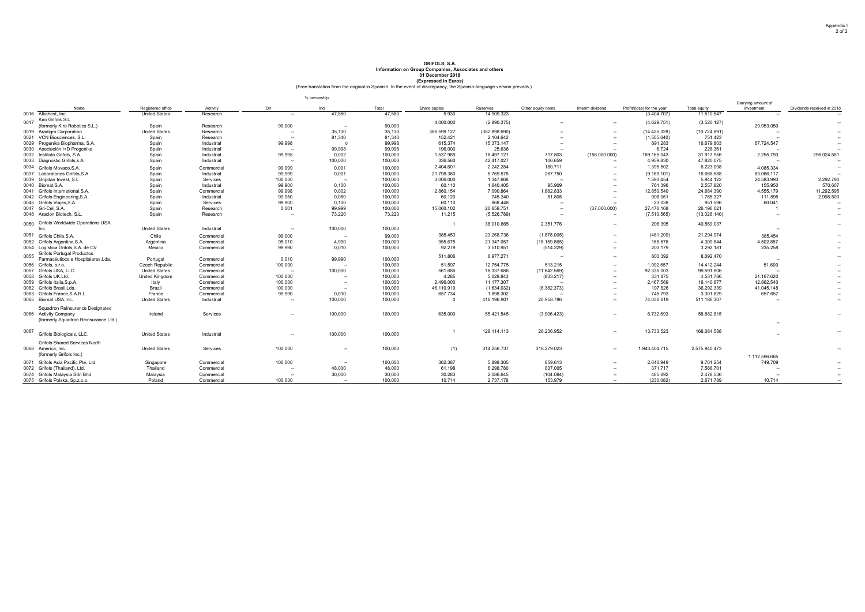# **GRIFOLS, S.A. Information on Group Companies, Associates and others 31 December 2018 (Expressed in Euros)**

(Free translation from the original in Spanish. In the event of discrepancy, the Spanish-language version prevails.)

|                                           |                      |            |         | % ownership |         |               |               |                    |                  |                            |               |                                  |                            |
|-------------------------------------------|----------------------|------------|---------|-------------|---------|---------------|---------------|--------------------|------------------|----------------------------|---------------|----------------------------------|----------------------------|
| Name                                      | Registered office    | Activity   | Dir     | Ind         | Total   | Share capital | Reserves      | Other equity items | Interim dividend | Profit/(loss) for the year | Total equity  | Carrying amount of<br>investment | Dividends received in 2018 |
| 0016 Alkahest, Inc.                       | <b>United States</b> | Research   |         | 47,580      | 47.580  | 5.930         | 14.909.323    |                    |                  | (3.404.707)                | 11.510.547    |                                  |                            |
| Kiro Grifols S.L<br>0017                  |                      |            |         |             |         | 4.000.000     | (2.890.375)   |                    | ۰.               | (4.629.751)                | (3.520.127)   |                                  |                            |
| (formerly Kiro Robotics S.L.)             | Spain                | Research   | 90,000  | $\sim$      | 90,000  |               |               |                    |                  |                            |               | 29.953.050                       |                            |
| 0019 Aradigm Corporation                  | <b>United States</b> | Research   | н.      | 35,130      | 35.130  | 386.599.127   | (382.898.690) |                    |                  | (14.425.328)               | (10.724.891)  |                                  |                            |
| 0021 VCN Biosciences, S.L.                | Spain                | Research   | $\sim$  | 81.340      | 81.340  | 152.421       | 2.104.642     |                    | $\sim$           | (1.505.640)                | 751.423       |                                  |                            |
| 0029 Progenika Biopharma, S.A.            | Spain                | Industrial | 99,998  | $\sqrt{2}$  | 99,998  | 615.374       | 15.373.147    |                    | $\sim$           | 691.283                    | 16.679.803    | 67.724.547                       |                            |
| 0030 Asociación I+D Progenika             | Spain                | Industrial | $\sim$  | 99,998      | 99,998  | 196,000       | 25.636        | $\sim$             | $\sim$           | 6.724                      | 228.361       |                                  |                            |
| 0032 Instituto Grifols, S.A.              | Spain                | Industrial | 99,998  | 0,002       | 100,000 | 1.537.989     | 16.497.121    | 717.803            | (156.000.000)    | 169.165.043                | 31.917.956    | 2.255.793                        | 296.024.581                |
| 0033 Diagnostic Grifols, s.A.             | Spain                | Industrial | $\sim$  | 100,000     | 100,000 | 336.560       | 42.417.027    | 106.659            | $\sim$           | 4.959.830                  | 47.820.075    |                                  |                            |
| 0034 Grifols Movaco, S.A.                 | Spain                | Commercial | 99.999  | 0.001       | 100,000 | 2.404.601     | 2.242.284     | 180.711            | $\sim$           | 1.395.502                  | 6.223.098     | 4.085.334                        |                            |
| 0037 Laboratorios Grifols, S.A.           | Spain                | Industrial | 99,999  | 0,001       | 100,000 | 21.798.360    | 5.769.578     | 267.750            |                  | (9.169.101)                | 18.666.588    | 83.066.117                       |                            |
| 0039 Gripdan Invest, S.L.                 | Spain                | Services   | 100,000 | -           | 100,000 | 3.006.000     | 1.347.668     | -                  |                  | 1.590.454                  | 5.944.122     | 24.583.993                       | 2.292.790                  |
| 0040 Biomat.S.A.                          | Spain                | Industrial | 99,900  | 0,100       | 100,000 | 60.110        | 1.640.405     | 95.909             |                  | 761.396                    | 2.557.820     | 155.950                          | 570.607                    |
| 0041 Grifols International, S.A.          | Spain                | Commercial | 99,998  | 0.002       | 100,000 | 2.860.154     | 7.090.864     | 1.882.833          | $\sim$           | 12.850.540                 | 24.684.390    | 4.555.179                        | 11.292.595                 |
| 0042 Grifols Engineering, S.A.            | Spain                | Industrial | 99,950  | 0,050       | 100,000 | 60.120        | 745.340       | 51.805             |                  | 908.061                    | 1.765.327     | 111.895                          | 2.998.500                  |
| 0045 Grifols Viajes, S.A.                 | Spain                | Services   | 99,900  | 0.100       | 100,000 | 60.110        | 868.448       |                    |                  | 23.038                     | 951.596       | 60.041                           |                            |
| 0047 Gri-Cel, S.A.                        | Spain                | Research   | 0,001   | 99.999      | 100,000 | 15.060.102    | 20.659.751    | $\sim$             | (37.000.000)     | 27.476.168                 | 26.196.021    |                                  |                            |
| 0048 Araclon Biotech, S.L.                | Spain                | Research   |         | 73.220      | 73,220  | 11.215        | (5.526.789)   |                    |                  | (7.510.565)                | (13.026.140)  |                                  |                            |
| Grifols Worldwide Operations USA<br>0050  |                      |            |         |             |         |               | 38.010.865    | 2.351.776          | $\sim$           | 206.395                    | 40.569.037    |                                  |                            |
| Inc.                                      | <b>United States</b> | Industrial | н.      | 100,000     | 100,000 |               |               |                    |                  |                            |               |                                  |                            |
| 0051 Grifols Chile, S.A.                  | Chile                | Commercial | 99,000  | $\sim$      | 99,000  | 385.453       | 23.268.736    | (1.878.005)        | $\sim$           | (481.209)                  | 21.294.974    | 385.454                          |                            |
| 0052 Grifols Argentina, S.A.              | Argentina            | Commercial | 95,010  | 4,990       | 100,000 | 955.675       | 21.347.057    | (18.159.865)       | $\sim$           | 166.676                    | 4.309.544     | 4.502.857                        |                            |
| 0054 Logística Grifols, S.A. de CV        | Mexico               | Commercial | 99,990  | 0,010       | 100,000 | 92.279        | 3.510.951     | (514.229)          | $\sim$           | 203.179                    | 3.292.181     | 235.258                          |                            |
| <b>Grifols Portugal Productos</b>         |                      |            |         |             |         |               |               |                    |                  |                            |               |                                  |                            |
| 0055<br>Farmacéutiocs e Hospitalares.Lda. | Portugal             | Commercial | 0.010   | 99.990      | 100,000 | 511.806       | 6.977.271     | $\sim$             | $\sim$           | 603.392                    | 8.092.470     |                                  |                            |
| 0056 Grifols, s.r.o.                      | Czech Republic       | Commercial | 100,000 |             | 100,000 | 51.597        | 12.754.775    | 513.215            |                  | 1.092.657                  | 14.412.244    | 51.600                           |                            |
| 0057 Grifols USA, LLC                     | <b>United States</b> | Commercial |         | 100,000     | 100,000 | 561.686       | 18.337.686    | (11.642.569)       |                  | 92.335.003                 | 99.591.806    |                                  |                            |
| 0058 Grifols UK.Ltd.                      | United Kingdom       | Commercial | 100,000 |             | 100,000 | 4.285         | 5.028.843     | (833.217)          | $\sim$           | 331.875                    | 4.531.786     | 21.167.620                       |                            |
| 0059 Grifols Italia, S.p.A.               | Italy                | Commercial | 100,000 | -           | 100,000 | 2.496.000     | 11.177.307    |                    |                  | 2.467.569                  | 16.140.877    | 12.862.540                       |                            |
| 0062 Grifols Brasil.Lda.                  | Brazil               | Commercial | 100,000 | $\sim$      | 100,000 | 46.110.919    | (1.634.032)   | (8.382.373)        |                  | 197.826                    | 36.292.339    | 41.045.148                       |                            |
| 0063 Grifols France, S.A.R.L.             | France               | Commercial | 99,990  | 0.010       | 100,000 | 657.734       | 1.898.302     |                    |                  | 745.793                    | 3.301.829     | 657.657                          |                            |
| 0065 Biomat USA.Inc.                      | <b>United States</b> | Industrial |         | 100.000     | 100,000 |               | 416.196.901   | 20.958.786         | $\sim$           | 74.030.619                 | 511.186.307   |                                  |                            |
|                                           |                      |            |         |             |         |               |               |                    |                  |                            |               |                                  |                            |
| Squadron Reinsurance Designated           | Ireland              |            |         | 100,000     | 100,000 | 635.000       |               |                    |                  | 6.732.693                  |               |                                  |                            |
| 0066 Activity Company                     |                      | Services   | $\sim$  |             |         |               | 55.421.545    | (3.906.423)        | ۰.               |                            | 58.882.815    |                                  |                            |
| (formerly Squadron Reinsurance Ltd.)      |                      |            |         |             |         |               |               |                    |                  |                            |               |                                  |                            |
| 0067                                      |                      |            |         |             |         |               | 128.114.113   | 26.236.952         | $\sim$           | 13.733.523                 | 168.084.588   |                                  |                            |
| Grifols Biologicals, LLC.                 | <b>United States</b> | Industrial | $\sim$  | 100,000     | 100,000 |               |               |                    |                  |                            |               |                                  |                            |
| <b>Grifols Shared Services North</b>      |                      |            |         |             |         |               |               |                    |                  |                            |               |                                  |                            |
| 0068 America, Inc.                        | <b>United States</b> | Services   | 100,000 | $\sim$      | 100,000 | (1)           | 314.256.737   | 318.279.023        |                  | 1.943.404.715              | 2.575.940.473 |                                  |                            |
| (formerly Grifols Inc.)                   |                      |            |         |             |         |               |               |                    |                  |                            |               | 1.112.596.665                    |                            |
| 0071 Grifols Asia Pacific Pte, Ltd.       | Singapore            | Commercial | 100,000 |             | 100,000 | 362.387       | 5.898.305     | 859.613            |                  | 2.640.949                  | 9.761.254     | 749.709                          |                            |
| 0072 Grifols (Thailand), Ltd              | Thailand             | Commercial | ۰.      | 48,000      | 48,000  | 61.198        | 6.298.780     | 837.005            | $\sim$           | 371.717                    | 7.568.701     |                                  |                            |
| 0074 Grifols Malaysia Sdn Bhd             | Malaysia             | Commercial |         | 30,000      | 30,000  | 30.283        | 2.086.645     | (104.084)          | $\sim$           | 465.692                    | 2.478.536     |                                  |                            |
| 0075 Grifols Polska, Sp.z.o.o.            | Poland               | Commercia  | 100,000 | $\sim$      | 100,000 | 10.714        | 2.737.178     | 153.979            | $\sim$           | (230.082)                  | 2.671.789     | 10.714                           |                            |
|                                           |                      |            |         |             |         |               |               |                    |                  |                            |               |                                  |                            |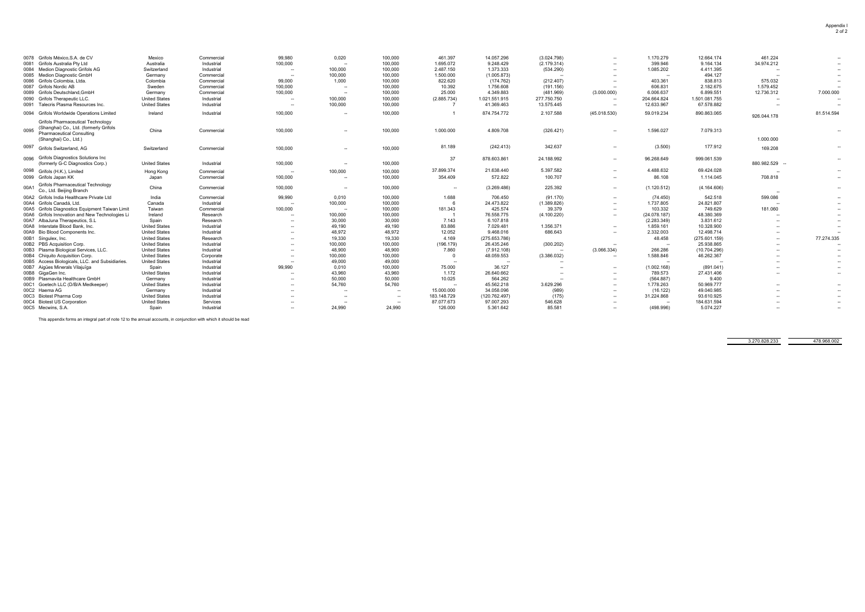| 0078 Grifols México.S.A. de CV                                               | Mexico               | Commercia  | 99,980  | 0,020   | 100,000 | 461.397     | 14.057.296    | (3.024.798) |                | 1.170.279    | 12.664.174    | 461.224        |            |
|------------------------------------------------------------------------------|----------------------|------------|---------|---------|---------|-------------|---------------|-------------|----------------|--------------|---------------|----------------|------------|
| 0081<br>Grifols Australia Pty Ltd                                            | Australia            | Industrial | 100,000 | $\sim$  | 100,000 | 1.695.072   | 9.248.429     | (2.179.314) |                | 399.946      | 9.164.134     | 34.974.212     |            |
| Medion Diagnostic Grifols AG<br>0084                                         | Switzerland          | Industrial | -       | 100,000 | 100,000 | 2.487.150   | 1.373.333     | (534.290)   |                | 1.085.202    | 4.411.395     |                |            |
| 0085 Medion Diagnostic GmbH                                                  | Germany              | Commercial |         | 100,000 | 100,000 | 1.500.000   | (1.005.873)   |             |                |              | 494.127       |                |            |
| 0086 Grifols Colombia, Ltda.                                                 | Colombia             | Commercial | 99,000  | 1.000   | 100,000 | 822.620     | (174.762)     | (212.407)   | $\sim$         | 403.361      | 838.813       | 575.032        |            |
| 0087<br>Grifols Nordic AB                                                    | Sweden               | Commercial | 100,000 |         | 100,000 | 10.392      | 1.756.608     | (191.156)   |                | 606.831      | 2.182.675     | 1.579.452      |            |
| 0089 Grifols Deutschland.GmbH                                                | Germany              | Commercia  | 100,000 | $\sim$  | 100,000 | 25,000      | 4.349.883     | (481.969)   | (3.000.000)    | 6.006.637    | 6.899.551     | 12.736.312     | 7.000.000  |
| 0090 Grifols Therapeutic LLC.                                                | <b>United States</b> | Industrial | -       | 100,000 | 100,000 | (2.885.734) | 1.021.551.915 | 277.750.750 |                | 204.664.824  | 1.501.081.755 |                |            |
| Talecris Plasma Resources Inc.<br>0091                                       | <b>United States</b> | Industrial | н.      | 100,000 | 100,000 |             | 41.369.463    | 13.575.445  |                | 12.633.967   | 67.578.882    |                |            |
| 0094 Grifols Worldwide Operations Limited                                    | Ireland              | Industrial | 100,000 | $\sim$  | 100,000 |             | 874.754.772   | 2.107.588   | (45.018.530)   | 59.019.234   | 890.863.065   | 926.044.178    | 81.514.594 |
| Grifols Pharmaceutical Technology                                            |                      |            |         |         |         |             |               |             |                |              |               |                |            |
| (Shanghai) Co., Ltd. (formerly Grifols                                       | China                | Commercial | 100,000 |         | 100,000 | 1.000.000   | 4.809.708     | (326.421)   |                | 1.596.027    | 7.079.313     |                |            |
| <b>Pharmaceutical Consulting</b>                                             |                      |            |         | $\sim$  |         |             |               |             | -              |              |               |                |            |
| (Shanghai) Co., Ltd.)                                                        |                      |            |         |         |         |             |               |             |                |              |               | 1.000.000      |            |
| 0097                                                                         |                      |            |         |         |         | 81.189      | (242.413)     | 342.637     | <b>Section</b> | (3.500)      | 177,912       |                | $\sim$     |
| Grifols Switzerland, AG                                                      | Switzerland          | Commercial | 100,000 | $\sim$  | 100,000 |             |               |             |                |              |               | 169.208        |            |
| 0096 Grifols Diagnostics Solutions Inc                                       |                      |            |         |         |         | 37          | 878.603.861   | 24.188.992  | $\sim$         | 96.268.649   | 999.061.539   |                | $\sim$     |
| (formerly G-C Diagnostics Corp.)                                             | <b>United States</b> | Industrial | 100,000 | $\sim$  | 100,000 |             |               |             |                |              |               | 880.982.529 -- |            |
| 0098 Grifols (H.K.), Limited                                                 | Hong Kong            | Commercial |         | 100,000 | 100,000 | 37.899.374  | 21.638.440    | 5.397.582   | $\sim$         | 4.488.632    | 69.424.028    |                |            |
| 0099 Grifols Japan KK                                                        | Japan                | Commercial | 100,000 | $\sim$  | 100,000 | 354.409     | 572.822       | 100.707     | $\sim$         | 86,108       | 1.114.045     | 708,818        |            |
|                                                                              |                      |            |         |         |         |             |               |             |                |              |               |                |            |
| <b>Grifols Pharmaceutical Technology</b><br>00A1<br>Co., Ltd. Beijing Branch | China                | Commercial | 100,000 | $\sim$  | 100,000 | $\sim$      | (3.269.486)   | 225.392     | <b>Section</b> | (1.120.512)  | (4.164.606)   |                |            |
| 00A2 Grifols India Healthcare Private Ltd                                    | India                | Commercial | 99,990  | 0,010   | 100,000 | 1.688       | 706.450       | (91.170)    | $\sim$         | (74.450)     | 542.518       | 599.086        |            |
| 00A4 Grifols Canadá, Ltd.                                                    | Canada               | Industrial |         | 100,000 | 100,000 |             | 24.473.822    | (1.389.826) | <b>Section</b> | 1.737.805    | 24.821.807    |                |            |
| 00A5 Grifols Diagnostics Equipment Taiwan Limit                              | Taiwan               | Commercial | 100,000 |         | 100,000 | 181.343     | 425.574       | 39.379      |                | 103.332      | 749.629       | 181.060        |            |
| 00A6 Grifols Innovation and New Technologies Li                              | Ireland              | Research   | $\sim$  | 100,000 | 100,000 |             | 76.558.775    | (4.100.220) | $\sim$         | (24.078.187) | 48.380.369    |                |            |
| 00A7 AlbaJuna Therapeutics, S.L.                                             | Spain                | Research   |         | 30,000  | 30,000  | 7.143       | 6.107.818     |             |                | (2.283.349)  | 3.831.612     |                |            |
| 00A8 Interstate Blood Bank, Inc.                                             | <b>United States</b> | Industrial |         | 49.190  | 49,190  | 83.886      | 7.029.481     | 1.356.371   |                | 1.859.161    | 10.328.900    |                |            |
| 00A9 Bio Blood Components Inc.                                               | <b>United States</b> | Industrial | --      | 48.972  | 48.972  | 12.052      | 9.468.016     | 686.643     | -              | 2.332.003    | 12.498.714    |                |            |
| 00B1 Singulex, Inc.                                                          | <b>United States</b> | Research   |         | 19.330  | 19.330  | 4.169       | (275.653.786) |             |                | 48,458       | (275.601.159) |                | 77.274.335 |
| 00B2 PBS Acquisition Corp.                                                   | <b>United States</b> | Industrial |         | 100,000 | 100,000 | (196.179)   | 26.435.246    | (300.202)   |                | $\sim$       | 25.938.865    |                |            |
| 00B3 Plasma Biological Services, LLC.                                        | <b>United States</b> | Industrial |         | 48,900  | 48,900  | 7.860       | (7.912.108)   | - -         | (3.066.334)    | 266.286      | (10.704.296)  |                |            |
| 00B4 Chiquito Acquisition Corp.                                              | <b>United States</b> | Corporate  |         | 100,000 | 100,000 | $\Omega$    | 48.059.553    | (3.386.032) |                | 1.588.846    | 46.262.367    |                |            |
| 00B5 Access Biologicals, LLC. and Subsidiaries.                              | <b>United States</b> | Industrial | -       | 49,000  | 49,000  | $\sim$      |               |             |                |              |               |                |            |
| 00B7 Aigües Minerals Vilajuïga                                               | Spain                | Industrial | 99,990  | 0.010   | 100,000 | 75.000      | 36.127        |             | -              | (1.002.168)  | (891.041)     |                |            |
| 00B8 GigaGen Inc.                                                            | <b>United States</b> | Industrial |         | 43.960  | 43.960  | 1.172       | 26.640.662    | $\sim$      |                | 789,573      | 27.431.406    |                |            |
| 00B9 Plasmavita Healthcare GmbH                                              | Germany              | Industrial |         | 50.000  | 50.000  | 10.025      | 564.262       |             |                | (564.887)    | 9.400         |                |            |
| 00C1 Goetech LLC (D/B/A Medkeeper)                                           | <b>United States</b> | Industrial |         | 54,760  | 54,760  | $\sim$      | 45.562.218    | 3.629.296   | <b>Section</b> | 1.778.263    | 50.969.777    |                |            |
| 00C2 Haema AG                                                                | Germany              | Industrial |         |         |         | 15.000.000  | 34.058.096    | (989)       |                | (16.122)     | 49.040.985    |                |            |
| 00C3 Biotest Pharma Corp                                                     | <b>United States</b> | Industrial |         | $\sim$  | $\sim$  | 183.148.729 | (120.762.497) | (175)       |                | 31.224.868   | 93.610.925    |                |            |
| 00C4 Biotest US Corporation                                                  | <b>United States</b> | Services   |         |         |         | 87.077.673  | 97.007.293    | 546.628     |                |              | 184.631.594   |                |            |
| 00C5 Mecwins, S.A.                                                           | Spain                | Industrial |         | 24.990  | 24.990  | 126,000     | 5.361.642     | 85.581      |                | (498.996)    | 5.074.227     |                |            |
|                                                                              |                      |            |         |         |         |             |               |             |                |              |               |                |            |

This appendix forms an integral part of note 12 to the annual accounts, in conjunction with which it should be read

3.270.828.233 478.968.002

Appendix I 2 of 2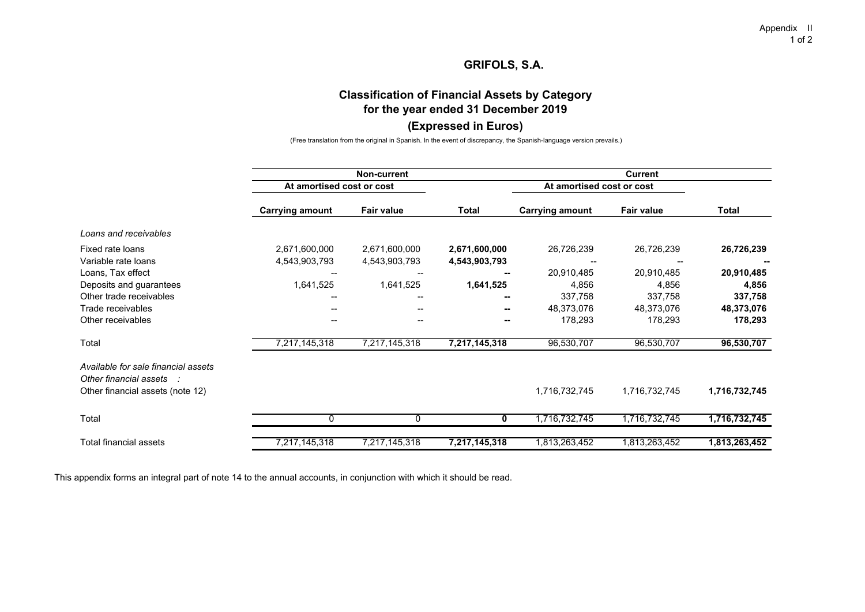# **Classification of Financial Assets by Category for the year ended 31 December 2019**

# **(Expressed in Euros)**

(Free translation from the original in Spanish. In the event of discrepancy, the Spanish-language version prevails.)

|                                                                 |                           | Non-current     |               | <b>Current</b>            |                     |                  |  |  |
|-----------------------------------------------------------------|---------------------------|-----------------|---------------|---------------------------|---------------------|------------------|--|--|
|                                                                 | At amortised cost or cost |                 |               | At amortised cost or cost |                     |                  |  |  |
|                                                                 | <b>Carrying amount</b>    | Fair value      | <b>Total</b>  | <b>Carrying amount</b>    | <b>Fair value</b>   | <b>Total</b>     |  |  |
| Loans and receivables                                           |                           |                 |               |                           |                     |                  |  |  |
| Fixed rate loans                                                | 2,671,600,000             | 2,671,600,000   | 2,671,600,000 | 26,726,239                | 26,726,239          | 26,726,239       |  |  |
| Variable rate loans                                             | 4,543,903,793             | 4,543,903,793   | 4,543,903,793 |                           |                     |                  |  |  |
| Loans, Tax effect<br>Deposits and guarantees                    | 1,641,525                 |                 |               | 20,910,485<br>4,856       | 20,910,485<br>4,856 | 20,910,485       |  |  |
| Other trade receivables                                         |                           | 1,641,525<br>-- | 1,641,525     | 337,758                   | 337,758             | 4,856<br>337,758 |  |  |
| Trade receivables                                               |                           | --              | --            | 48,373,076                | 48,373,076          | 48,373,076       |  |  |
| Other receivables                                               | $-$                       | --              | --            | 178,293                   | 178,293             | 178,293          |  |  |
| Total                                                           | 7,217,145,318             | 7,217,145,318   | 7,217,145,318 | 96,530,707                | 96,530,707          | 96,530,707       |  |  |
| Available for sale financial assets<br>Other financial assets : |                           |                 |               |                           |                     |                  |  |  |
| Other financial assets (note 12)                                |                           |                 |               | 1,716,732,745             | 1,716,732,745       | 1,716,732,745    |  |  |
| Total                                                           | 0                         | $\Omega$        | 0             | 1,716,732,745             | 1,716,732,745       | 1,716,732,745    |  |  |
|                                                                 |                           |                 |               |                           |                     |                  |  |  |
| Total financial assets                                          | 7,217,145,318             | 7,217,145,318   | 7,217,145,318 | 1,813,263,452             | 1,813,263,452       | 1,813,263,452    |  |  |

This appendix forms an integral part of note 14 to the annual accounts, in conjunction with which it should be read.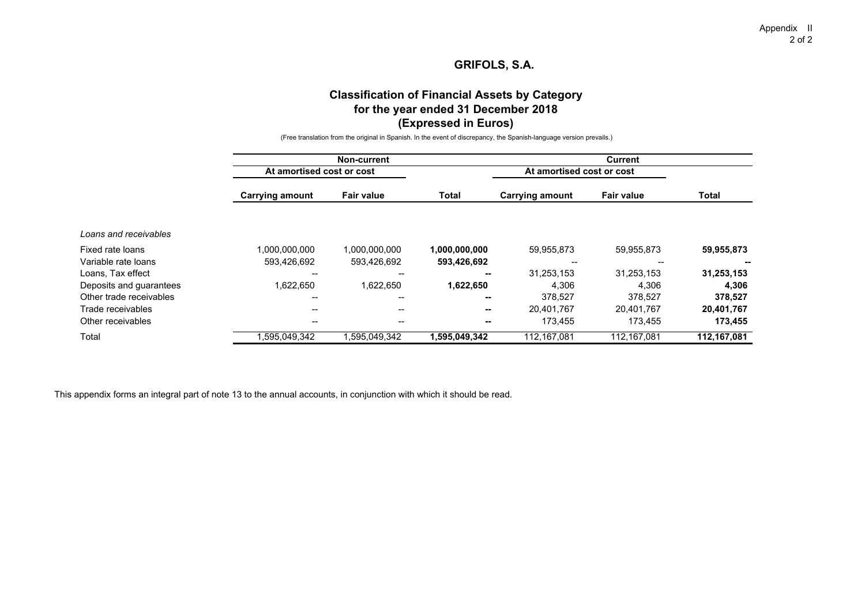# **Classification of Financial Assets by Category for the year ended 31 December 2018 (Expressed in Euros)**

(Free translation from the original in Spanish. In the event of discrepancy, the Spanish-language version prevails.)

|                         |                           | Non-current       |                          | <b>Current</b>            |                   |              |  |
|-------------------------|---------------------------|-------------------|--------------------------|---------------------------|-------------------|--------------|--|
|                         | At amortised cost or cost |                   |                          | At amortised cost or cost |                   |              |  |
|                         | <b>Carrying amount</b>    | <b>Fair value</b> | <b>Total</b>             | <b>Carrying amount</b>    | <b>Fair value</b> | <b>Total</b> |  |
|                         |                           |                   |                          |                           |                   |              |  |
| Loans and receivables   |                           |                   |                          |                           |                   |              |  |
| Fixed rate loans        | 1,000,000,000             | 1.000.000.000     | 1,000,000,000            | 59,955,873                | 59,955,873        | 59,955,873   |  |
| Variable rate loans     | 593,426,692               | 593.426.692       | 593,426,692              |                           |                   |              |  |
| Loans, Tax effect       |                           |                   | $- -$                    | 31,253,153                | 31,253,153        | 31,253,153   |  |
| Deposits and guarantees | 1,622,650                 | 1,622,650         | 1,622,650                | 4,306                     | 4,306             | 4,306        |  |
| Other trade receivables | --                        | $- -$             | $- -$                    | 378,527                   | 378,527           | 378,527      |  |
| Trade receivables       | --                        | $- -$             | $- -$                    | 20.401.767                | 20.401.767        | 20,401,767   |  |
| Other receivables       | --                        | $- -$             | $\overline{\phantom{a}}$ | 173,455                   | 173,455           | 173,455      |  |
| Total                   | .595,049,342              | 1,595,049,342     | 1,595,049,342            | 112,167,081               | 112.167.081       | 112.167.081  |  |

This appendix forms an integral part of note 13 to the annual accounts, in conjunction with which it should be read.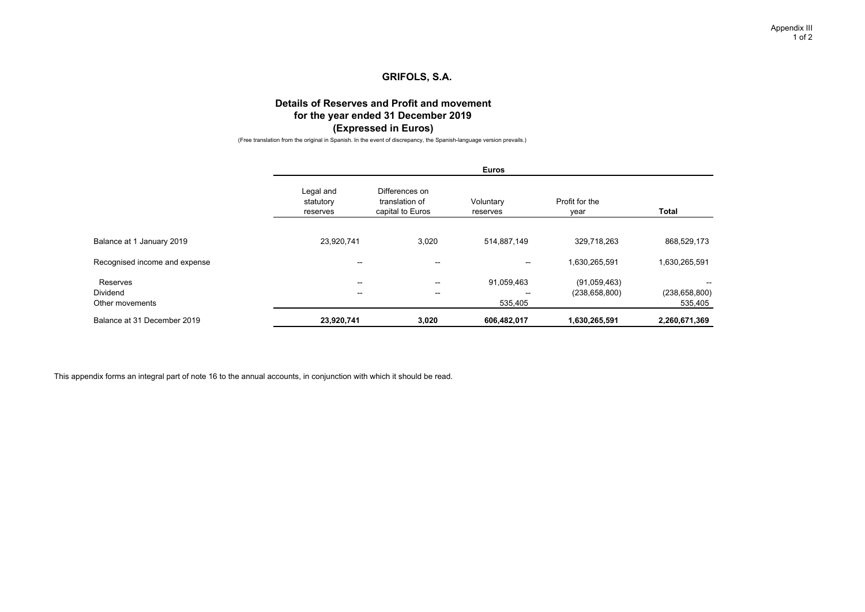## **Details of Reserves and Profit and movement for the year ended 31 December 2019 (Expressed in Euros)**

(Free translation from the original in Spanish. In the event of discrepancy, the Spanish-language version prevails.)

|                                         |                                    |                                                      | <b>Euros</b>                                      |                                 |                            |
|-----------------------------------------|------------------------------------|------------------------------------------------------|---------------------------------------------------|---------------------------------|----------------------------|
|                                         | Legal and<br>statutory<br>reserves | Differences on<br>translation of<br>capital to Euros | Voluntary<br>reserves                             | Profit for the<br>year          | <b>Total</b>               |
| Balance at 1 January 2019               | 23,920,741                         | 3,020                                                | 514,887,149                                       | 329,718,263                     | 868,529,173                |
| Recognised income and expense           | --                                 | $\overline{\phantom{m}}$                             | $\overline{\phantom{a}}$                          | 1,630,265,591                   | 1,630,265,591              |
| Reserves<br>Dividend<br>Other movements | $- -$<br>--                        | $\mathbf{u}$<br>$\overline{\phantom{a}}$             | 91,059,463<br>$\overline{\phantom{m}}$<br>535,405 | (91,059,463)<br>(238, 658, 800) | (238, 658, 800)<br>535,405 |
| Balance at 31 December 2019             | 23,920,741                         | 3,020                                                | 606,482,017                                       | 1,630,265,591                   | 2,260,671,369              |

This appendix forms an integral part of note 16 to the annual accounts, in conjunction with which it should be read.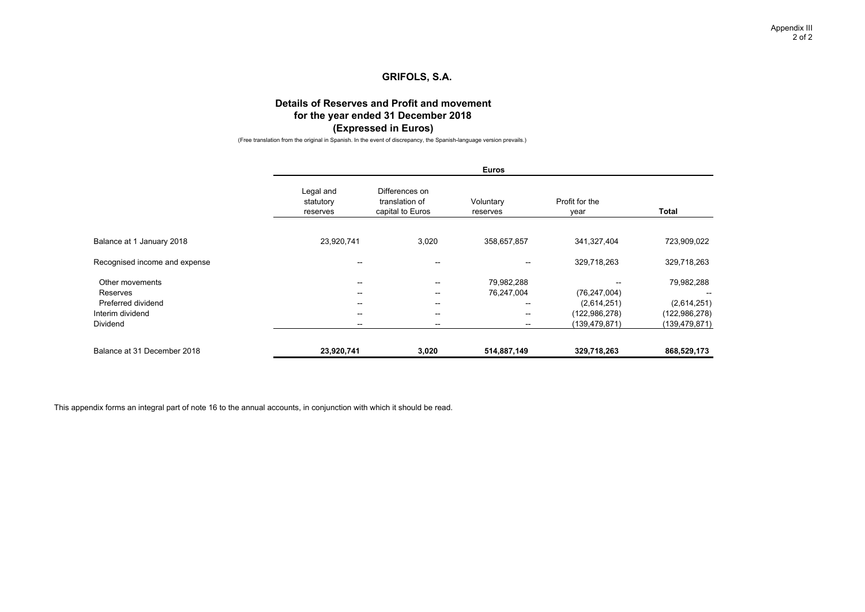## **Details of Reserves and Profit and movement for the year ended 31 December 2018 (Expressed in Euros)**

(Free translation from the original in Spanish. In the event of discrepancy, the Spanish-language version prevails.)

|                                     |                                        |                                                                   | <b>Euros</b>          |                                |                                  |
|-------------------------------------|----------------------------------------|-------------------------------------------------------------------|-----------------------|--------------------------------|----------------------------------|
|                                     | Legal and<br>statutory<br>reserves     | Differences on<br>translation of<br>capital to Euros              | Voluntary<br>reserves | Profit for the<br>year         | <b>Total</b>                     |
| Balance at 1 January 2018           | 23,920,741                             | 3,020                                                             | 358,657,857           | 341,327,404                    | 723,909,022                      |
| Recognised income and expense       | $\hspace{0.05cm}$                      | $\hspace{0.05cm}$ – $\hspace{0.05cm}$                             | --                    | 329,718,263                    | 329,718,263                      |
| Other movements                     | $\hspace{0.05cm}$                      | $\overline{\phantom{a}}$                                          | 79,982,288            |                                | 79,982,288                       |
| Reserves<br>Preferred dividend      | $\hspace{0.05cm}$<br>$\hspace{0.05cm}$ | $\overline{\phantom{a}}$<br>$\hspace{0.05cm}$ – $\hspace{0.05cm}$ | 76,247,004<br>--      | (76, 247, 004)<br>(2,614,251)  | (2,614,251)                      |
| Interim dividend<br><b>Dividend</b> | $\hspace{0.05cm}$<br>--                | $\overline{\phantom{a}}$<br>--                                    | --<br>--              | (122,986,278)<br>(139,479,871) | (122, 986, 278)<br>(139,479,871) |
| Balance at 31 December 2018         | 23,920,741                             | 3,020                                                             | 514,887,149           | 329,718,263                    | 868,529,173                      |

This appendix forms an integral part of note 16 to the annual accounts, in conjunction with which it should be read.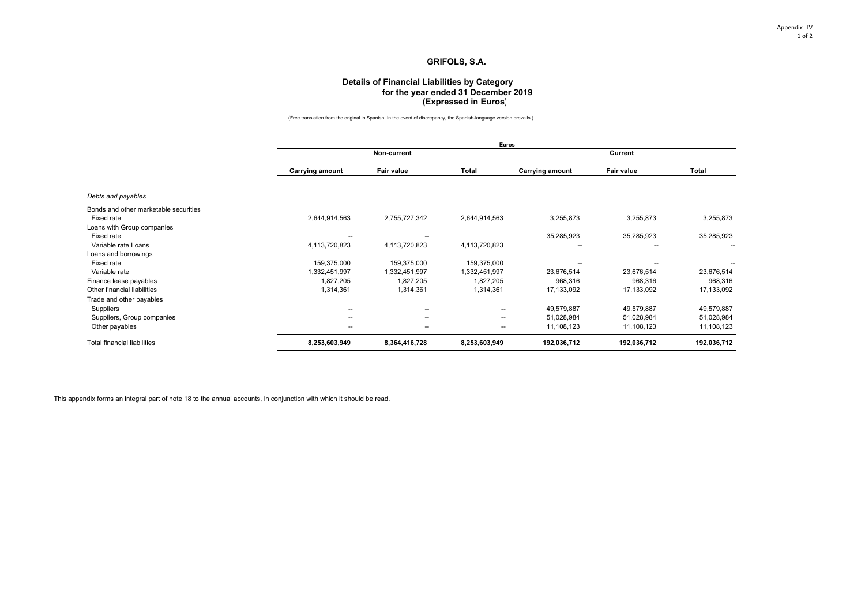#### **(Expressed in Euros) Details of Financial Liabilities by Category for the year ended 31 December 2019**

(Free translation from the original in Spanish. In the event of discrepancy, the Spanish-language version prevails.)

|                                       |                        |                          | Euros         |                        |             |                          |
|---------------------------------------|------------------------|--------------------------|---------------|------------------------|-------------|--------------------------|
|                                       |                        | Non-current              |               |                        | Current     |                          |
|                                       | <b>Carrying amount</b> | Fair value               | Total         | <b>Carrying amount</b> | Fair value  | Total                    |
| Debts and payables                    |                        |                          |               |                        |             |                          |
| Bonds and other marketable securities |                        |                          |               |                        |             |                          |
| Fixed rate                            | 2,644,914,563          | 2,755,727,342            | 2,644,914,563 | 3,255,873              | 3,255,873   | 3,255,873                |
| Loans with Group companies            |                        |                          |               |                        |             |                          |
| Fixed rate                            |                        |                          |               | 35,285,923             | 35,285,923  | 35,285,923               |
| Variable rate Loans                   | 4,113,720,823          | 4,113,720,823            | 4,113,720,823 | --                     | --          | $\overline{\phantom{a}}$ |
| Loans and borrowings                  |                        |                          |               |                        |             |                          |
| Fixed rate                            | 159,375,000            | 159,375,000              | 159,375,000   |                        |             |                          |
| Variable rate                         | 1,332,451,997          | 1,332,451,997            | 1,332,451,997 | 23,676,514             | 23,676,514  | 23,676,514               |
| Finance lease payables                | 1,827,205              | 1,827,205                | 1,827,205     | 968,316                | 968,316     | 968,316                  |
| Other financial liabilities           | 1,314,361              | 1,314,361                | 1,314,361     | 17,133,092             | 17,133,092  | 17,133,092               |
| Trade and other payables              |                        |                          |               |                        |             |                          |
| Suppliers                             | --                     | --                       | --            | 49,579,887             | 49,579,887  | 49,579,887               |
| Suppliers, Group companies            | --                     | $\overline{\phantom{a}}$ | --            | 51,028,984             | 51,028,984  | 51,028,984               |
| Other payables                        | --                     | --                       | --            | 11,108,123             | 11,108,123  | 11,108,123               |
| <b>Total financial liabilities</b>    | 8,253,603,949          | 8,364,416,728            | 8,253,603,949 | 192,036,712            | 192,036,712 | 192,036,712              |

This appendix forms an integral part of note 18 to the annual accounts, in conjunction with which it should be read.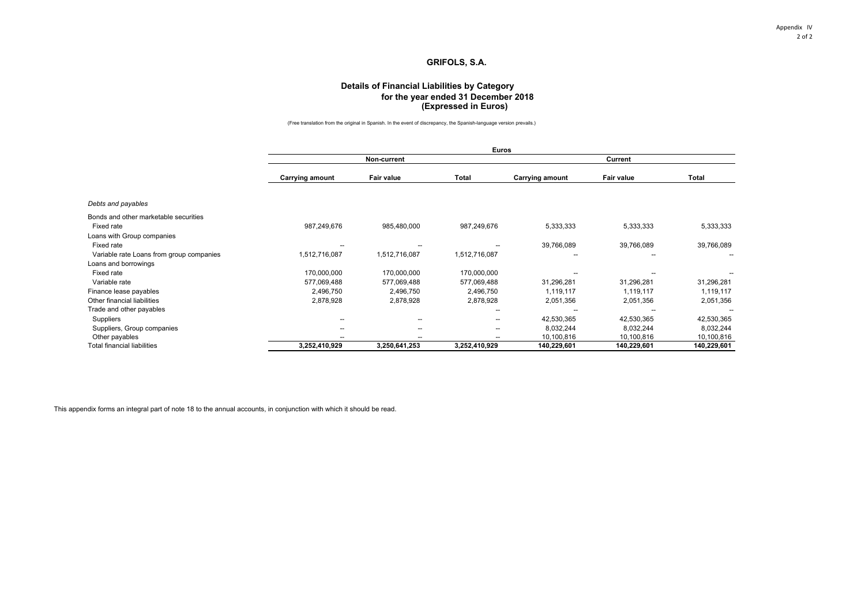#### **(Expressed in Euros) Details of Financial Liabilities by Category for the year ended 31 December 2018**

(Free translation from the original in Spanish. In the event of discrepancy, the Spanish-language version prevails.)

|                                          |                        |                          | <b>Euros</b>             |                        |             |             |
|------------------------------------------|------------------------|--------------------------|--------------------------|------------------------|-------------|-------------|
|                                          |                        | Non-current              |                          |                        | Current     |             |
|                                          | <b>Carrying amount</b> | Fair value               | Total                    | <b>Carrying amount</b> | Fair value  | Total       |
| Debts and payables                       |                        |                          |                          |                        |             |             |
| Bonds and other marketable securities    |                        |                          |                          |                        |             |             |
| Fixed rate                               | 987,249,676            | 985,480,000              | 987,249,676              | 5,333,333              | 5,333,333   | 5,333,333   |
| Loans with Group companies               |                        |                          |                          |                        |             |             |
| Fixed rate                               |                        |                          |                          | 39,766,089             | 39,766,089  | 39,766,089  |
| Variable rate Loans from group companies | 1,512,716,087          | 1,512,716,087            | 1,512,716,087            |                        |             |             |
| Loans and borrowings                     |                        |                          |                          |                        |             |             |
| Fixed rate                               | 170,000,000            | 170,000,000              | 170,000,000              |                        |             |             |
| Variable rate                            | 577,069,488            | 577,069,488              | 577,069,488              | 31,296,281             | 31,296,281  | 31,296,281  |
| Finance lease payables                   | 2,496,750              | 2,496,750                | 2,496,750                | 1,119,117              | 1,119,117   | 1,119,117   |
| Other financial liabilities              | 2,878,928              | 2,878,928                | 2,878,928                | 2,051,356              | 2,051,356   | 2,051,356   |
| Trade and other payables                 |                        |                          |                          |                        |             |             |
| Suppliers                                |                        | --                       | $\overline{\phantom{a}}$ | 42,530,365             | 42,530,365  | 42,530,365  |
| Suppliers, Group companies               | $-$                    | $\overline{\phantom{a}}$ | $\overline{\phantom{a}}$ | 8,032,244              | 8,032,244   | 8,032,244   |
| Other payables                           |                        | $\hspace{0.05cm} \ldots$ | --                       | 10,100,816             | 10,100,816  | 10,100,816  |
| <b>Total financial liabilities</b>       | 3,252,410,929          | 3,250,641,253            | 3,252,410,929            | 140,229,601            | 140,229,601 | 140,229,601 |

This appendix forms an integral part of note 18 to the annual accounts, in conjunction with which it should be read.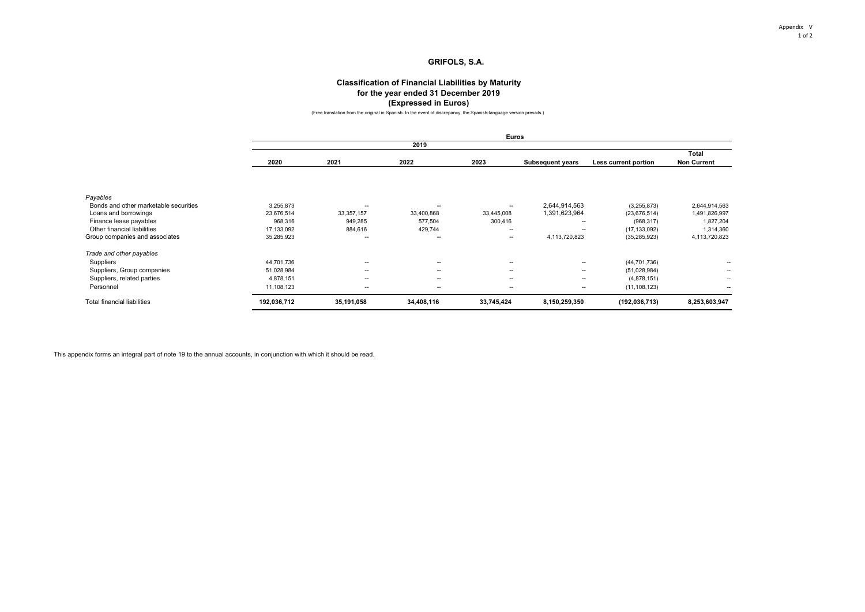#### **Classification of Financial Liabilities by Maturity for the year ended 31 December 2019 (Expressed in Euros)**

(Free translation from the original in Spanish. In the event of discrepancy, the Spanish-language version prevails.)

|                                       |             | <b>Euros</b>             |            |            |                          |                      |                          |  |  |  |
|---------------------------------------|-------------|--------------------------|------------|------------|--------------------------|----------------------|--------------------------|--|--|--|
|                                       |             |                          | 2019       |            |                          |                      |                          |  |  |  |
|                                       |             |                          |            |            |                          |                      | Total                    |  |  |  |
|                                       | 2020        | 2021                     | 2022       | 2023       | <b>Subsequent years</b>  | Less current portion | <b>Non Current</b>       |  |  |  |
|                                       |             |                          |            |            |                          |                      |                          |  |  |  |
|                                       |             |                          |            |            |                          |                      |                          |  |  |  |
|                                       |             |                          |            |            |                          |                      |                          |  |  |  |
| Payables                              |             |                          |            |            |                          |                      |                          |  |  |  |
| Bonds and other marketable securities | 3,255,873   | --                       | --         | $\sim$     | 2,644,914,563            | (3,255,873)          | 2,644,914,563            |  |  |  |
| Loans and borrowings                  | 23,676,514  | 33, 357, 157             | 33,400,868 | 33,445,008 | 1,391,623,964            | (23, 676, 514)       | 1,491,826,997            |  |  |  |
| Finance lease payables                | 968,316     | 949,285                  | 577,504    | 300,416    | --                       | (968, 317)           | 1,827,204                |  |  |  |
| Other financial liabilities           | 17,133,092  | 884,616                  | 429,744    | $\sim$     | --                       | (17, 133, 092)       | 1,314,360                |  |  |  |
| Group companies and associates        | 35,285,923  | --                       | --         | $\sim$     | 4,113,720,823            | (35, 285, 923)       | 4,113,720,823            |  |  |  |
| Trade and other payables              |             |                          |            |            |                          |                      |                          |  |  |  |
| Suppliers                             | 44,701,736  | --                       | $\sim$     | $\sim$     | ۰.                       | (44, 701, 736)       |                          |  |  |  |
| Suppliers, Group companies            | 51,028,984  | $\overline{\phantom{a}}$ | $\sim$     | $\sim$     | $\overline{\phantom{a}}$ | (51,028,984)         | $\overline{\phantom{a}}$ |  |  |  |
| Suppliers, related parties            | 4,878,151   | $\sim$                   | $\sim$     | $\sim$     | --                       | (4,878,151)          | --                       |  |  |  |
| Personnel                             | 11,108,123  | --                       | --         | $\sim$     | ۰.                       | (11, 108, 123)       | $\overline{\phantom{a}}$ |  |  |  |
| <b>Total financial liabilities</b>    | 192,036,712 | 35,191,058               | 34,408,116 | 33,745,424 | 8,150,259,350            | (192, 036, 713)      | 8,253,603,947            |  |  |  |

This appendix forms an integral part of note 19 to the annual accounts, in conjunction with which it should be read.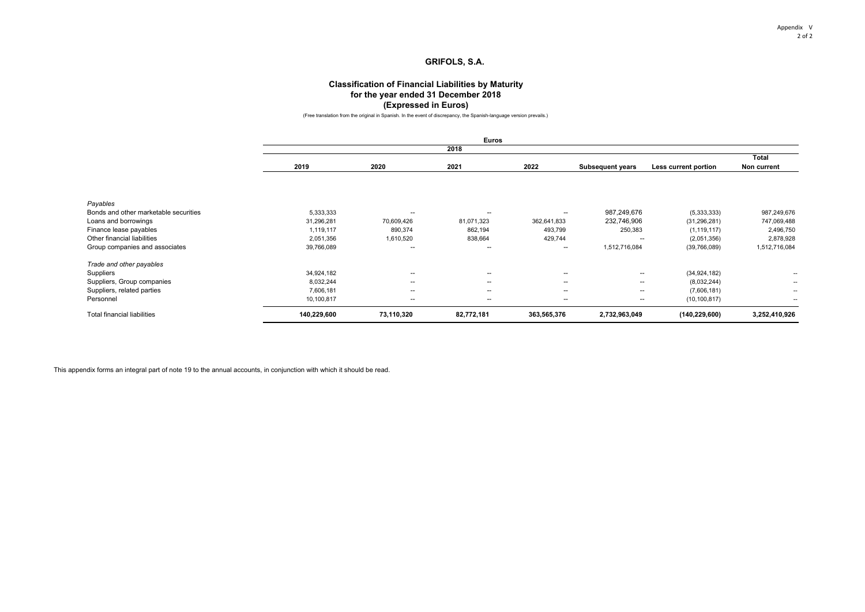## **Classification of Financial Liabilities by Maturity for the year ended 31 December 2018 (Expressed in Euros)**

(Free translation from the original in Spanish. In the event of discrepancy, the Spanish-language version prevails.)

|                                       |             |                          | <b>Euros</b>             |                          |                          |                      |               |
|---------------------------------------|-------------|--------------------------|--------------------------|--------------------------|--------------------------|----------------------|---------------|
|                                       |             |                          | 2018                     |                          |                          |                      |               |
|                                       |             |                          |                          |                          |                          |                      | <b>Total</b>  |
|                                       | 2019        | 2020                     | 2021                     | 2022                     | <b>Subsequent years</b>  | Less current portion | Non current   |
|                                       |             |                          |                          |                          |                          |                      |               |
|                                       |             |                          |                          |                          |                          |                      |               |
|                                       |             |                          |                          |                          |                          |                      |               |
| Payables                              |             |                          |                          |                          |                          |                      |               |
| Bonds and other marketable securities | 5,333,333   | --                       | --                       | $\overline{\phantom{a}}$ | 987,249,676              | (5, 333, 333)        | 987,249,676   |
| Loans and borrowings                  | 31,296,281  | 70,609,426               | 81,071,323               | 362,641,833              | 232,746,906              | (31, 296, 281)       | 747,069,488   |
| Finance lease payables                | 1,119,117   | 890,374                  | 862,194                  | 493,799                  | 250,383                  | (1, 119, 117)        | 2,496,750     |
| Other financial liabilities           | 2,051,356   | 1,610,520                | 838,664                  | 429,744                  | --                       | (2,051,356)          | 2,878,928     |
| Group companies and associates        | 39,766,089  | $\overline{\phantom{a}}$ | $\overline{\phantom{a}}$ | $\overline{\phantom{a}}$ | 1,512,716,084            | (39,766,089)         | 1,512,716,084 |
| Trade and other payables              |             |                          |                          |                          |                          |                      |               |
| Suppliers                             | 34,924,182  | $\overline{\phantom{a}}$ | $\hspace{0.05cm} \ldots$ | $- -$                    | $\overline{\phantom{a}}$ | (34, 924, 182)       | --            |
| Suppliers, Group companies            | 8,032,244   | $\overline{\phantom{a}}$ | $\overline{\phantom{a}}$ | $- -$                    | $\overline{\phantom{a}}$ | (8,032,244)          | $-$           |
| Suppliers, related parties            | 7,606,181   | $\overline{\phantom{a}}$ | $- -$                    | $\overline{\phantom{a}}$ | $\overline{\phantom{a}}$ | (7,606,181)          | $-$           |
| Personnel                             | 10,100,817  | $\hspace{0.05cm}$        | $\hspace{0.05cm}$        | $\overline{\phantom{a}}$ | $\overline{\phantom{a}}$ | (10, 100, 817)       | --            |
| <b>Total financial liabilities</b>    | 140,229,600 | 73,110,320               | 82,772,181               | 363,565,376              | 2,732,963,049            | (140, 229, 600)      | 3,252,410,926 |

This appendix forms an integral part of note 19 to the annual accounts, in conjunction with which it should be read.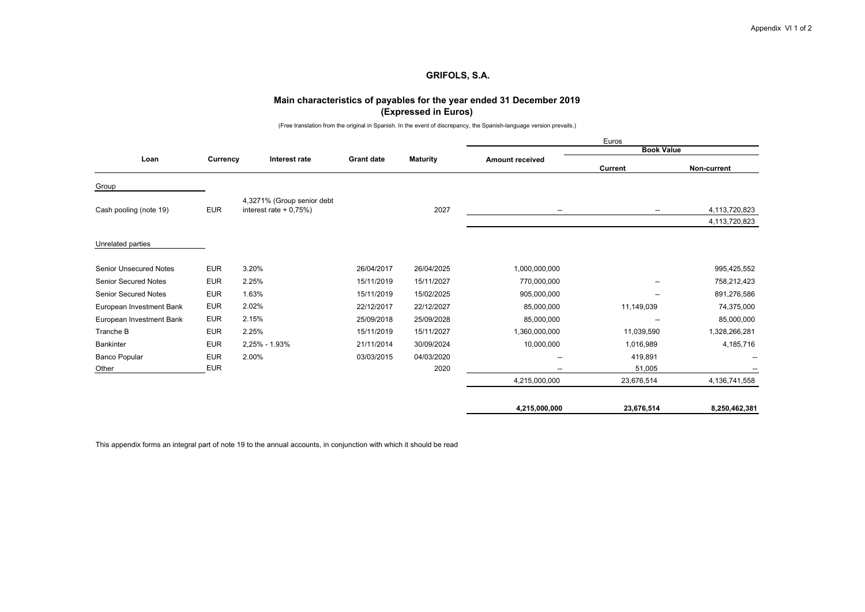## **Main characteristics of payables for the year ended 31 December 2019 (Expressed in Euros)**

(Free translation from the original in Spanish. In the event of discrepancy, the Spanish-language version prevails.)

|                               |            |                                                      |                   |                 |                          | Euros                    |               |
|-------------------------------|------------|------------------------------------------------------|-------------------|-----------------|--------------------------|--------------------------|---------------|
|                               |            |                                                      |                   |                 |                          | <b>Book Value</b>        |               |
| Loan                          | Currency   | Interest rate                                        | <b>Grant date</b> | <b>Maturity</b> | <b>Amount received</b>   | <b>Current</b>           | Non-current   |
| Group                         |            |                                                      |                   |                 |                          |                          |               |
| Cash pooling (note 19)        | <b>EUR</b> | 4,3271% (Group senior debt<br>interest rate $+0,75%$ |                   | 2027            | $\overline{\phantom{a}}$ | $\overline{\phantom{a}}$ | 4,113,720,823 |
|                               |            |                                                      |                   |                 |                          |                          | 4,113,720,823 |
| Unrelated parties             |            |                                                      |                   |                 |                          |                          |               |
| <b>Senior Unsecured Notes</b> | <b>EUR</b> | 3.20%                                                | 26/04/2017        | 26/04/2025      | 1,000,000,000            |                          | 995,425,552   |
| <b>Senior Secured Notes</b>   | <b>EUR</b> | 2.25%                                                | 15/11/2019        | 15/11/2027      | 770,000,000              |                          | 758,212,423   |
| <b>Senior Secured Notes</b>   | <b>EUR</b> | 1.63%                                                | 15/11/2019        | 15/02/2025      | 905,000,000              | $\overline{\phantom{a}}$ | 891,276,586   |
| European Investment Bank      | <b>EUR</b> | 2.02%                                                | 22/12/2017        | 22/12/2027      | 85,000,000               | 11,149,039               | 74,375,000    |
| European Investment Bank      | <b>EUR</b> | 2.15%                                                | 25/09/2018        | 25/09/2028      | 85,000,000               | $\overline{\phantom{a}}$ | 85,000,000    |
| Tranche B                     | <b>EUR</b> | 2.25%                                                | 15/11/2019        | 15/11/2027      | 1,360,000,000            | 11,039,590               | 1,328,266,281 |
| Bankinter                     | <b>EUR</b> | 2,25% - 1.93%                                        | 21/11/2014        | 30/09/2024      | 10,000,000               | 1,016,989                | 4,185,716     |
| <b>Banco Popular</b>          | <b>EUR</b> | 2.00%                                                | 03/03/2015        | 04/03/2020      | $\overline{\phantom{a}}$ | 419,891                  |               |
| Other                         | <b>EUR</b> |                                                      |                   | 2020            | $\overline{\phantom{a}}$ | 51,005                   |               |
|                               |            |                                                      |                   |                 | 4,215,000,000            | 23,676,514               | 4,136,741,558 |
|                               |            |                                                      |                   |                 | 4,215,000,000            | 23,676,514               | 8,250,462,381 |

This appendix forms an integral part of note 19 to the annual accounts, in conjunction with which it should be read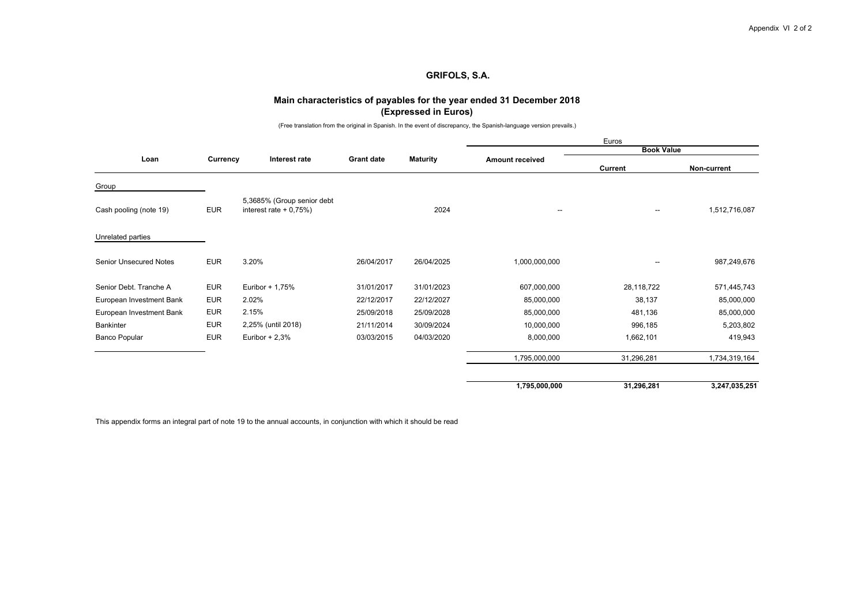#### **Main characteristics of payables for the year ended 31 December 2018 (Expressed in Euros)**

(Free translation from the original in Spanish. In the event of discrepancy, the Spanish-language version prevails.)

|                               |            |                                                      |                   |                 |                        | Euros                    |               |
|-------------------------------|------------|------------------------------------------------------|-------------------|-----------------|------------------------|--------------------------|---------------|
|                               |            |                                                      |                   |                 |                        | <b>Book Value</b>        |               |
| Loan                          | Currency   | Interest rate                                        | <b>Grant date</b> | <b>Maturity</b> | <b>Amount received</b> | Current                  | Non-current   |
| Group                         |            |                                                      |                   |                 |                        |                          |               |
| Cash pooling (note 19)        | <b>EUR</b> | 5,3685% (Group senior debt<br>interest rate $+0,75%$ |                   | 2024            |                        |                          | 1,512,716,087 |
| Unrelated parties             |            |                                                      |                   |                 |                        |                          |               |
| <b>Senior Unsecured Notes</b> | <b>EUR</b> | 3.20%                                                | 26/04/2017        | 26/04/2025      | 1,000,000,000          | $\overline{\phantom{a}}$ | 987,249,676   |
| Senior Debt. Tranche A        | <b>EUR</b> | Euribor + 1,75%                                      | 31/01/2017        | 31/01/2023      | 607,000,000            | 28,118,722               | 571,445,743   |
| European Investment Bank      | <b>EUR</b> | 2.02%                                                | 22/12/2017        | 22/12/2027      | 85,000,000             | 38,137                   | 85,000,000    |
| European Investment Bank      | <b>EUR</b> | 2.15%                                                | 25/09/2018        | 25/09/2028      | 85,000,000             | 481,136                  | 85,000,000    |
| Bankinter                     | <b>EUR</b> | 2,25% (until 2018)                                   | 21/11/2014        | 30/09/2024      | 10,000,000             | 996,185                  | 5,203,802     |
| <b>Banco Popular</b>          | <b>EUR</b> | Euribor + $2,3%$                                     | 03/03/2015        | 04/03/2020      | 8,000,000              | 1,662,101                | 419,943       |
|                               |            |                                                      |                   |                 | 1,795,000,000          | 31,296,281               | 1,734,319,164 |
|                               |            |                                                      |                   |                 | 1,795,000,000          | 31,296,281               | 3,247,035,251 |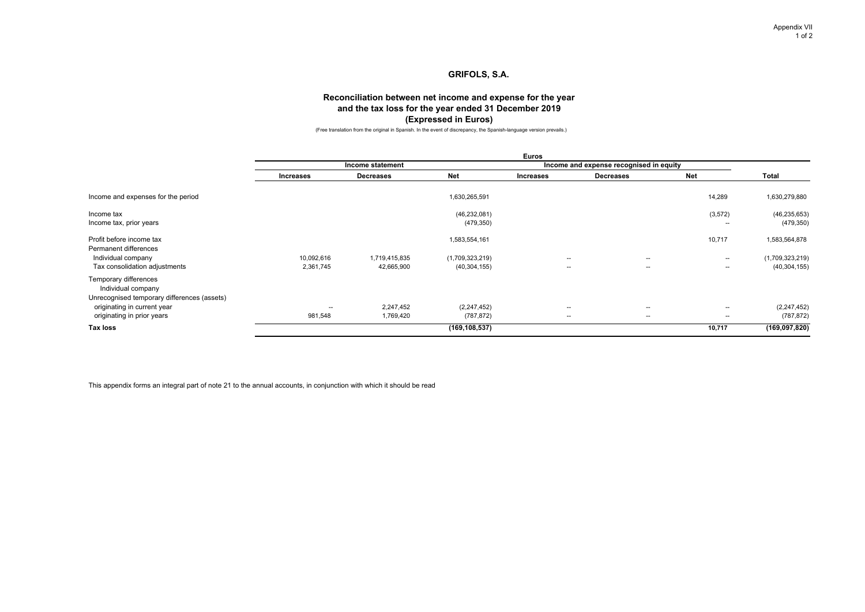#### **Reconciliation between net income and expense for the year and the tax loss for the year ended 31 December 2019 (Expressed in Euros)**

(Free translation from the original in Spanish. In the event of discrepancy, the Spanish-language version prevails.)

|                                                                                                          |                         |                             |                                   | <b>Euros</b>                            |                  |                    |                                   |
|----------------------------------------------------------------------------------------------------------|-------------------------|-----------------------------|-----------------------------------|-----------------------------------------|------------------|--------------------|-----------------------------------|
|                                                                                                          |                         | Income statement            |                                   | Income and expense recognised in equity |                  |                    |                                   |
|                                                                                                          | Increases               | <b>Decreases</b>            | Net                               | Increases                               | <b>Decreases</b> | <b>Net</b>         | <b>Total</b>                      |
| Income and expenses for the period                                                                       |                         |                             | 1,630,265,591                     |                                         |                  | 14,289             | 1,630,279,880                     |
| Income tax<br>Income tax, prior years                                                                    |                         |                             | (46, 232, 081)<br>(479, 350)      |                                         |                  | (3, 572)<br>$\sim$ | (46, 235, 653)<br>(479, 350)      |
| Profit before income tax<br>Permanent differences                                                        |                         |                             | 1,583,554,161                     |                                         |                  | 10,717             | 1,583,564,878                     |
| Individual company<br>Tax consolidation adjustments                                                      | 10,092,616<br>2,361,745 | 1,719,415,835<br>42,665,900 | (1,709,323,219)<br>(40, 304, 155) | $\sim$<br>$\overline{\phantom{a}}$      | --<br>--         | $\sim$<br>--       | (1,709,323,219)<br>(40, 304, 155) |
| Temporary differences<br>Individual company                                                              |                         |                             |                                   |                                         |                  |                    |                                   |
| Unrecognised temporary differences (assets)<br>originating in current year<br>originating in prior years | --<br>981,548           | 2,247,452<br>1,769,420      | (2, 247, 452)                     | $\sim$                                  | $\sim$           | $\sim$             | (2, 247, 452)                     |
| Tax loss                                                                                                 |                         |                             | (787, 872)<br>(169, 108, 537)     | $\sim$                                  | ۰.               | $\sim$<br>10,717   | (787, 872)<br>(169, 097, 820)     |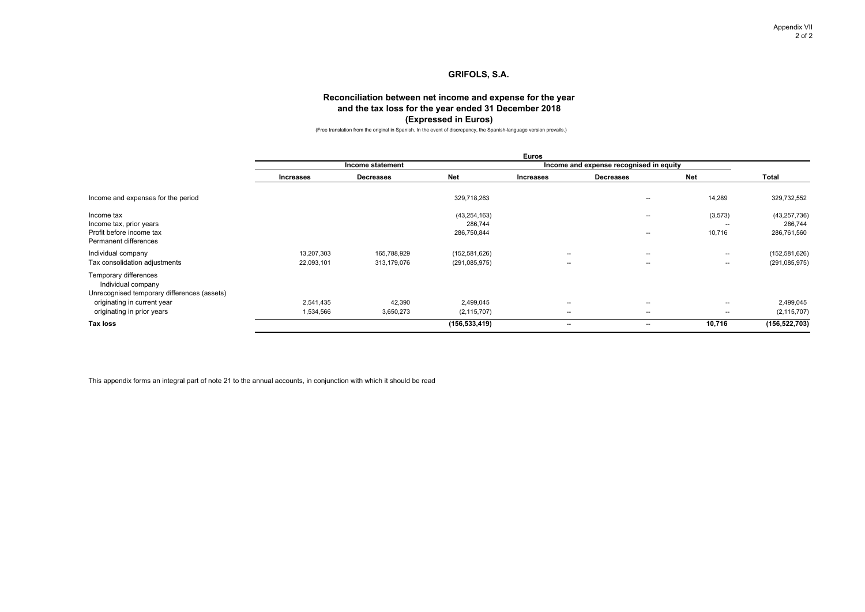#### **Reconciliation between net income and expense for the year and the tax loss for the year ended 31 December 2018 (Expressed in Euros)**

(Free translation from the original in Spanish. In the event of discrepancy, the Spanish-language version prevails.)

|                                                                                                                                                         |                          |                            |                                          | <b>Euros</b>                            |                                |                         |                                          |
|---------------------------------------------------------------------------------------------------------------------------------------------------------|--------------------------|----------------------------|------------------------------------------|-----------------------------------------|--------------------------------|-------------------------|------------------------------------------|
|                                                                                                                                                         |                          | Income statement           |                                          | Income and expense recognised in equity |                                |                         |                                          |
|                                                                                                                                                         | Increases                | <b>Decreases</b>           | <b>Net</b>                               | <b>Increases</b>                        | <b>Decreases</b>               | <b>Net</b>              | Total                                    |
| Income and expenses for the period                                                                                                                      |                          |                            | 329,718,263                              |                                         | $\overline{\phantom{a}}$       | 14,289                  | 329,732,552                              |
| Income tax<br>Income tax, prior years<br>Profit before income tax<br>Permanent differences                                                              |                          |                            | (43, 254, 163)<br>286,744<br>286,750,844 |                                         | --<br>$\sim$                   | (3, 573)<br>-<br>10,716 | (43, 257, 736)<br>286,744<br>286,761,560 |
| Individual company<br>Tax consolidation adjustments                                                                                                     | 13,207,303<br>22,093,101 | 165,788,929<br>313,179,076 | (152, 581, 626)<br>(291,085,975)         | --<br>$\sim$                            | $\overline{\phantom{a}}$<br>-- | $\sim$<br>$\sim$        | (152, 581, 626)<br>(291, 085, 975)       |
| Temporary differences<br>Individual company<br>Unrecognised temporary differences (assets)<br>originating in current year<br>originating in prior years | 2,541,435<br>1,534,566   | 42,390<br>3,650,273        | 2,499,045<br>(2, 115, 707)               | --<br>$\sim$                            | $\sim$<br>--                   | $\sim$<br>$\sim$        | 2,499,045<br>(2, 115, 707)               |
| Tax loss                                                                                                                                                |                          |                            | (156, 533, 419)                          | --                                      | --                             | 10,716                  | (156, 522, 703)                          |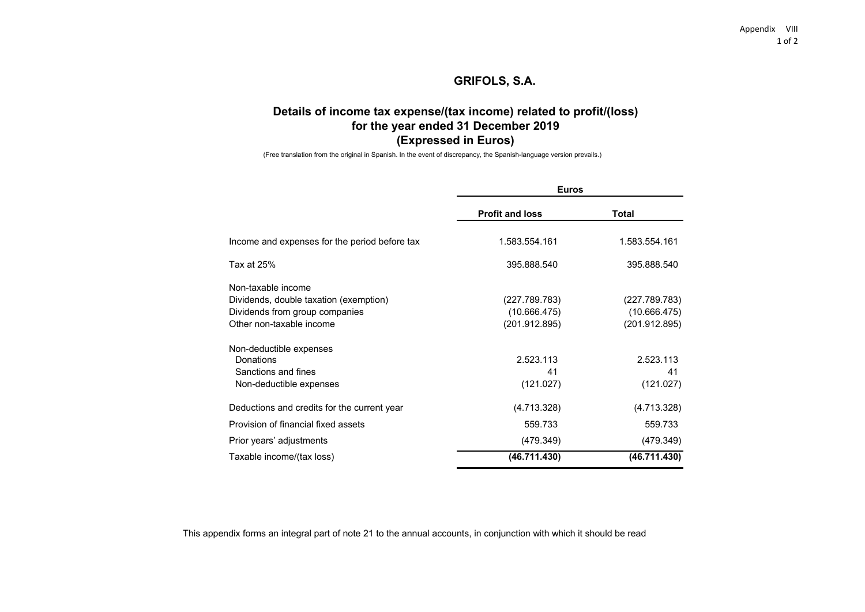## **Details of income tax expense/(tax income) related to profit/(loss) for the year ended 31 December 2019 (Expressed in Euros)**

(Free translation from the original in Spanish. In the event of discrepancy, the Spanish-language version prevails.)

|                                               | <b>Euros</b>           |               |  |
|-----------------------------------------------|------------------------|---------------|--|
|                                               | <b>Profit and loss</b> | Total         |  |
| Income and expenses for the period before tax | 1.583.554.161          | 1.583.554.161 |  |
| Tax at 25%                                    | 395.888.540            | 395.888.540   |  |
| Non-taxable income                            |                        |               |  |
| Dividends, double taxation (exemption)        | (227.789.783)          | (227.789.783) |  |
| Dividends from group companies                | (10.666.475)           | (10.666.475)  |  |
| Other non-taxable income                      | (201.912.895)          | (201.912.895) |  |
| Non-deductible expenses                       |                        |               |  |
| Donations                                     | 2.523.113              | 2.523.113     |  |
| Sanctions and fines                           | 41                     | 41            |  |
| Non-deductible expenses                       | (121.027)              | (121.027)     |  |
| Deductions and credits for the current year   | (4.713.328)            | (4.713.328)   |  |
| Provision of financial fixed assets           | 559.733                | 559.733       |  |
| Prior years' adjustments                      | (479.349)              | (479.349)     |  |
| Taxable income/(tax loss)                     | (46.711.430)           | (46.711.430)  |  |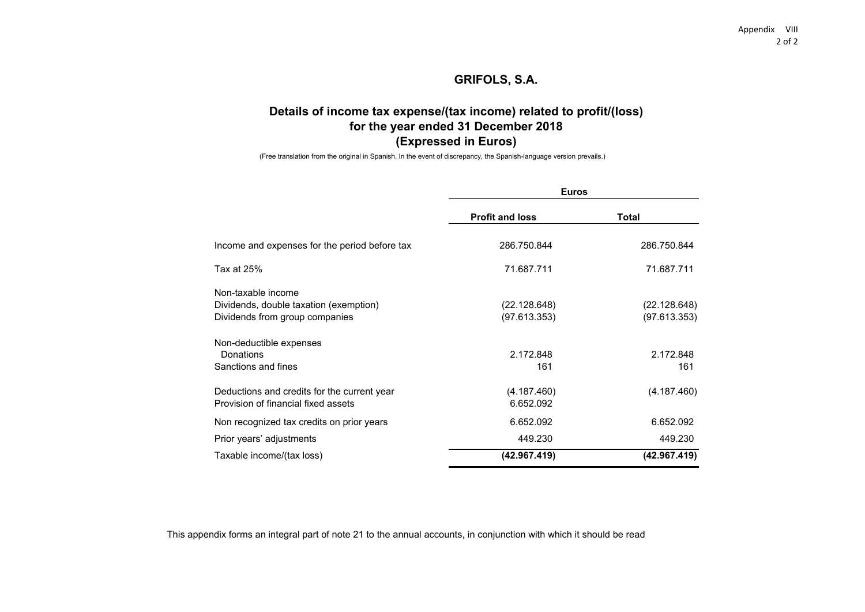## **Details of income tax expense/(tax income) related to profit/(loss) for the year ended 31 December 2018 (Expressed in Euros)**

(Free translation from the original in Spanish. In the event of discrepancy, the Spanish-language version prevails.)

|                                                                                                | <b>Euros</b>                 |                              |  |
|------------------------------------------------------------------------------------------------|------------------------------|------------------------------|--|
|                                                                                                | <b>Profit and loss</b>       | Total                        |  |
| Income and expenses for the period before tax                                                  | 286.750.844                  | 286.750.844                  |  |
| Tax at 25%                                                                                     | 71.687.711                   | 71.687.711                   |  |
| Non-taxable income<br>Dividends, double taxation (exemption)<br>Dividends from group companies | (22.128.648)<br>(97.613.353) | (22.128.648)<br>(97.613.353) |  |
| Non-deductible expenses<br>Donations<br>Sanctions and fines                                    | 2.172.848<br>161             | 2.172.848<br>161             |  |
| Deductions and credits for the current year<br>Provision of financial fixed assets             | (4.187.460)<br>6.652.092     | (4.187.460)                  |  |
| Non recognized tax credits on prior years                                                      | 6.652.092                    | 6.652.092                    |  |
| Prior years' adjustments                                                                       | 449.230                      | 449.230                      |  |
| Taxable income/(tax loss)                                                                      | (42.967.419)                 | (42.967.419)                 |  |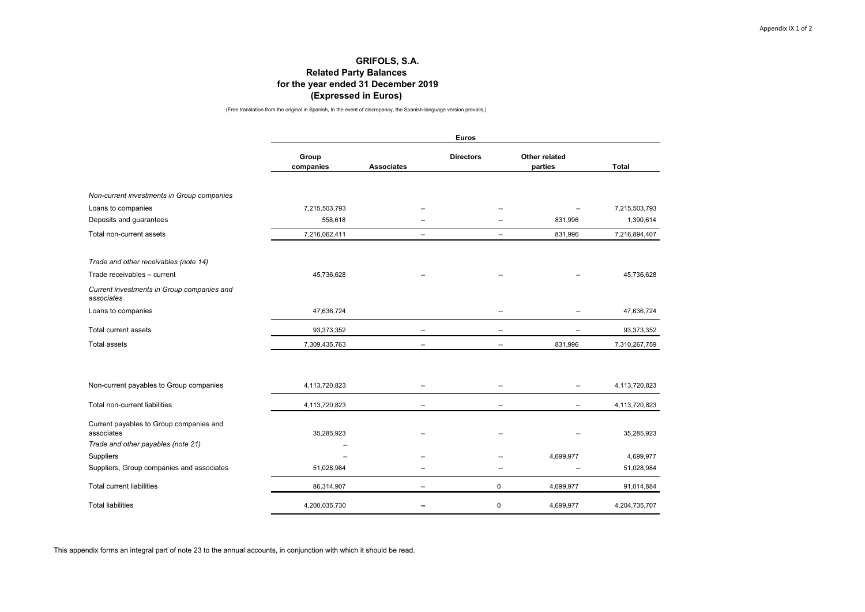## **GRIFOLS, S.A. Related Party Balances for the year ended 31 December 2019 (Expressed in Euros)**

(Free translation from the original in Spanish, In the event of discrepancy, the Spanish-language version prevails,)

|                                                          |                    |                          | <b>Euros</b>             |                          |               |
|----------------------------------------------------------|--------------------|--------------------------|--------------------------|--------------------------|---------------|
|                                                          | Group<br>companies | <b>Associates</b>        | <b>Directors</b>         | Other related<br>parties | <b>Total</b>  |
| Non-current investments in Group companies               |                    |                          |                          |                          |               |
| Loans to companies                                       | 7,215,503,793      |                          |                          |                          | 7,215,503,793 |
| Deposits and guarantees                                  | 558,618            |                          |                          | 831,996                  | 1,390,614     |
| Total non-current assets                                 | 7,216,062,411      | $\overline{\phantom{a}}$ | $\overline{\phantom{0}}$ | 831,996                  | 7,216,894,407 |
| Trade and other receivables (note 14)                    |                    |                          |                          |                          |               |
| Trade receivables - current                              | 45,736,628         |                          |                          |                          | 45,736,628    |
| Current investments in Group companies and<br>associates |                    |                          |                          |                          |               |
| Loans to companies                                       | 47,636,724         |                          |                          |                          | 47,636,724    |
| Total current assets                                     | 93,373,352         | $\overline{\phantom{a}}$ |                          |                          | 93,373,352    |
| <b>Total assets</b>                                      | 7,309,435,763      | $\overline{\phantom{a}}$ | $\overline{a}$           | 831,996                  | 7,310,267,759 |
|                                                          |                    |                          |                          |                          |               |
| Non-current payables to Group companies                  | 4,113,720,823      |                          |                          |                          | 4,113,720,823 |
| Total non-current liabilities                            | 4,113,720,823      | $\overline{\phantom{a}}$ | $\overline{a}$           | $\overline{a}$           | 4,113,720,823 |
| Current payables to Group companies and<br>associates    | 35,285,923         |                          |                          |                          | 35,285,923    |
| Trade and other payables (note 21)                       |                    |                          |                          |                          |               |
| Suppliers                                                |                    |                          |                          | 4,699,977                | 4,699,977     |
| Suppliers, Group companies and associates                | 51,028,984         |                          |                          |                          | 51,028,984    |
| <b>Total current liabilities</b>                         | 86,314,907         | $\sim$                   | $\mathbf 0$              | 4,699,977                | 91,014,884    |
| <b>Total liabilities</b>                                 | 4,200,035,730      |                          | $\pmb{0}$                | 4,699,977                | 4,204,735,707 |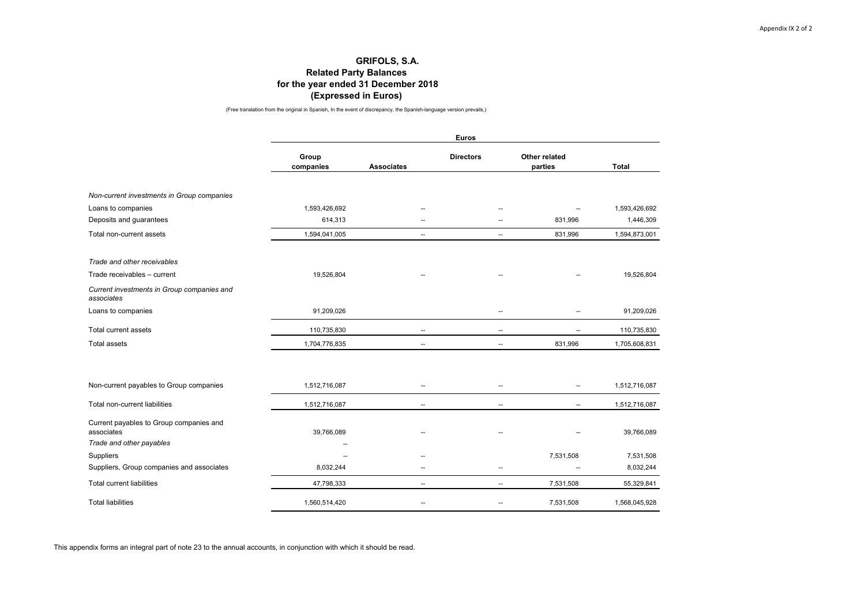## **GRIFOLS, S.A. Related Party Balances for the year ended 31 December 2018 (Expressed in Euros)**

(Free translation from the original in Spanish, In the event of discrepancy, the Spanish-language version prevails,)

|                                                          | <b>Euros</b>       |                          |                          |                          |               |  |  |
|----------------------------------------------------------|--------------------|--------------------------|--------------------------|--------------------------|---------------|--|--|
|                                                          | Group<br>companies | <b>Associates</b>        | <b>Directors</b>         | Other related<br>parties | <b>Total</b>  |  |  |
| Non-current investments in Group companies               |                    |                          |                          |                          |               |  |  |
| Loans to companies                                       | 1,593,426,692      |                          |                          |                          | 1,593,426,692 |  |  |
| Deposits and guarantees                                  | 614,313            |                          |                          | 831,996                  | 1,446,309     |  |  |
| Total non-current assets                                 | 1,594,041,005      | $\overline{\phantom{a}}$ | $\overline{\phantom{a}}$ | 831,996                  | 1,594,873,001 |  |  |
| Trade and other receivables                              |                    |                          |                          |                          |               |  |  |
| Trade receivables - current                              | 19,526,804         |                          |                          |                          | 19,526,804    |  |  |
| Current investments in Group companies and<br>associates |                    |                          |                          |                          |               |  |  |
| Loans to companies                                       | 91,209,026         |                          | --                       | --                       | 91,209,026    |  |  |
| Total current assets                                     | 110,735,830        |                          |                          |                          | 110,735,830   |  |  |
| <b>Total assets</b>                                      | 1,704,776,835      | $\overline{\phantom{a}}$ | $\overline{a}$           | 831,996                  | 1,705,608,831 |  |  |
|                                                          |                    |                          |                          |                          |               |  |  |
| Non-current payables to Group companies                  | 1,512,716,087      | $\overline{\phantom{a}}$ |                          |                          | 1,512,716,087 |  |  |
| Total non-current liabilities                            | 1,512,716,087      | $\overline{\phantom{a}}$ | $\overline{\phantom{a}}$ | $\overline{a}$           | 1,512,716,087 |  |  |
| Current payables to Group companies and<br>associates    | 39,766,089         |                          |                          |                          | 39,766,089    |  |  |
| Trade and other payables                                 |                    |                          |                          |                          |               |  |  |
| Suppliers                                                |                    |                          |                          | 7,531,508                | 7,531,508     |  |  |
| Suppliers, Group companies and associates                | 8,032,244          | $\overline{\phantom{a}}$ |                          |                          | 8,032,244     |  |  |
| <b>Total current liabilities</b>                         | 47,798,333         | $\overline{\phantom{a}}$ | --                       | 7,531,508                | 55,329,841    |  |  |
| <b>Total liabilities</b>                                 | 1,560,514,420      |                          |                          | 7,531,508                | 1,568,045,928 |  |  |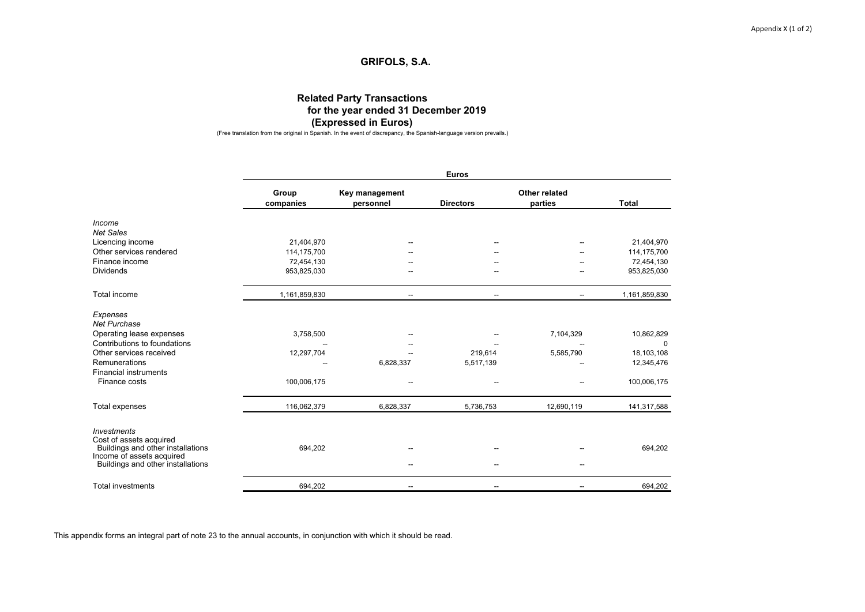## **Related Party Transactions for the year ended 31 December 2019 (Expressed in Euros)**

(Free translation from the original in Spanish. In the event of discrepancy, the Spanish-language version prevails.)

|                                                                                                                                                      |                    |                             | <b>Euros</b>     |                          |               |
|------------------------------------------------------------------------------------------------------------------------------------------------------|--------------------|-----------------------------|------------------|--------------------------|---------------|
|                                                                                                                                                      | Group<br>companies | Key management<br>personnel | <b>Directors</b> | Other related<br>parties | <b>Total</b>  |
| Income                                                                                                                                               |                    |                             |                  |                          |               |
| <b>Net Sales</b>                                                                                                                                     |                    |                             |                  |                          |               |
| Licencing income                                                                                                                                     | 21,404,970         |                             |                  |                          | 21,404,970    |
| Other services rendered                                                                                                                              | 114,175,700        |                             |                  |                          | 114,175,700   |
| Finance income                                                                                                                                       | 72,454,130         |                             |                  |                          | 72,454,130    |
| <b>Dividends</b>                                                                                                                                     | 953,825,030        |                             |                  |                          | 953,825,030   |
| Total income                                                                                                                                         | 1,161,859,830      |                             |                  |                          | 1,161,859,830 |
| Expenses<br><b>Net Purchase</b>                                                                                                                      |                    |                             |                  |                          |               |
| Operating lease expenses                                                                                                                             | 3,758,500          |                             |                  | 7,104,329                | 10,862,829    |
| Contributions to foundations                                                                                                                         |                    |                             |                  |                          | $\Omega$      |
| Other services received                                                                                                                              | 12,297,704         |                             | 219,614          | 5,585,790                | 18,103,108    |
| Remunerations                                                                                                                                        |                    | 6,828,337                   | 5,517,139        |                          | 12,345,476    |
| <b>Financial instruments</b>                                                                                                                         |                    |                             |                  |                          |               |
| Finance costs                                                                                                                                        | 100,006,175        |                             |                  |                          | 100,006,175   |
| Total expenses                                                                                                                                       | 116,062,379        | 6,828,337                   | 5,736,753        | 12,690,119               | 141,317,588   |
| <b>Investments</b><br>Cost of assets acquired<br>Buildings and other installations<br>Income of assets acquired<br>Buildings and other installations | 694,202            |                             |                  |                          | 694,202       |
|                                                                                                                                                      |                    |                             |                  |                          |               |
| <b>Total investments</b>                                                                                                                             | 694,202            |                             | --               |                          | 694,202       |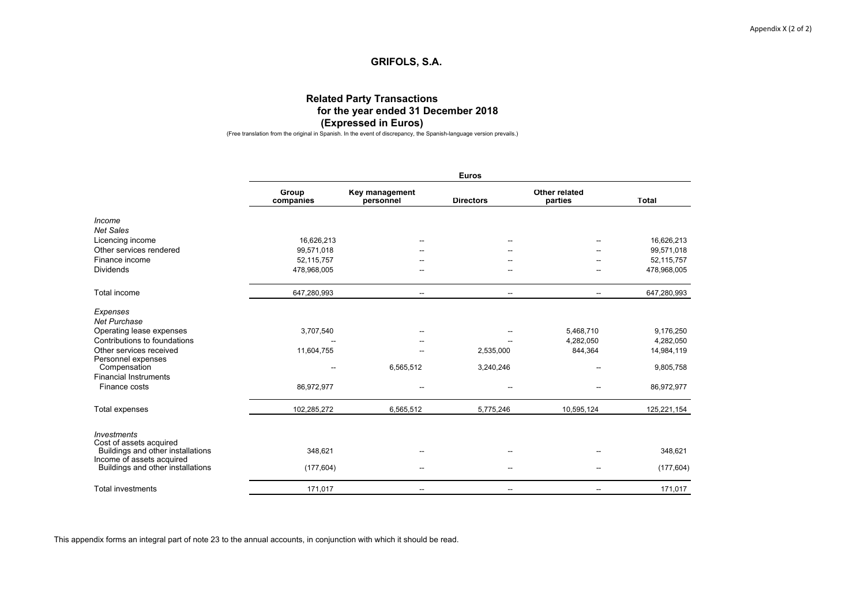# **Related Party Transactions for the year ended 31 December 2018**

(Free translation from the original in Spanish. In the event of discrepancy, the Spanish-language version prevails.) **(Expressed in Euros)**

|                                                                                           | <b>Euros</b>       |                             |                  |                          |              |  |  |  |
|-------------------------------------------------------------------------------------------|--------------------|-----------------------------|------------------|--------------------------|--------------|--|--|--|
|                                                                                           | Group<br>companies | Key management<br>personnel | <b>Directors</b> | Other related<br>parties | <b>Total</b> |  |  |  |
| Income                                                                                    |                    |                             |                  |                          |              |  |  |  |
| <b>Net Sales</b>                                                                          |                    |                             |                  |                          |              |  |  |  |
| Licencing income                                                                          | 16,626,213         |                             |                  |                          | 16,626,213   |  |  |  |
| Other services rendered                                                                   | 99,571,018         |                             |                  |                          | 99,571,018   |  |  |  |
| Finance income                                                                            | 52,115,757         |                             |                  |                          | 52,115,757   |  |  |  |
| <b>Dividends</b>                                                                          | 478,968,005        |                             |                  |                          | 478,968,005  |  |  |  |
| Total income                                                                              | 647,280,993        | --                          | --               |                          | 647,280,993  |  |  |  |
| Expenses                                                                                  |                    |                             |                  |                          |              |  |  |  |
| Net Purchase                                                                              |                    |                             |                  |                          |              |  |  |  |
| Operating lease expenses                                                                  | 3,707,540          |                             |                  | 5,468,710                | 9,176,250    |  |  |  |
| Contributions to foundations                                                              |                    |                             |                  | 4,282,050                | 4,282,050    |  |  |  |
| Other services received                                                                   | 11,604,755         |                             | 2,535,000        | 844,364                  | 14,984,119   |  |  |  |
| Personnel expenses                                                                        |                    |                             |                  |                          |              |  |  |  |
| Compensation                                                                              |                    | 6,565,512                   | 3,240,246        |                          | 9,805,758    |  |  |  |
| <b>Financial Instruments</b>                                                              |                    |                             |                  |                          |              |  |  |  |
| Finance costs                                                                             | 86,972,977         |                             |                  |                          | 86,972,977   |  |  |  |
| Total expenses                                                                            | 102,285,272        | 6,565,512                   | 5,775,246        | 10,595,124               | 125,221,154  |  |  |  |
| <b>Investments</b>                                                                        |                    |                             |                  |                          |              |  |  |  |
| Cost of assets acquired<br>Buildings and other installations<br>Income of assets acquired | 348.621            | --                          |                  |                          | 348,621      |  |  |  |
| Buildings and other installations                                                         | (177, 604)         |                             |                  |                          | (177, 604)   |  |  |  |
| <b>Total investments</b>                                                                  | 171,017            | $\overline{\phantom{a}}$    |                  |                          | 171,017      |  |  |  |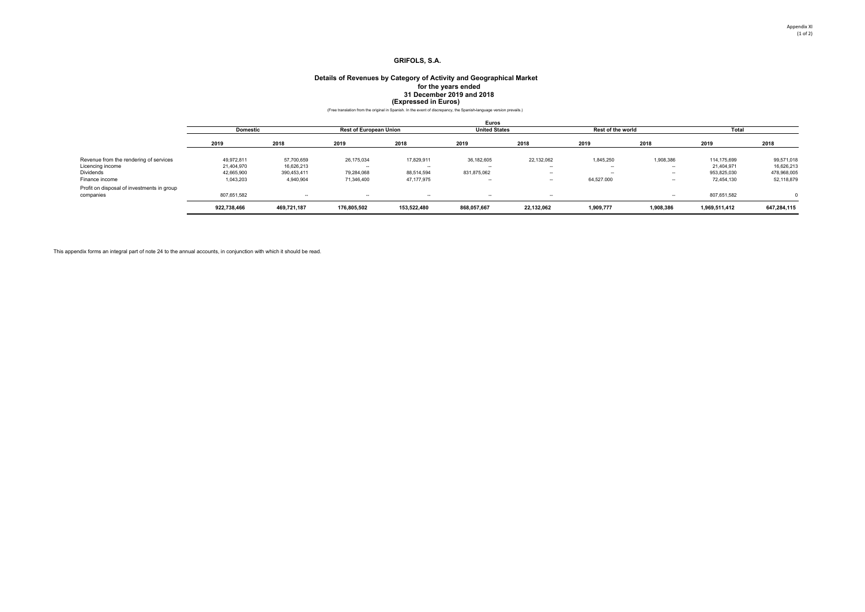#### **(Expressed in Euros) Details of Revenues by Category of Activity and Geographical Market for the years ended 31 December 2019 and 2018**

(Free translation from the original in Spanish. In the event of discrepancy, the Spanish-language version prevails.)

|                                                         | Euros           |             |                               |             |                          |                          |            |                   |               |             |
|---------------------------------------------------------|-----------------|-------------|-------------------------------|-------------|--------------------------|--------------------------|------------|-------------------|---------------|-------------|
|                                                         | <b>Domestic</b> |             | <b>Rest of European Union</b> |             |                          | <b>United States</b>     |            | Rest of the world |               |             |
|                                                         | 2019            | 2018        | 2019                          | 2018        | 2019                     | 2018                     | 2019       | 2018              | 2019          | 2018        |
| Revenue from the rendering of services                  | 49,972,811      | 57,700,659  | 26,175,034                    | 17,829,911  | 36,182,605               | 22,132,062               | 1,845,250  | 1,908,386         | 114,175,699   | 99,571,018  |
| Licencing income                                        | 21,404,970      | 16,626,213  |                               | -           | $\overline{\phantom{a}}$ | $\overline{\phantom{a}}$ | -          | $\sim$            | 21,404,971    | 16,626,213  |
| Dividends                                               | 42,665,900      | 390.453.411 | 79.284.068                    | 88,514,594  | 831,875,062              | $\overline{\phantom{a}}$ | $\sim$     | $\sim$            | 953.825.030   | 478,968,005 |
| Finance income                                          | 1,043,203       | 4,940,904   | 71,346,400                    | 47,177,975  | $\overline{\phantom{a}}$ | $\sim$                   | 64.527.000 | $\sim$            | 72,454,130    | 52,118,879  |
| Profit on disposal of investments in group<br>companies | 807,651,582     | $\sim$      | $\sim$                        | --          | $\sim$                   | $\overline{\phantom{a}}$ |            | $\sim$            | 807,651,582   |             |
|                                                         | 922,738,466     | 469.721.187 | 176,805,502                   | 153.522.480 | 868,057,667              | 22,132,062               | 1,909,777  | 1,908,386         | 1,969,511,412 | 647,284,115 |